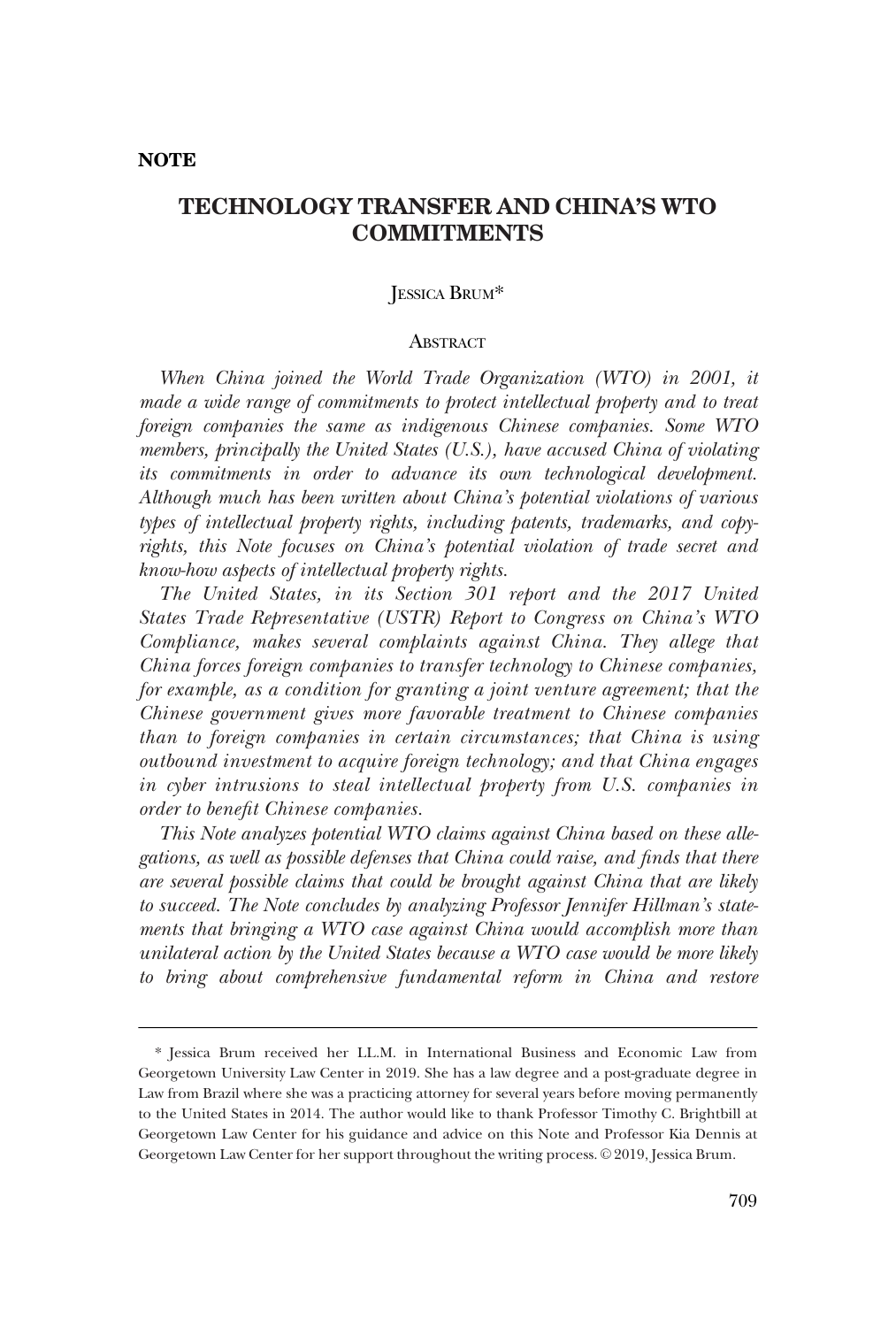### **NOTE**

# **TECHNOLOGY TRANSFER AND CHINA'S WTO COMMITMENTS**

# JESSICA BRUM\*

#### **ABSTRACT**

When China joined the World Trade Organization (WTO) in 2001, it *made a wide range of commitments to protect intellectual property and to treat foreign companies the same as indigenous Chinese companies. Some WTO members, principally the United States (U.S.), have accused China of violating its commitments in order to advance its own technological development. Although much has been written about China's potential violations of various types of intellectual property rights, including patents, trademarks, and copyrights, this Note focuses on China's potential violation of trade secret and know-how aspects of intellectual property rights.* 

*The United States, in its Section 301 report and the 2017 United States Trade Representative (USTR) Report to Congress on China's WTO Compliance, makes several complaints against China. They allege that China forces foreign companies to transfer technology to Chinese companies, for example, as a condition for granting a joint venture agreement; that the Chinese government gives more favorable treatment to Chinese companies than to foreign companies in certain circumstances; that China is using outbound investment to acquire foreign technology; and that China engages in cyber intrusions to steal intellectual property from U.S. companies in order to benefit Chinese companies.* 

*This Note analyzes potential WTO claims against China based on these allegations, as well as possible defenses that China could raise, and finds that there are several possible claims that could be brought against China that are likely to succeed. The Note concludes by analyzing Professor Jennifer Hillman's statements that bringing a WTO case against China would accomplish more than unilateral action by the United States because a WTO case would be more likely to bring about comprehensive fundamental reform in China and restore* 

<sup>\*</sup> Jessica Brum received her LL.M. in International Business and Economic Law from Georgetown University Law Center in 2019. She has a law degree and a post-graduate degree in Law from Brazil where she was a practicing attorney for several years before moving permanently to the United States in 2014. The author would like to thank Professor Timothy C. Brightbill at Georgetown Law Center for his guidance and advice on this Note and Professor Kia Dennis at Georgetown Law Center for her support throughout the writing process. © 2019, Jessica Brum.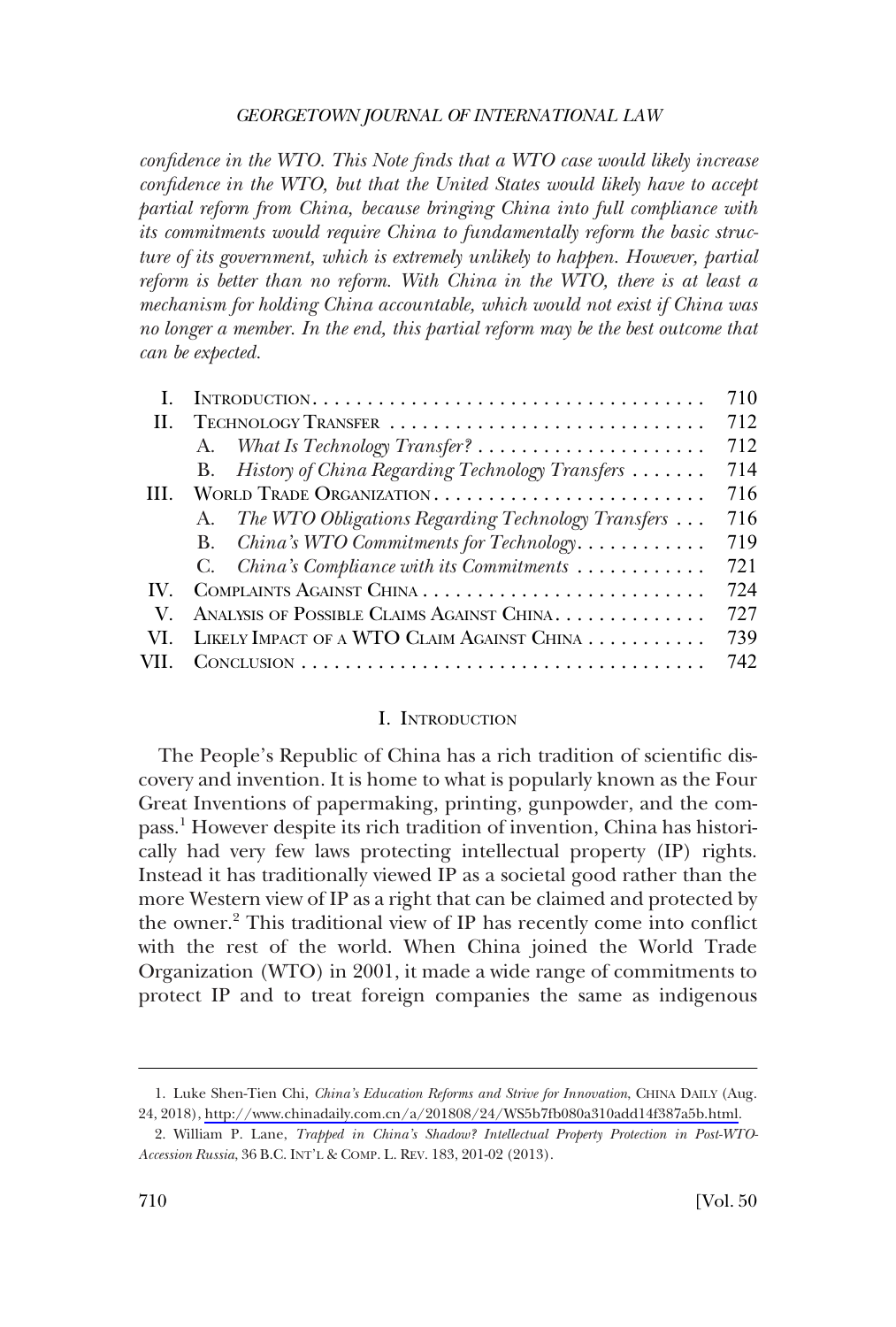*confidence in the WTO. This Note finds that a WTO case would likely increase confidence in the WTO, but that the United States would likely have to accept partial reform from China, because bringing China into full compliance with its commitments would require China to fundamentally reform the basic structure of its government, which is extremely unlikely to happen. However, partial reform is better than no reform. With China in the WTO, there is at least a mechanism for holding China accountable, which would not exist if China was no longer a member. In the end, this partial reform may be the best outcome that can be expected.* 

|                                                       | 710 |
|-------------------------------------------------------|-----|
|                                                       | 712 |
|                                                       | 712 |
| B. History of China Regarding Technology Transfers    | 714 |
|                                                       | 716 |
| A. The WTO Obligations Regarding Technology Transfers | 716 |
| China's WTO Commitments for Technology<br><b>B.</b>   | 719 |
| C. China's Compliance with its Commitments            | 721 |
|                                                       | 724 |
| ANALYSIS OF POSSIBLE CLAIMS AGAINST CHINA             | 727 |
| LIKELY IMPACT OF A WTO CLAIM AGAINST CHINA            | 739 |
|                                                       | 742 |
|                                                       |     |

### I. INTRODUCTION

The People's Republic of China has a rich tradition of scientific discovery and invention. It is home to what is popularly known as the Four Great Inventions of papermaking, printing, gunpowder, and the compass.<sup>1</sup> However despite its rich tradition of invention, China has historically had very few laws protecting intellectual property (IP) rights. Instead it has traditionally viewed IP as a societal good rather than the more Western view of IP as a right that can be claimed and protected by the owner.<sup>2</sup> This traditional view of IP has recently come into conflict with the rest of the world. When China joined the World Trade Organization (WTO) in 2001, it made a wide range of commitments to protect IP and to treat foreign companies the same as indigenous

Luke Shen-Tien Chi, *China's Education Reforms and Strive for Innovation*, CHINA DAILY (Aug. 1. 24, 2018), [http://www.chinadaily.com.cn/a/201808/24/WS5b7fb080a310add14f387a5b.html.](http://www.chinadaily.com.cn/a/201808/24/WS5b7fb080a310add14f387a5b.html)

<sup>2.</sup> William P. Lane, *Trapped in China's Shadow? Intellectual Property Protection in Post-WTO-Accession Russia*, 36 B.C. INT'L & COMP. L. REV. 183, 201-02 (2013).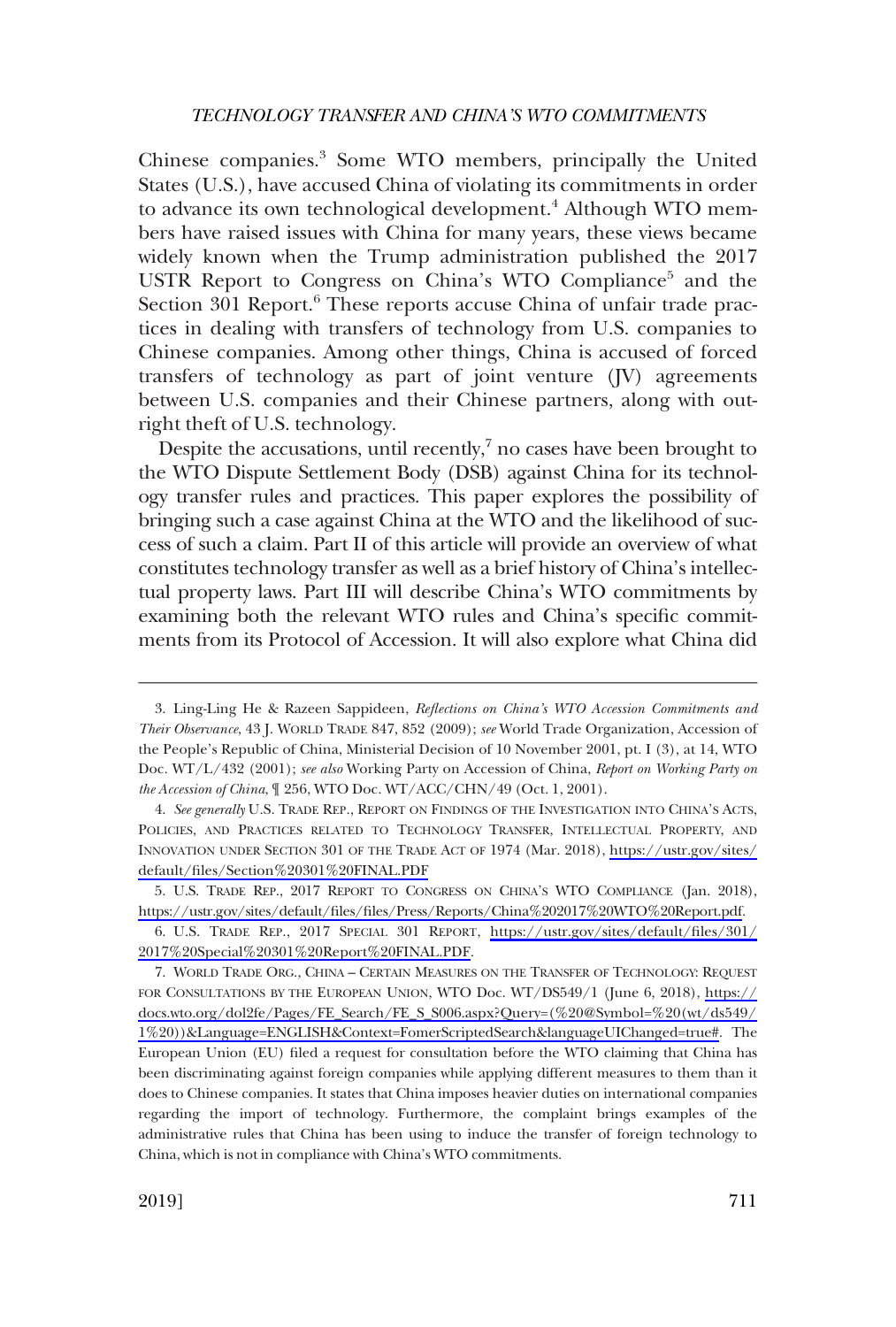Chinese companies.3 Some WTO members, principally the United States (U.S.), have accused China of violating its commitments in order to advance its own technological development.<sup>4</sup> Although WTO members have raised issues with China for many years, these views became widely known when the Trump administration published the 2017 USTR Report to Congress on China's WTO Compliance<sup>5</sup> and the Section 301 Report.<sup>6</sup> These reports accuse China of unfair trade practices in dealing with transfers of technology from U.S. companies to Chinese companies. Among other things, China is accused of forced transfers of technology as part of joint venture (JV) agreements between U.S. companies and their Chinese partners, along with outright theft of U.S. technology.

Despite the accusations, until recently, $\frac{7}{1}$  no cases have been brought to the WTO Dispute Settlement Body (DSB) against China for its technology transfer rules and practices. This paper explores the possibility of bringing such a case against China at the WTO and the likelihood of success of such a claim. Part II of this article will provide an overview of what constitutes technology transfer as well as a brief history of China's intellectual property laws. Part III will describe China's WTO commitments by examining both the relevant WTO rules and China's specific commitments from its Protocol of Accession. It will also explore what China did

<sup>3.</sup> Ling-Ling He & Razeen Sappideen, *Reflections on China's WTO Accession Commitments and Their Observance*, 43 J. WORLD TRADE 847, 852 (2009); *see* World Trade Organization, Accession of the People's Republic of China, Ministerial Decision of 10 November 2001, pt. I (3), at 14, WTO Doc. WT/L/432 (2001); *see also* Working Party on Accession of China, *Report on Working Party on the Accession of China*, ¶ 256, WTO Doc. WT/ACC/CHN/49 (Oct. 1, 2001).

*See generally* U.S. TRADE REP., REPORT ON FINDINGS OF THE INVESTIGATION INTO CHINA'S ACTS, 4. POLICIES, AND PRACTICES RELATED TO TECHNOLOGY TRANSFER, INTELLECTUAL PROPERTY, AND INNOVATION UNDER SECTION 301 OF THE TRADE ACT OF 1974 (Mar. 2018), [https://ustr.gov/sites/](https://ustr.gov/sites/default/files/Section%20301%20FINAL.PDF) [default/files/Section%20301%20FINAL.PDF](https://ustr.gov/sites/default/files/Section%20301%20FINAL.PDF)

<sup>5.</sup> U.S. TRADE REP., 2017 REPORT TO CONGRESS ON CHINA'S WTO COMPLIANCE (Jan. 2018), [https://ustr.gov/sites/default/files/files/Press/Reports/China%202017%20WTO%20Report.pdf.](https://ustr.gov/sites/default/files/files/Press/Reports/China%202017%20WTO%20Report.pdf)

U.S. TRADE REP., 2017 SPECIAL 301 REPORT, [https://ustr.gov/sites/default/files/301/](https://ustr.gov/sites/default/files/301/2017%20Special%20301%20Report%20FINAL.PDF) 6. [2017%20Special%20301%20Report%20FINAL.PDF](https://ustr.gov/sites/default/files/301/2017%20Special%20301%20Report%20FINAL.PDF).

<sup>7.</sup> WORLD TRADE ORG., CHINA - CERTAIN MEASURES ON THE TRANSFER OF TECHNOLOGY: REQUEST FOR CONSULTATIONS BY THE EUROPEAN UNION, WTO Doc. WT/DS549/1 (June 6, 2018), [https://](https://docs.wto.org/dol2fe/Pages/FE_Search/FE_S_S006.aspx?Query=(&hx0025;20=&hx0025;20(wt/ds549/1&hx0025;20))&Language=ENGLISH&Context=FomerScriptedSearch&languageUIChanged=true#)  [docs.wto.org/dol2fe/Pages/FE\\_Search/FE\\_S\\_S006.aspx?Query=\(%20@Symbol=%20\(wt/ds549/](https://docs.wto.org/dol2fe/Pages/FE_Search/FE_S_S006.aspx?Query=(&hx0025;20=&hx0025;20(wt/ds549/1&hx0025;20))&Language=ENGLISH&Context=FomerScriptedSearch&languageUIChanged=true#)  [1%20\)\)&Language=ENGLISH&Context=FomerScriptedSearch&languageUIChanged=true#](https://docs.wto.org/dol2fe/Pages/FE_Search/FE_S_S006.aspx?Query=(&hx0025;20=&hx0025;20(wt/ds549/1&hx0025;20))&Language=ENGLISH&Context=FomerScriptedSearch&languageUIChanged=true#). The European Union (EU) filed a request for consultation before the WTO claiming that China has been discriminating against foreign companies while applying different measures to them than it does to Chinese companies. It states that China imposes heavier duties on international companies regarding the import of technology. Furthermore, the complaint brings examples of the administrative rules that China has been using to induce the transfer of foreign technology to China, which is not in compliance with China's WTO commitments.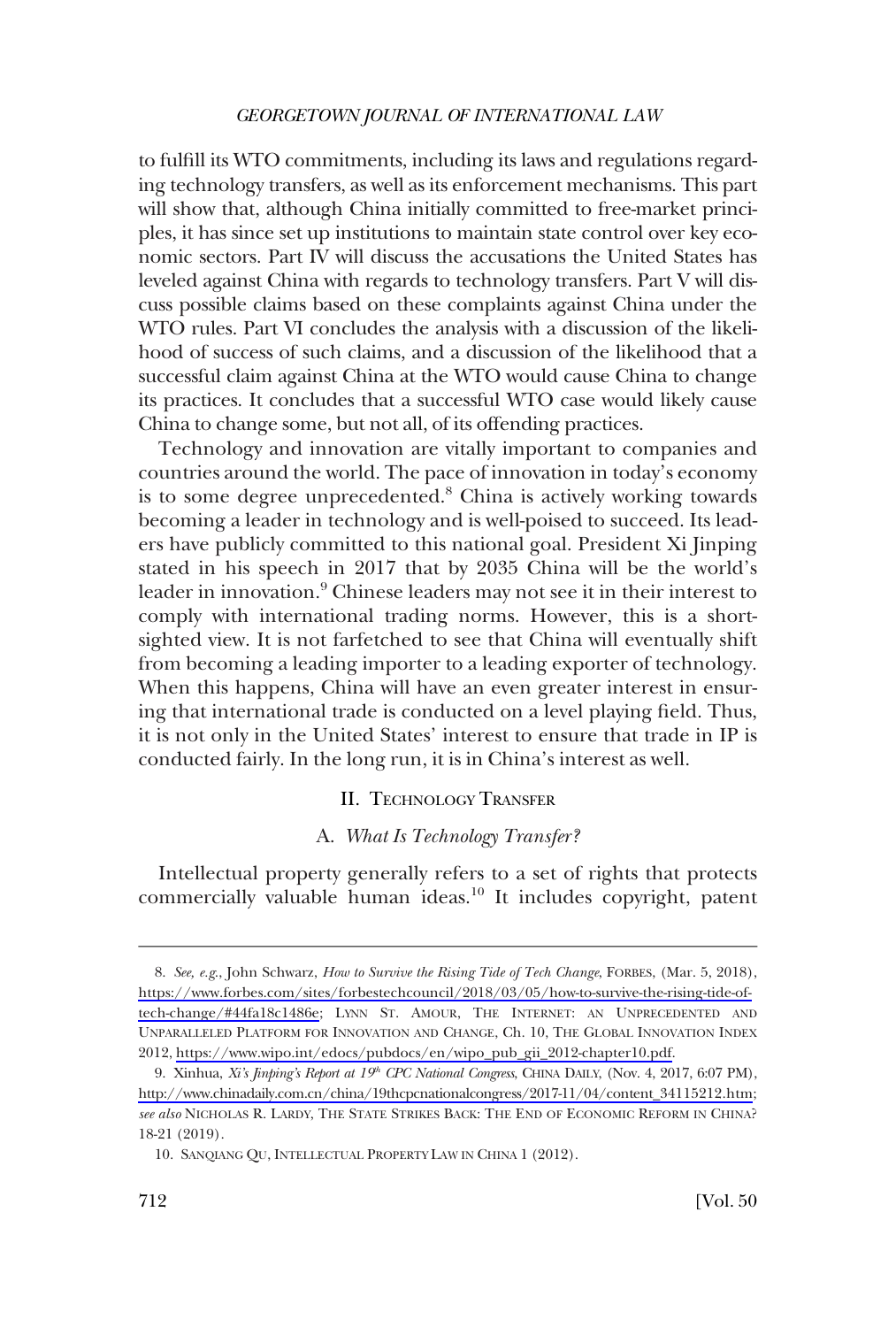<span id="page-3-0"></span>to fulfill its WTO commitments, including its laws and regulations regarding technology transfers, as well as its enforcement mechanisms. This part will show that, although China initially committed to free-market principles, it has since set up institutions to maintain state control over key economic sectors. Part IV will discuss the accusations the United States has leveled against China with regards to technology transfers. Part V will discuss possible claims based on these complaints against China under the WTO rules. Part VI concludes the analysis with a discussion of the likelihood of success of such claims, and a discussion of the likelihood that a successful claim against China at the WTO would cause China to change its practices. It concludes that a successful WTO case would likely cause China to change some, but not all, of its offending practices.

Technology and innovation are vitally important to companies and countries around the world. The pace of innovation in today's economy is to some degree unprecedented.<sup>8</sup> China is actively working towards becoming a leader in technology and is well-poised to succeed. Its leaders have publicly committed to this national goal. President Xi Jinping stated in his speech in 2017 that by 2035 China will be the world's leader in innovation.<sup>9</sup> Chinese leaders may not see it in their interest to comply with international trading norms. However, this is a shortsighted view. It is not farfetched to see that China will eventually shift from becoming a leading importer to a leading exporter of technology. When this happens, China will have an even greater interest in ensuring that international trade is conducted on a level playing field. Thus, it is not only in the United States' interest to ensure that trade in IP is conducted fairly. In the long run, it is in China's interest as well.

### II. TECHNOLOGY TRANSFER

# A. *What Is Technology Transfer?*

Intellectual property generally refers to a set of rights that protects commercially valuable human ideas.<sup>10</sup> It includes copyright, patent

*See, e.g*., John Schwarz, *How to Survive the Rising Tide of Tech Change*, FORBES, (Mar. 5, 2018), 8. [https://www.forbes.com/sites/forbestechcouncil/2018/03/05/how-to-survive-the-rising-tide-of](https://www.forbes.com/sites/forbestechcouncil/2018/03/05/how-to-survive-the-rising-tide-of-tech-change/#44fa18c1486e)[tech-change/#44fa18c1486e](https://www.forbes.com/sites/forbestechcouncil/2018/03/05/how-to-survive-the-rising-tide-of-tech-change/#44fa18c1486e); LYNN ST. AMOUR, THE INTERNET: AN UNPRECEDENTED AND UNPARALLELED PLATFORM FOR INNOVATION AND CHANGE, Ch. 10, THE GLOBAL INNOVATION INDEX 2012, [https://www.wipo.int/edocs/pubdocs/en/wipo\\_pub\\_gii\\_2012-chapter10.pdf.](https://www.wipo.int/edocs/pubdocs/en/wipo_pub_gii_2012-chapter10.pdf)

<sup>9.</sup> Xinhua, *Xi's Jinping's Report at 19<sup>th</sup> CPC National Congress*, CHINA DAILY, (Nov. 4, 2017, 6:07 PM), [http://www.chinadaily.com.cn/china/19thcpcnationalcongress/2017-11/04/content\\_34115212.htm;](http://www.chinadaily.com.cn/china/19thcpcnationalcongress/2017-11/04/content_34115212.htm) *see also* NICHOLAS R. LARDY, THE STATE STRIKES BACK: THE END OF ECONOMIC REFORM IN CHINA? 18-21 (2019).

<sup>10.</sup> SANQIANG QU, INTELLECTUAL PROPERTY LAW IN CHINA 1 (2012).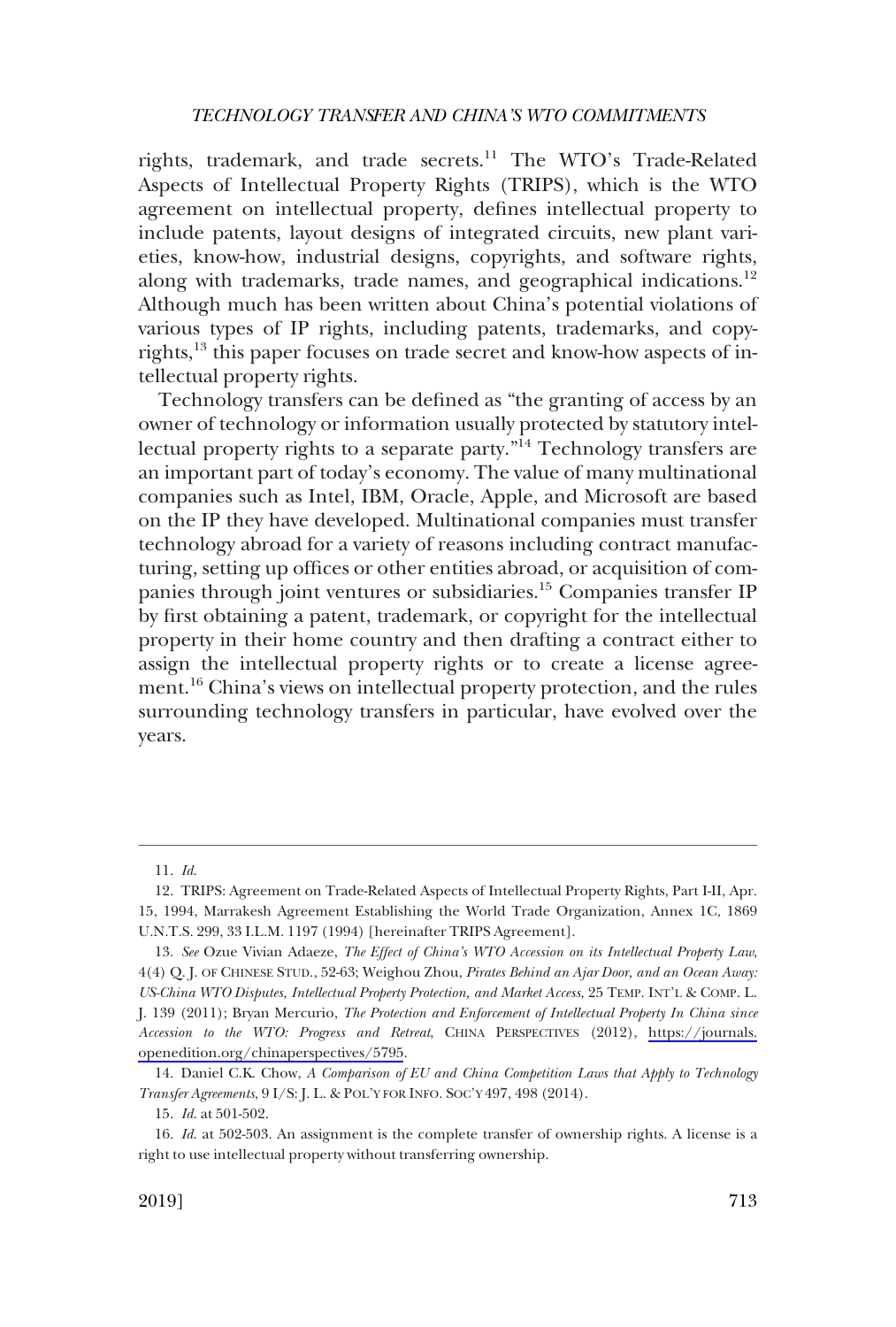rights, trademark, and trade secrets.<sup>11</sup> The WTO's Trade-Related Aspects of Intellectual Property Rights (TRIPS), which is the WTO agreement on intellectual property, defines intellectual property to include patents, layout designs of integrated circuits, new plant varieties, know-how, industrial designs, copyrights, and software rights, along with trademarks, trade names, and geographical indications.12 Although much has been written about China's potential violations of various types of IP rights, including patents, trademarks, and copyrights,<sup>13</sup> this paper focuses on trade secret and know-how aspects of intellectual property rights.

Technology transfers can be defined as "the granting of access by an owner of technology or information usually protected by statutory intellectual property rights to a separate party."<sup>14</sup> Technology transfers are an important part of today's economy. The value of many multinational companies such as Intel, IBM, Oracle, Apple, and Microsoft are based on the IP they have developed. Multinational companies must transfer technology abroad for a variety of reasons including contract manufacturing, setting up offices or other entities abroad, or acquisition of companies through joint ventures or subsidiaries.<sup>15</sup> Companies transfer IP by first obtaining a patent, trademark, or copyright for the intellectual property in their home country and then drafting a contract either to assign the intellectual property rights or to create a license agreement.16 China's views on intellectual property protection, and the rules surrounding technology transfers in particular, have evolved over the years.

<sup>11.</sup> *Id*.

<sup>12.</sup> TRIPS: Agreement on Trade-Related Aspects of Intellectual Property Rights, Part I-II, Apr. 15, 1994, Marrakesh Agreement Establishing the World Trade Organization, Annex 1C, 1869 U.N.T.S. 299, 33 I.L.M. 1197 (1994) [hereinafter TRIPS Agreement].

*See* Ozue Vivian Adaeze, *The Effect of China's WTO Accession on its Intellectual Property Law*, 13. 4(4) Q. J. OF CHINESE STUD., 52-63; Weighou Zhou, *Pirates Behind an Ajar Door, and an Ocean Away: US-China WTO Disputes, Intellectual Property Protection, and Market Access*, 25 TEMP. INT'L & COMP. L. J. 139 (2011); Bryan Mercurio, *The Protection and Enforcement of Intellectual Property In China since Accession to the WTO: Progress and Retreat*, CHINA PERSPECTIVES (2012), [https://journals.](https://journals.openedition.org/chinaperspectives/5795) [openedition.org/chinaperspectives/5795](https://journals.openedition.org/chinaperspectives/5795).

<sup>14.</sup> Daniel C.K. Chow, *A Comparison of EU and China Competition Laws that Apply to Technology Transfer Agreements*, 9 I/S: J. L. & POL'Y FOR INFO. SOC'Y 497, 498 (2014).

<sup>15.</sup> *Id*. at 501-502.

<sup>16.</sup> *Id*. at 502-503. An assignment is the complete transfer of ownership rights. A license is a right to use intellectual property without transferring ownership.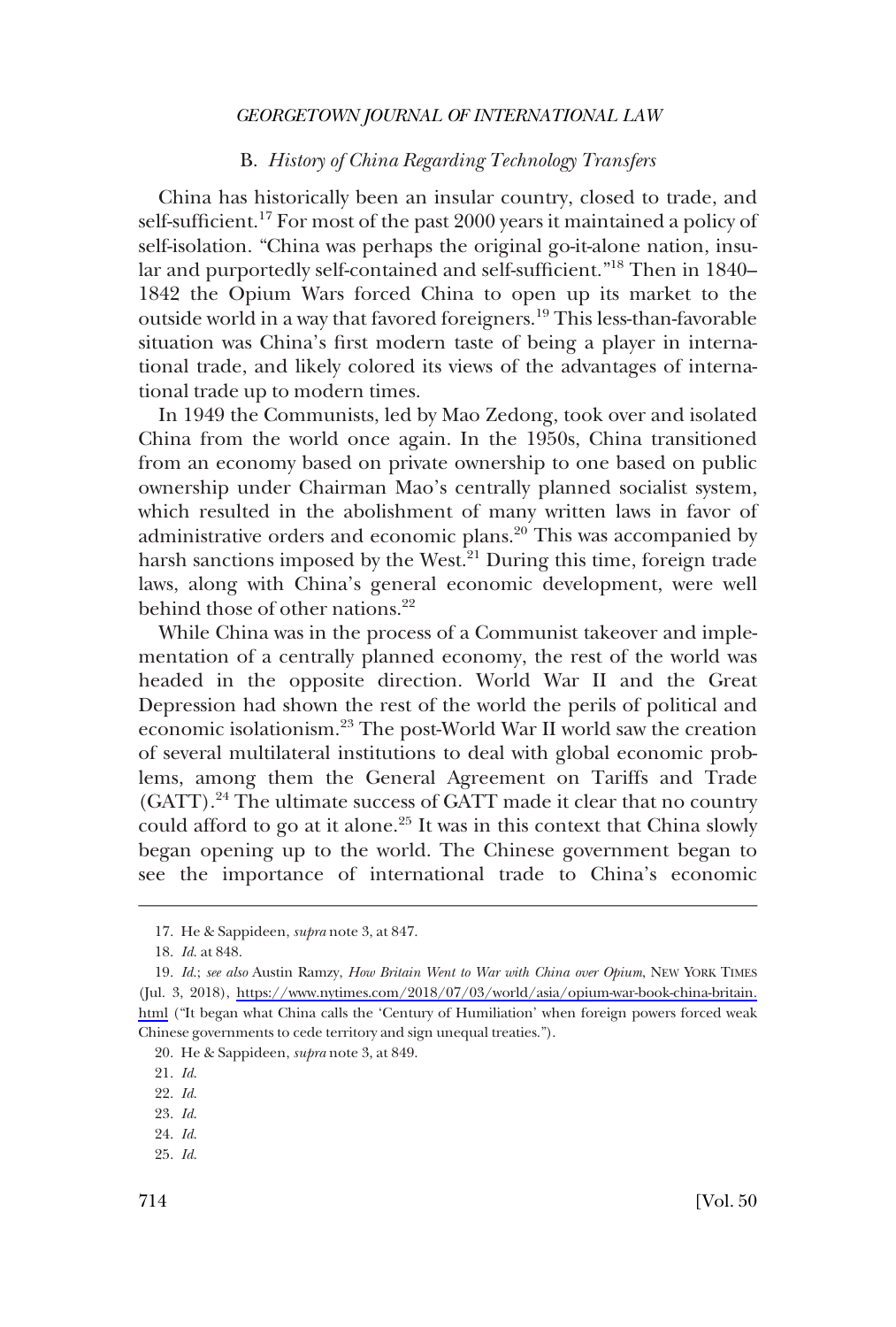### B. *History of China Regarding Technology Transfers*

<span id="page-5-0"></span>China has historically been an insular country, closed to trade, and self-sufficient.17 For most of the past 2000 years it maintained a policy of self-isolation. "China was perhaps the original go-it-alone nation, insular and purportedly self-contained and self-sufficient."18 Then in 1840– 1842 the Opium Wars forced China to open up its market to the outside world in a way that favored foreigners.<sup>19</sup> This less-than-favorable situation was China's first modern taste of being a player in international trade, and likely colored its views of the advantages of international trade up to modern times.

In 1949 the Communists, led by Mao Zedong, took over and isolated China from the world once again. In the 1950s, China transitioned from an economy based on private ownership to one based on public ownership under Chairman Mao's centrally planned socialist system, which resulted in the abolishment of many written laws in favor of administrative orders and economic plans.<sup>20</sup> This was accompanied by harsh sanctions imposed by the West. $^{21}$  During this time, foreign trade laws, along with China's general economic development, were well behind those of other nations.<sup>22</sup>

While China was in the process of a Communist takeover and implementation of a centrally planned economy, the rest of the world was headed in the opposite direction. World War II and the Great Depression had shown the rest of the world the perils of political and economic isolationism.23 The post-World War II world saw the creation of several multilateral institutions to deal with global economic problems, among them the General Agreement on Tariffs and Trade (GATT).<sup>24</sup> The ultimate success of GATT made it clear that no country could afford to go at it alone.<sup>25</sup> It was in this context that China slowly began opening up to the world. The Chinese government began to see the importance of international trade to China's economic

24. *Id*. 25. *Id*.

<sup>17.</sup> He & Sappideen, *supra* note 3, at 847.

<sup>18.</sup> *Id*. at 848.

*Id*.; *see also* Austin Ramzy, *How Britain Went to War with China over Opium*, NEW YORK TIMES 19. (Jul. 3, 2018), [https://www.nytimes.com/2018/07/03/world/asia/opium-war-book-china-britain.](https://www.nytimes.com/2018/07/03/world/asia/opium-war-book-china-britain.html)  [html](https://www.nytimes.com/2018/07/03/world/asia/opium-war-book-china-britain.html) ("It began what China calls the 'Century of Humiliation' when foreign powers forced weak Chinese governments to cede territory and sign unequal treaties.").

<sup>20.</sup> He & Sappideen, *supra* note 3, at 849.

<sup>21.</sup> *Id*.

<sup>22.</sup> *Id*.

<sup>23.</sup> *Id*.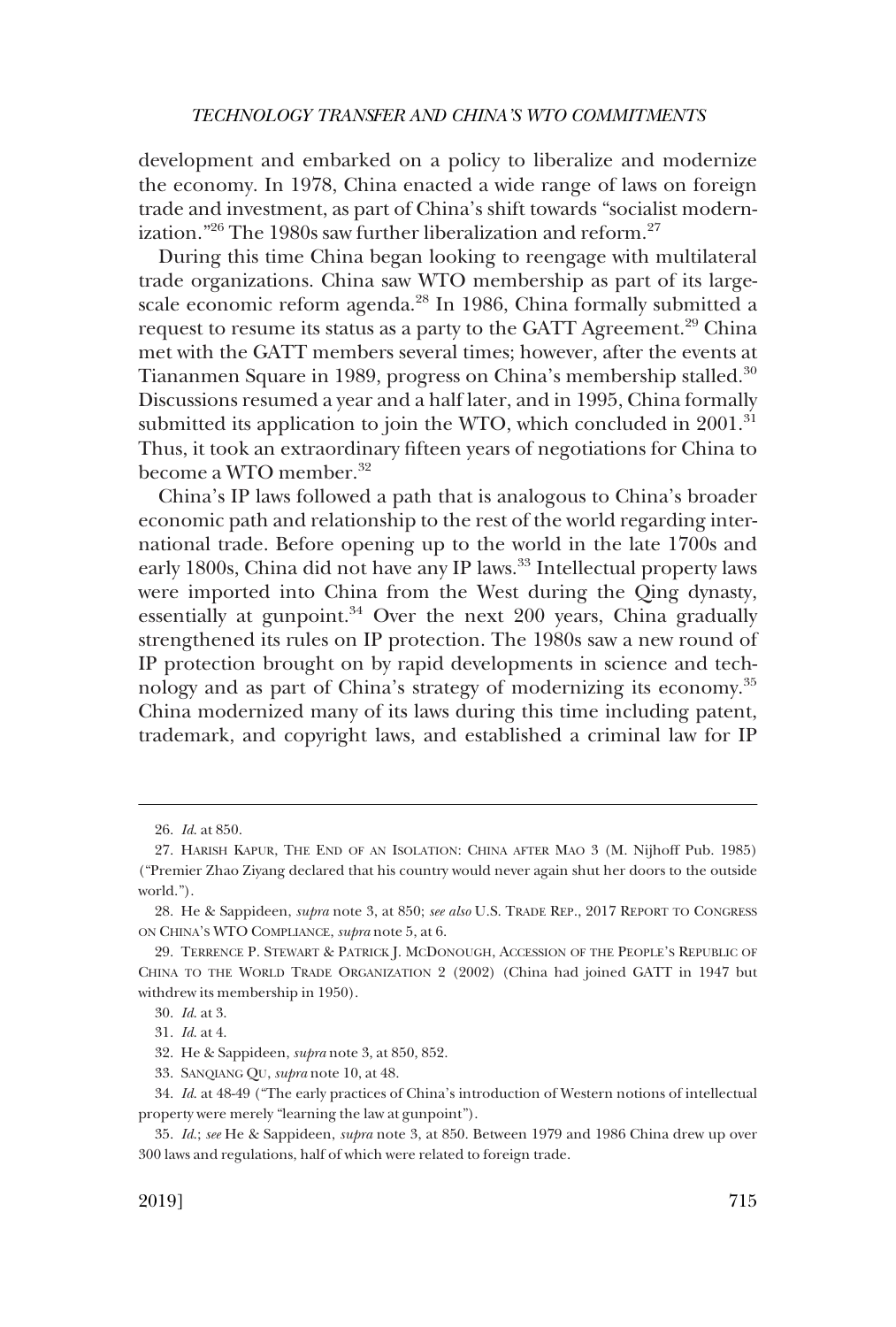development and embarked on a policy to liberalize and modernize the economy. In 1978, China enacted a wide range of laws on foreign trade and investment, as part of China's shift towards "socialist modernization."<sup>26</sup> The 1980s saw further liberalization and reform.<sup>27</sup>

During this time China began looking to reengage with multilateral trade organizations. China saw WTO membership as part of its largescale economic reform agenda.<sup>28</sup> In 1986, China formally submitted a request to resume its status as a party to the GATT Agreement.<sup>29</sup> China met with the GATT members several times; however, after the events at Tiananmen Square in 1989, progress on China's membership stalled.<sup>30</sup> Discussions resumed a year and a half later, and in 1995, China formally submitted its application to join the WTO, which concluded in 2001.<sup>31</sup> Thus, it took an extraordinary fifteen years of negotiations for China to become a WTO member.<sup>32</sup>

China's IP laws followed a path that is analogous to China's broader economic path and relationship to the rest of the world regarding international trade. Before opening up to the world in the late 1700s and early 1800s, China did not have any IP laws.<sup>33</sup> Intellectual property laws were imported into China from the West during the Qing dynasty, essentially at gunpoint. $34$  Over the next 200 years, China gradually strengthened its rules on IP protection. The 1980s saw a new round of IP protection brought on by rapid developments in science and technology and as part of China's strategy of modernizing its economy.<sup>35</sup> China modernized many of its laws during this time including patent, trademark, and copyright laws, and established a criminal law for IP

<sup>26.</sup> *Id*. at 850.

<sup>27.</sup> HARISH KAPUR, THE END OF AN ISOLATION: CHINA AFTER MAO 3 (M. Nijhoff Pub. 1985) ("Premier Zhao Ziyang declared that his country would never again shut her doors to the outside world.").

<sup>28.</sup> He & Sappideen, *supra* note 3, at 850; *see also* U.S. TRADE REP., 2017 REPORT TO CONGRESS ON CHINA'S WTO COMPLIANCE, *supra* note 5, at 6.

<sup>29.</sup> TERRENCE P. STEWART & PATRICK J. MCDONOUGH, ACCESSION OF THE PEOPLE'S REPUBLIC OF CHINA TO THE WORLD TRADE ORGANIZATION 2 (2002) (China had joined GATT in 1947 but withdrew its membership in 1950).

<sup>30.</sup> *Id*. at 3.

<sup>31.</sup> *Id*. at 4.

<sup>32.</sup> He & Sappideen, *supra* note 3, at 850, 852.

<sup>33.</sup> SANQIANG QU, *supra* note 10, at 48.

<sup>34.</sup> *Id*. at 48-49 ("The early practices of China's introduction of Western notions of intellectual property were merely "learning the law at gunpoint").

<sup>35.</sup> *Id*.; *see* He & Sappideen, *supra* note 3, at 850. Between 1979 and 1986 China drew up over 300 laws and regulations, half of which were related to foreign trade.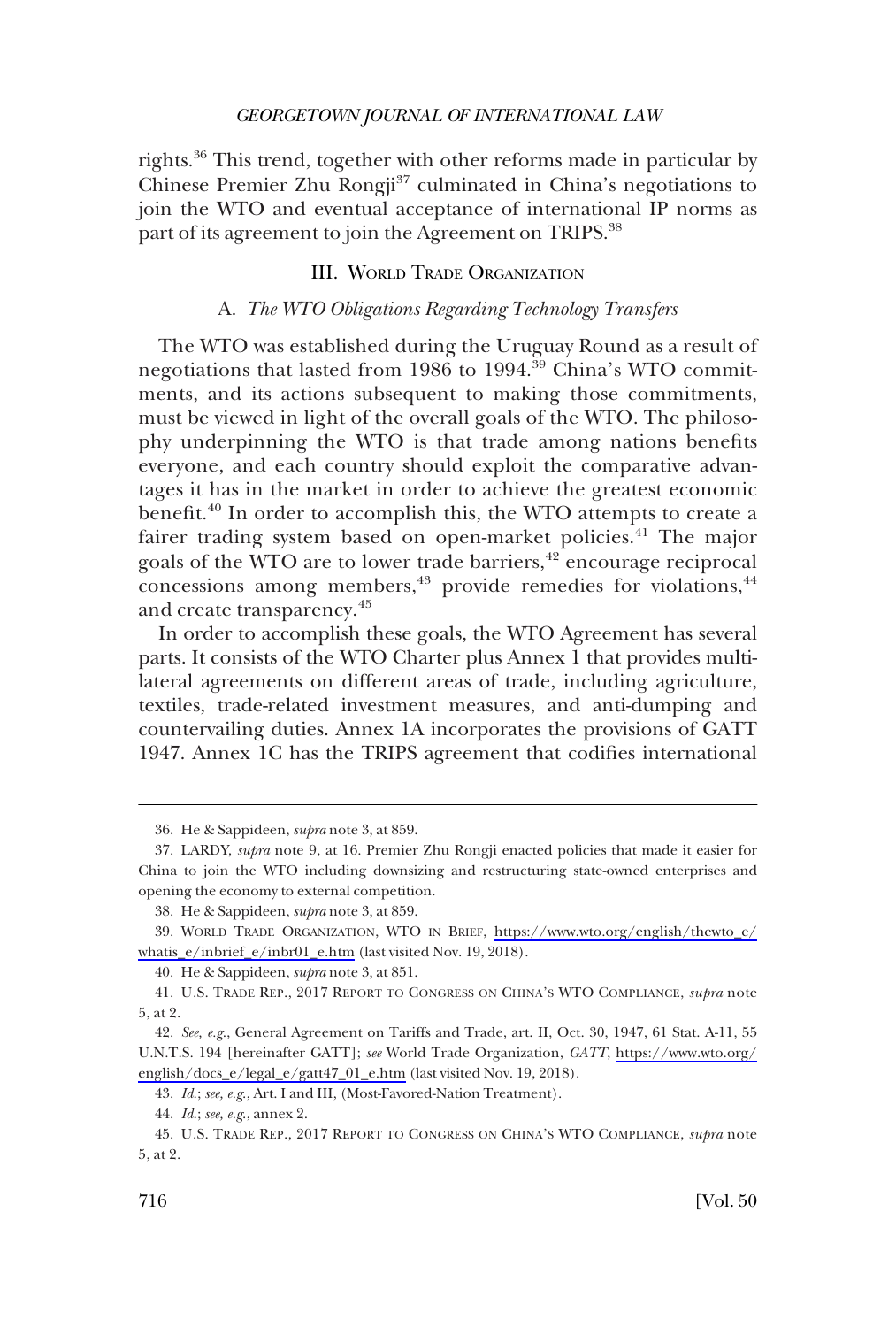<span id="page-7-0"></span>rights.36 This trend, together with other reforms made in particular by Chinese Premier Zhu Rongji<sup>37</sup> culminated in China's negotiations to join the WTO and eventual acceptance of international IP norms as part of its agreement to join the Agreement on TRIPS.<sup>38</sup>

#### III. WORLD TRADE ORGANIZATION

# A. *The WTO Obligations Regarding Technology Transfers*

The WTO was established during the Uruguay Round as a result of negotiations that lasted from 1986 to 1994.<sup>39</sup> China's WTO commitments, and its actions subsequent to making those commitments, must be viewed in light of the overall goals of the WTO. The philosophy underpinning the WTO is that trade among nations benefits everyone, and each country should exploit the comparative advantages it has in the market in order to achieve the greatest economic benefit.<sup>40</sup> In order to accomplish this, the WTO attempts to create a fairer trading system based on open-market policies.<sup>41</sup> The major goals of the WTO are to lower trade barriers,<sup>42</sup> encourage reciprocal concessions among members, $43$  provide remedies for violations, $44$ and create transparency.<sup>45</sup>

In order to accomplish these goals, the WTO Agreement has several parts. It consists of the WTO Charter plus Annex 1 that provides multilateral agreements on different areas of trade, including agriculture, textiles, trade-related investment measures, and anti-dumping and countervailing duties. Annex 1A incorporates the provisions of GATT 1947. Annex 1C has the TRIPS agreement that codifies international

<sup>36.</sup> He & Sappideen, *supra* note 3, at 859.

<sup>37.</sup> LARDY, *supra* note 9, at 16. Premier Zhu Rongji enacted policies that made it easier for China to join the WTO including downsizing and restructuring state-owned enterprises and opening the economy to external competition.

<sup>38.</sup> He & Sappideen, *supra* note 3, at 859.

WORLD TRADE ORGANIZATION, WTO IN BRIEF, [https://www.wto.org/english/thewto\\_e/](https://www.wto.org/english/thewto_e/whatis_e/inbrief_e/inbr01_e.htm)  39. [whatis\\_e/inbrief\\_e/inbr01\\_e.htm](https://www.wto.org/english/thewto_e/whatis_e/inbrief_e/inbr01_e.htm) (last visited Nov. 19, 2018).

<sup>40.</sup> He & Sappideen, *supra* note 3, at 851.

<sup>41.</sup> U.S. TRADE REP., 2017 REPORT TO CONGRESS ON CHINA'S WTO COMPLIANCE, *supra* note 5, at 2.

*See, e.g*., General Agreement on Tariffs and Trade, art. II, Oct. 30, 1947, 61 Stat. A-11, 55 42. U.N.T.S. 194 [hereinafter GATT]; *see* World Trade Organization, *GATT*, [https://www.wto.org/](https://www.wto.org/english/docs_e/legal_e/gatt47_01_e.htm)  [english/docs\\_e/legal\\_e/gatt47\\_01\\_e.htm](https://www.wto.org/english/docs_e/legal_e/gatt47_01_e.htm) (last visited Nov. 19, 2018).

<sup>43.</sup> *Id*.; *see, e.g*., Art. I and III, (Most-Favored-Nation Treatment).

<sup>44.</sup> *Id*.; *see, e.g*., annex 2.

<sup>45.</sup> U.S. TRADE REP., 2017 REPORT TO CONGRESS ON CHINA'S WTO COMPLIANCE, *supra* note 5, at 2.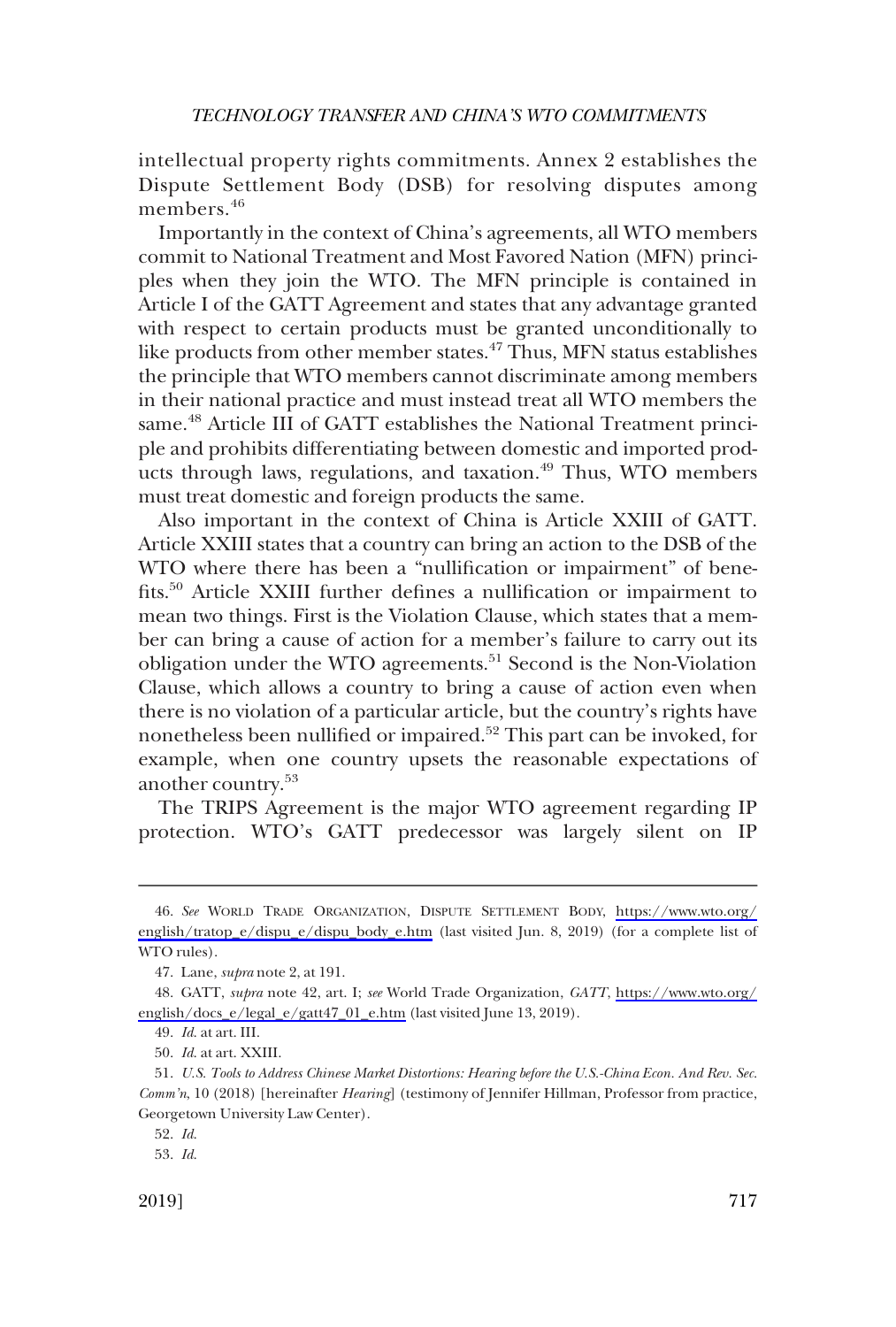intellectual property rights commitments. Annex 2 establishes the Dispute Settlement Body (DSB) for resolving disputes among members.<sup>46</sup>

Importantly in the context of China's agreements, all WTO members commit to National Treatment and Most Favored Nation (MFN) principles when they join the WTO. The MFN principle is contained in Article I of the GATT Agreement and states that any advantage granted with respect to certain products must be granted unconditionally to like products from other member states.<sup>47</sup> Thus, MFN status establishes the principle that WTO members cannot discriminate among members in their national practice and must instead treat all WTO members the same.<sup>48</sup> Article III of GATT establishes the National Treatment principle and prohibits differentiating between domestic and imported products through laws, regulations, and taxation.<sup>49</sup> Thus, WTO members must treat domestic and foreign products the same.

Also important in the context of China is Article XXIII of GATT. Article XXIII states that a country can bring an action to the DSB of the WTO where there has been a "nullification or impairment" of benefits.50 Article XXIII further defines a nullification or impairment to mean two things. First is the Violation Clause, which states that a member can bring a cause of action for a member's failure to carry out its obligation under the WTO agreements.<sup>51</sup> Second is the Non-Violation Clause, which allows a country to bring a cause of action even when there is no violation of a particular article, but the country's rights have nonetheless been nullified or impaired.52 This part can be invoked, for example, when one country upsets the reasonable expectations of another country.<sup>53</sup>

The TRIPS Agreement is the major WTO agreement regarding IP protection. WTO's GATT predecessor was largely silent on IP

*See* WORLD TRADE ORGANIZATION, DISPUTE SETTLEMENT BODY, [https://www.wto.org/](https://www.wto.org/english/tratop_e/dispu_e/dispu_body_e.htm) 46. [english/tratop\\_e/dispu\\_e/dispu\\_body\\_e.htm](https://www.wto.org/english/tratop_e/dispu_e/dispu_body_e.htm) (last visited Jun. 8, 2019) (for a complete list of WTO rules).

<sup>47.</sup> Lane, *supra* note 2, at 191.

GATT, *supra* note 42, art. I; *see* World Trade Organization, *GATT*, [https://www.wto.org/](https://www.wto.org/english/docs_e/legal_e/gatt47_01_e.htm)  48. [english/docs\\_e/legal\\_e/gatt47\\_01\\_e.htm](https://www.wto.org/english/docs_e/legal_e/gatt47_01_e.htm) (last visited June 13, 2019).

<sup>49.</sup> *Id*. at art. III.

<sup>50.</sup> *Id*. at art. XXIII.

<sup>51.</sup> *U.S. Tools to Address Chinese Market Distortions: Hearing before the U.S.-China Econ. And Rev. Sec. Comm'n*, 10 (2018) [hereinafter *Hearing*] (testimony of Jennifer Hillman, Professor from practice, Georgetown University Law Center).

<sup>52.</sup> *Id*.

<sup>53.</sup> *Id*.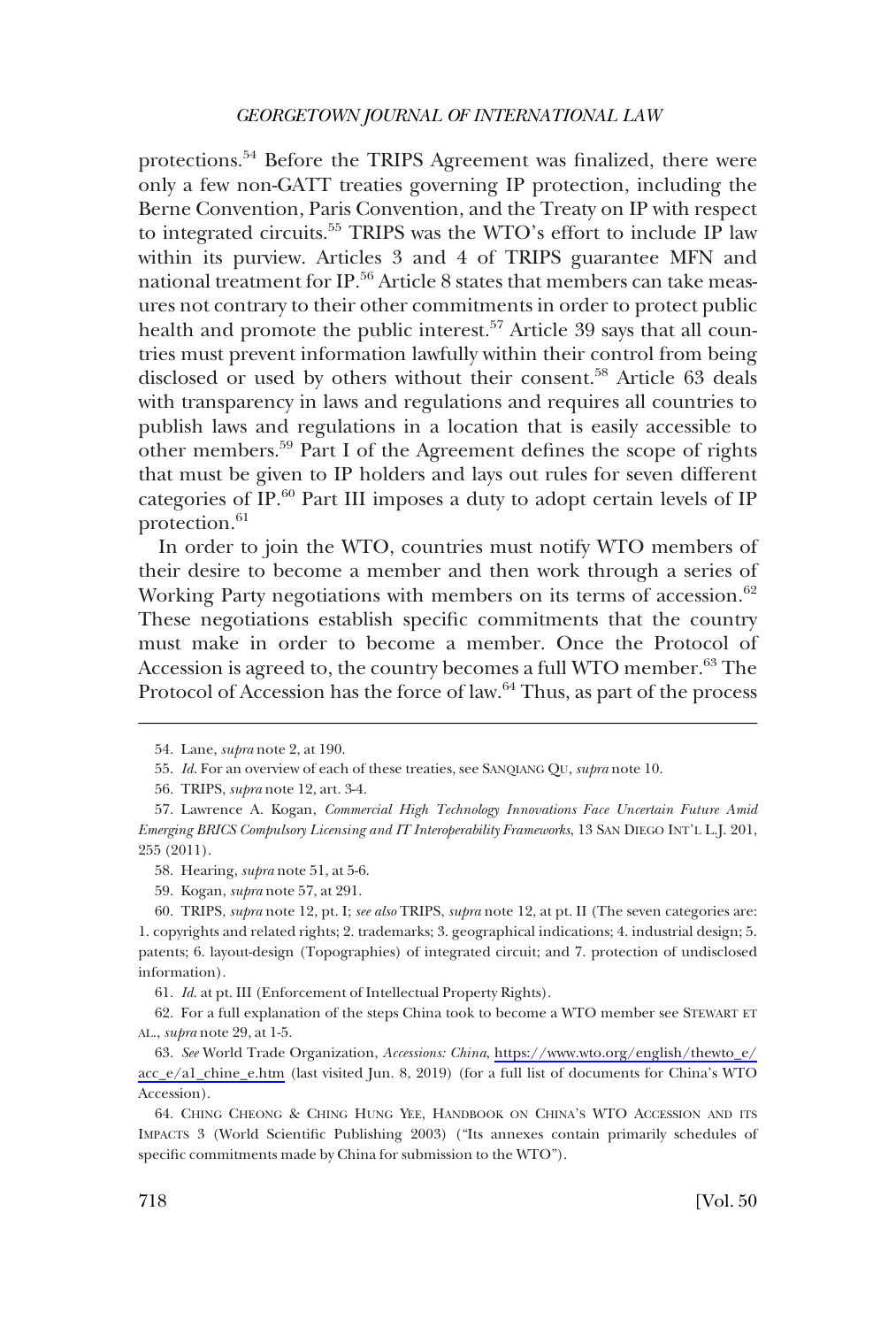protections.54 Before the TRIPS Agreement was finalized, there were only a few non-GATT treaties governing IP protection, including the Berne Convention, Paris Convention, and the Treaty on IP with respect to integrated circuits.55 TRIPS was the WTO's effort to include IP law within its purview. Articles 3 and 4 of TRIPS guarantee MFN and national treatment for IP.<sup>56</sup> Article 8 states that members can take measures not contrary to their other commitments in order to protect public health and promote the public interest.<sup>57</sup> Article 39 says that all countries must prevent information lawfully within their control from being disclosed or used by others without their consent.<sup>58</sup> Article 63 deals with transparency in laws and regulations and requires all countries to publish laws and regulations in a location that is easily accessible to other members.59 Part I of the Agreement defines the scope of rights that must be given to IP holders and lays out rules for seven different categories of IP.<sup>60</sup> Part III imposes a duty to adopt certain levels of IP protection.<sup>61</sup>

In order to join the WTO, countries must notify WTO members of their desire to become a member and then work through a series of Working Party negotiations with members on its terms of accession.<sup>62</sup> These negotiations establish specific commitments that the country must make in order to become a member. Once the Protocol of Accession is agreed to, the country becomes a full WTO member.<sup>63</sup> The Protocol of Accession has the force of law.<sup>64</sup> Thus, as part of the process

<sup>54.</sup> Lane, *supra* note 2, at 190.

<sup>55.</sup> *Id*. For an overview of each of these treaties, see SANQIANG QU, *supra* note 10.

<sup>56.</sup> TRIPS, *supra* note 12, art. 3-4.

<sup>57.</sup> Lawrence A. Kogan, *Commercial High Technology Innovations Face Uncertain Future Amid Emerging BRICS Compulsory Licensing and IT Interoperability Frameworks*, 13 SAN DIEGO INT'L L.J. 201, 255 (2011).

<sup>58.</sup> Hearing, *supra* note 51, at 5-6.

<sup>59.</sup> Kogan, *supra* note 57, at 291.

<sup>60.</sup> TRIPS, *supra* note 12, pt. I; *see also* TRIPS, *supra* note 12, at pt. II (The seven categories are: 1. copyrights and related rights; 2. trademarks; 3. geographical indications; 4. industrial design; 5. patents; 6. layout-design (Topographies) of integrated circuit; and 7. protection of undisclosed information).

<sup>61.</sup> *Id*. at pt. III (Enforcement of Intellectual Property Rights).

<sup>62.</sup> For a full explanation of the steps China took to become a WTO member see STEWART ET AL., *supra* note 29, at 1-5.

*See* World Trade Organization, *Accessions: China*, [https://www.wto.org/english/thewto\\_e/](https://www.wto.org/english/thewto_e/acc_e/a1_chine_e.htm)  63. [acc\\_e/a1\\_chine\\_e.htm](https://www.wto.org/english/thewto_e/acc_e/a1_chine_e.htm) (last visited Jun. 8, 2019) (for a full list of documents for China's WTO Accession).

<sup>64.</sup> CHING CHEONG & CHING HUNG YEE, HANDBOOK ON CHINA'S WTO ACCESSION AND ITS IMPACTS 3 (World Scientific Publishing 2003) ("Its annexes contain primarily schedules of specific commitments made by China for submission to the WTO").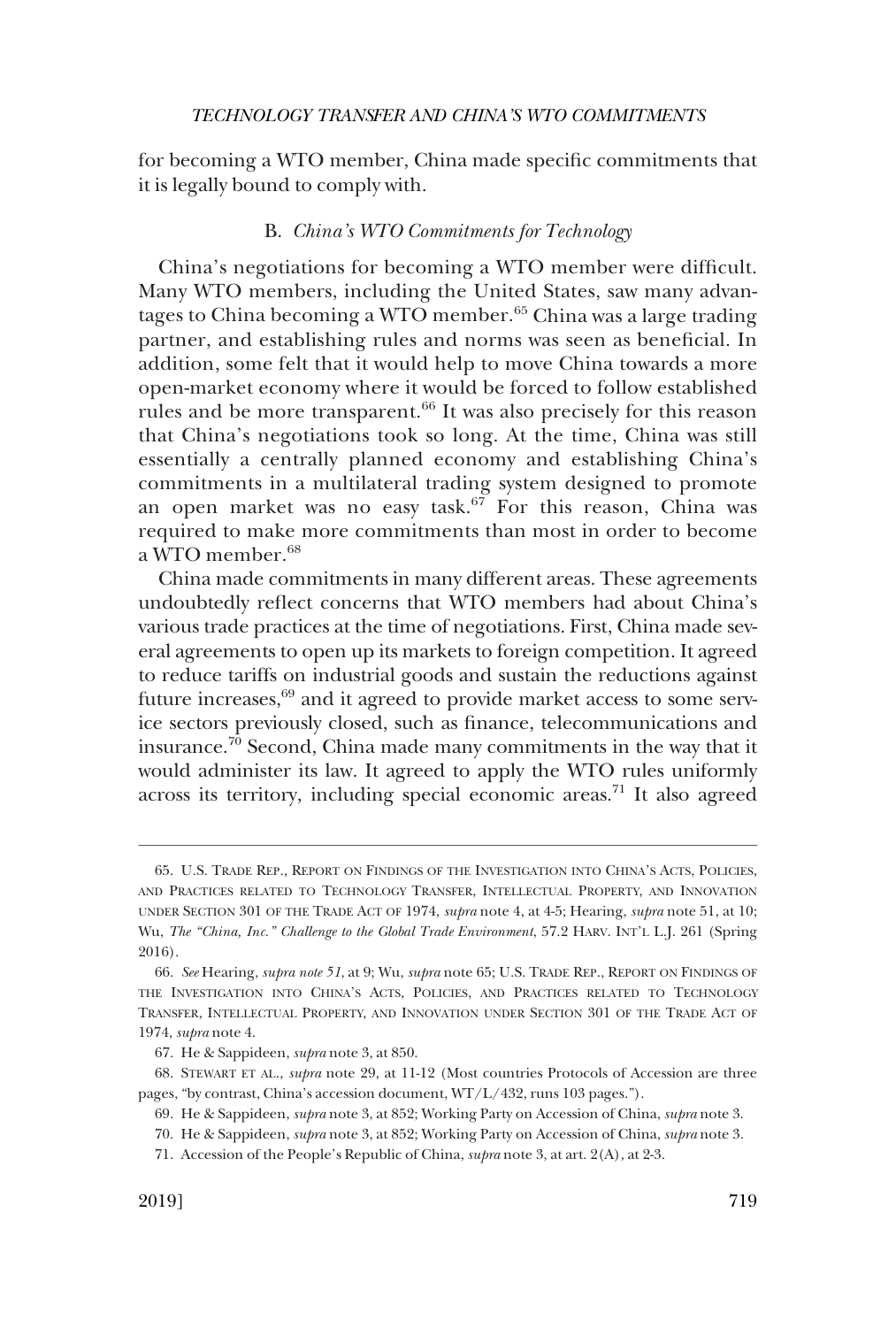<span id="page-10-0"></span>for becoming a WTO member, China made specific commitments that it is legally bound to comply with.

# B. *China's WTO Commitments for Technology*

China's negotiations for becoming a WTO member were difficult. Many WTO members, including the United States, saw many advantages to China becoming a WTO member.<sup>65</sup> China was a large trading partner, and establishing rules and norms was seen as beneficial. In addition, some felt that it would help to move China towards a more open-market economy where it would be forced to follow established rules and be more transparent.<sup>66</sup> It was also precisely for this reason that China's negotiations took so long. At the time, China was still essentially a centrally planned economy and establishing China's commitments in a multilateral trading system designed to promote an open market was no easy task. $67$  For this reason, China was required to make more commitments than most in order to become a WTO member.<sup>68</sup>

China made commitments in many different areas. These agreements undoubtedly reflect concerns that WTO members had about China's various trade practices at the time of negotiations. First, China made several agreements to open up its markets to foreign competition. It agreed to reduce tariffs on industrial goods and sustain the reductions against future increases, $69$  and it agreed to provide market access to some service sectors previously closed, such as finance, telecommunications and insurance.70 Second, China made many commitments in the way that it would administer its law. It agreed to apply the WTO rules uniformly across its territory, including special economic areas.71 It also agreed

<sup>65.</sup> U.S. TRADE REP., REPORT ON FINDINGS OF THE INVESTIGATION INTO CHINA'S ACTS, POLICIES, AND PRACTICES RELATED TO TECHNOLOGY TRANSFER, INTELLECTUAL PROPERTY, AND INNOVATION UNDER SECTION 301 OF THE TRADE ACT OF 1974, *supra* note 4, at 4-5; Hearing, *supra* note 51, at 10; Wu, *The "China, Inc." Challenge to the Global Trade Environment*, 57.2 HARV. INT'L L.J. 261 (Spring 2016).

<sup>66.</sup> *See* Hearing, *supra note 51*, at 9; Wu, *supra* note 65; U.S. TRADE REP., REPORT ON FINDINGS OF THE INVESTIGATION INTO CHINA'S ACTS, POLICIES, AND PRACTICES RELATED TO TECHNOLOGY TRANSFER, INTELLECTUAL PROPERTY, AND INNOVATION UNDER SECTION 301 OF THE TRADE ACT OF 1974, *supra* note 4.

<sup>67.</sup> He & Sappideen, *supra* note 3, at 850.

<sup>68.</sup> STEWART ET AL., *supra* note 29, at 11-12 (Most countries Protocols of Accession are three pages, "by contrast, China's accession document, WT/L/432, runs 103 pages.").

<sup>69.</sup> He & Sappideen, *supra* note 3, at 852; Working Party on Accession of China, *supra* note 3.

<sup>70.</sup> He & Sappideen, *supra* note 3, at 852; Working Party on Accession of China, *supra* note 3.

<sup>71.</sup> Accession of the People's Republic of China, *supra* note 3, at art. 2(A), at 2-3.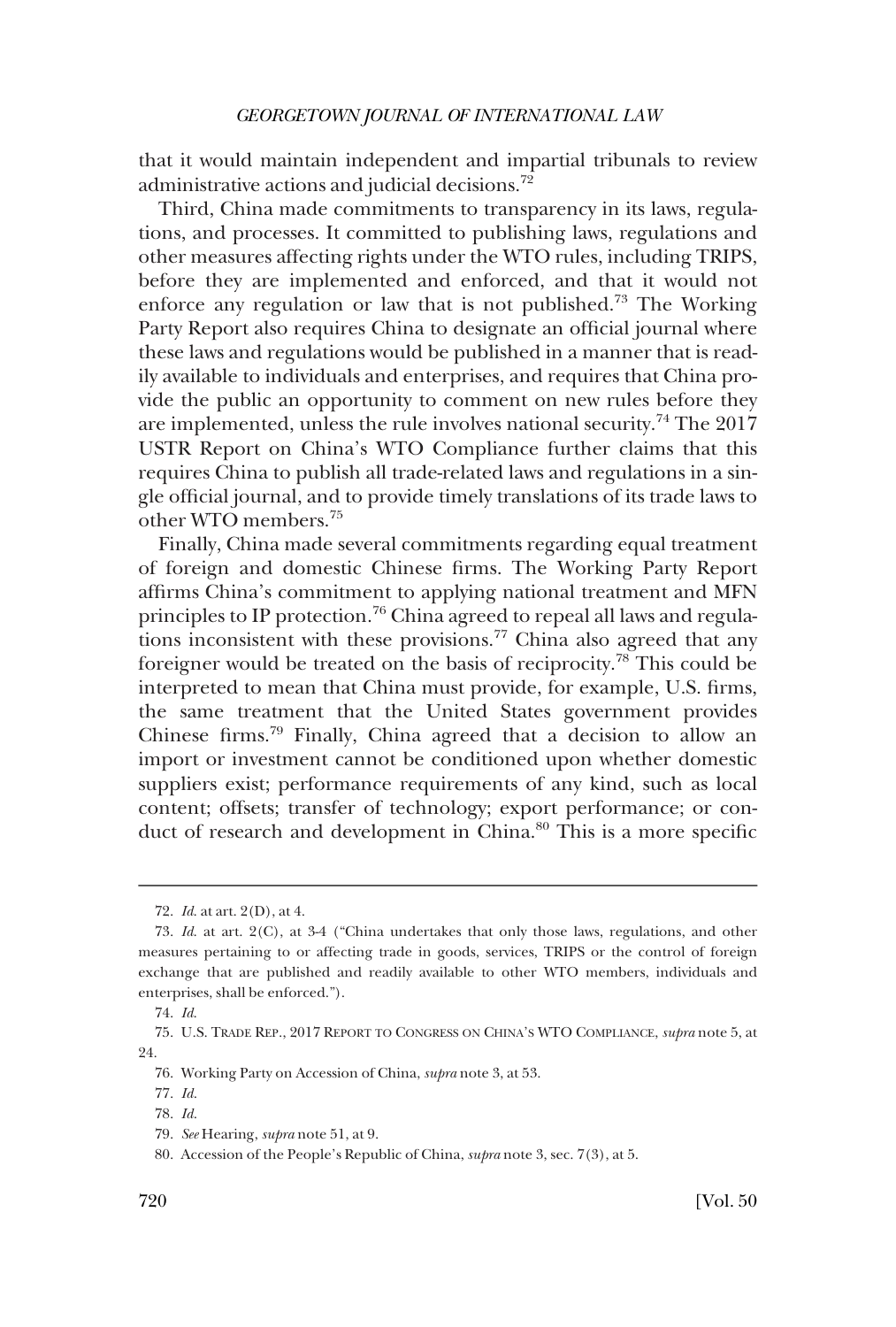that it would maintain independent and impartial tribunals to review administrative actions and judicial decisions.<sup>72</sup>

Third, China made commitments to transparency in its laws, regulations, and processes. It committed to publishing laws, regulations and other measures affecting rights under the WTO rules, including TRIPS, before they are implemented and enforced, and that it would not enforce any regulation or law that is not published.73 The Working Party Report also requires China to designate an official journal where these laws and regulations would be published in a manner that is readily available to individuals and enterprises, and requires that China provide the public an opportunity to comment on new rules before they are implemented, unless the rule involves national security.74 The 2017 USTR Report on China's WTO Compliance further claims that this requires China to publish all trade-related laws and regulations in a single official journal, and to provide timely translations of its trade laws to other WTO members.75

Finally, China made several commitments regarding equal treatment of foreign and domestic Chinese firms. The Working Party Report affirms China's commitment to applying national treatment and MFN principles to IP protection.76 China agreed to repeal all laws and regulations inconsistent with these provisions.<sup>77</sup> China also agreed that any foreigner would be treated on the basis of reciprocity.78 This could be interpreted to mean that China must provide, for example, U.S. firms, the same treatment that the United States government provides Chinese firms.79 Finally, China agreed that a decision to allow an import or investment cannot be conditioned upon whether domestic suppliers exist; performance requirements of any kind, such as local content; offsets; transfer of technology; export performance; or conduct of research and development in China.<sup>80</sup> This is a more specific

<sup>72.</sup> *Id*. at art. 2(D), at 4.

<sup>73.</sup> *Id*. at art. 2(C), at 3-4 ("China undertakes that only those laws, regulations, and other measures pertaining to or affecting trade in goods, services, TRIPS or the control of foreign exchange that are published and readily available to other WTO members, individuals and enterprises, shall be enforced.").

<sup>74.</sup> *Id*.

<sup>75.</sup> U.S. TRADE REP., 2017 REPORT TO CONGRESS ON CHINA'S WTO COMPLIANCE, *supra* note 5, at 24.

<sup>76.</sup> Working Party on Accession of China, *supra* note 3, at 53.

<sup>77.</sup> *Id*.

<sup>78.</sup> *Id*.

<sup>79.</sup> *See* Hearing, *supra* note 51, at 9.

<sup>80.</sup> Accession of the People's Republic of China, *supra* note 3, sec. 7(3), at 5.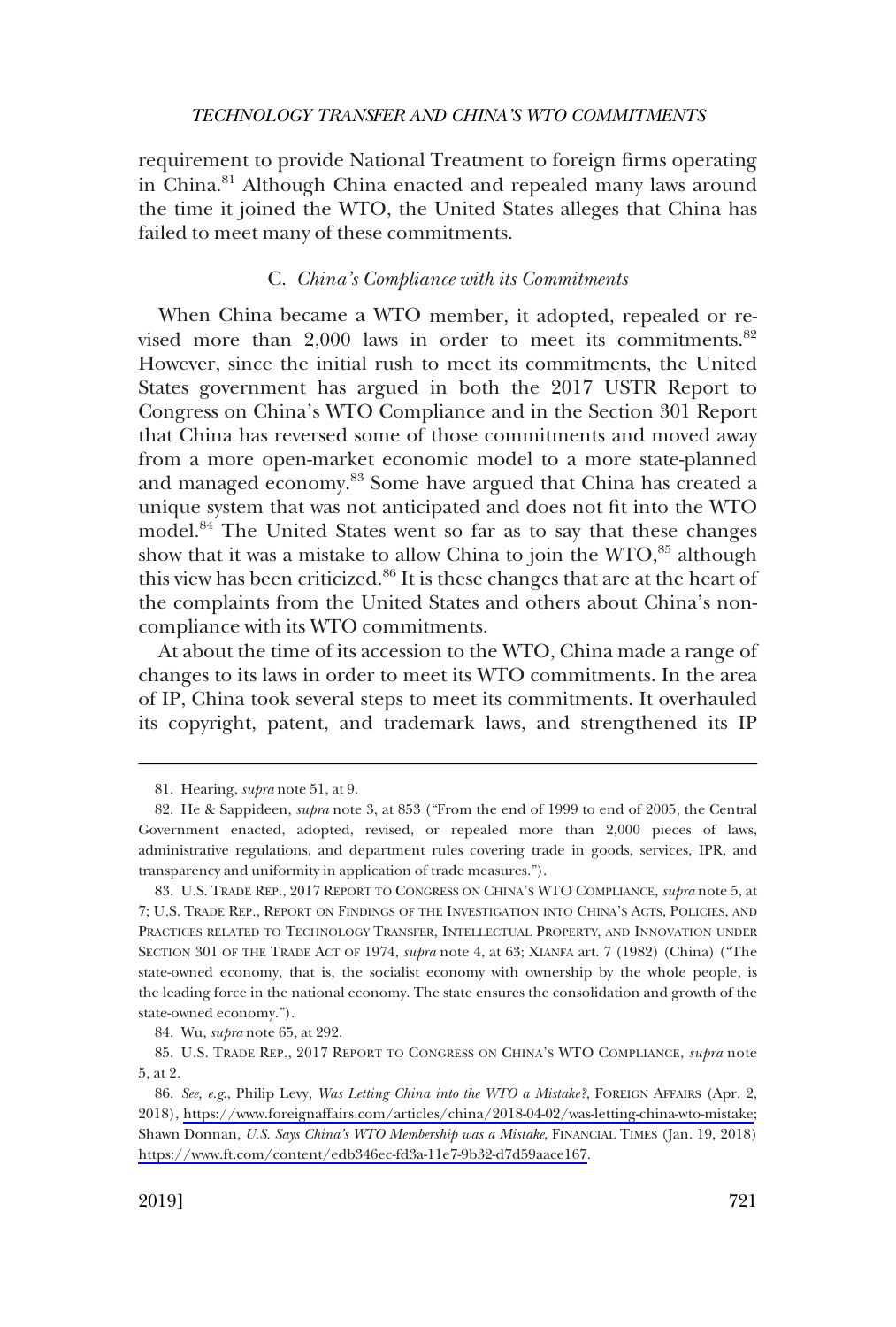<span id="page-12-0"></span>requirement to provide National Treatment to foreign firms operating in China.<sup>81</sup> Although China enacted and repealed many laws around the time it joined the WTO, the United States alleges that China has failed to meet many of these commitments.

#### C. *China's Compliance with its Commitments*

When China became a WTO member, it adopted, repealed or revised more than  $2,000$  laws in order to meet its commitments.<sup>82</sup> However, since the initial rush to meet its commitments, the United States government has argued in both the 2017 USTR Report to Congress on China's WTO Compliance and in the Section 301 Report that China has reversed some of those commitments and moved away from a more open-market economic model to a more state-planned and managed economy.<sup>83</sup> Some have argued that China has created a unique system that was not anticipated and does not fit into the WTO model.<sup>84</sup> The United States went so far as to say that these changes show that it was a mistake to allow China to join the  $WTO<sub>55</sub>$  although this view has been criticized.<sup>86</sup> It is these changes that are at the heart of the complaints from the United States and others about China's noncompliance with its WTO commitments.

At about the time of its accession to the WTO, China made a range of changes to its laws in order to meet its WTO commitments. In the area of IP, China took several steps to meet its commitments. It overhauled its copyright, patent, and trademark laws, and strengthened its IP

<sup>81.</sup> Hearing, *supra* note 51, at 9.

<sup>82.</sup> He & Sappideen, *supra* note 3, at 853 ("From the end of 1999 to end of 2005, the Central Government enacted, adopted, revised, or repealed more than 2,000 pieces of laws, administrative regulations, and department rules covering trade in goods, services, IPR, and transparency and uniformity in application of trade measures.").

<sup>83.</sup> U.S. TRADE REP., 2017 REPORT TO CONGRESS ON CHINA'S WTO COMPLIANCE, *supra* note 5, at 7; U.S. TRADE REP., REPORT ON FINDINGS OF THE INVESTIGATION INTO CHINA'S ACTS, POLICIES, AND PRACTICES RELATED TO TECHNOLOGY TRANSFER, INTELLECTUAL PROPERTY, AND INNOVATION UNDER SECTION 301 OF THE TRADE ACT OF 1974, *supra* note 4, at 63; XIANFA art. 7 (1982) (China) ("The state-owned economy, that is, the socialist economy with ownership by the whole people, is the leading force in the national economy. The state ensures the consolidation and growth of the state-owned economy.").

<sup>84.</sup> Wu, *supra* note 65, at 292.

<sup>85.</sup> U.S. TRADE REP., 2017 REPORT TO CONGRESS ON CHINA'S WTO COMPLIANCE, *supra* note 5, at 2.

*See, e.g*., Philip Levy, *Was Letting China into the WTO a Mistake?*, FOREIGN AFFAIRS (Apr. 2, 86. 2018), [https://www.foreignaffairs.com/articles/china/2018-04-02/was-letting-china-wto-mistake;](https://www.foreignaffairs.com/articles/china/2018-04-02/was-letting-china-wto-mistake) Shawn Donnan, *U.S. Says China's WTO Membership was a Mistake*, FINANCIAL TIMES (Jan. 19, 2018) [https://www.ft.com/content/edb346ec-fd3a-11e7-9b32-d7d59aace167.](https://www.ft.com/content/edb346ec-fd3a-11e7-9b32-d7d59aace167)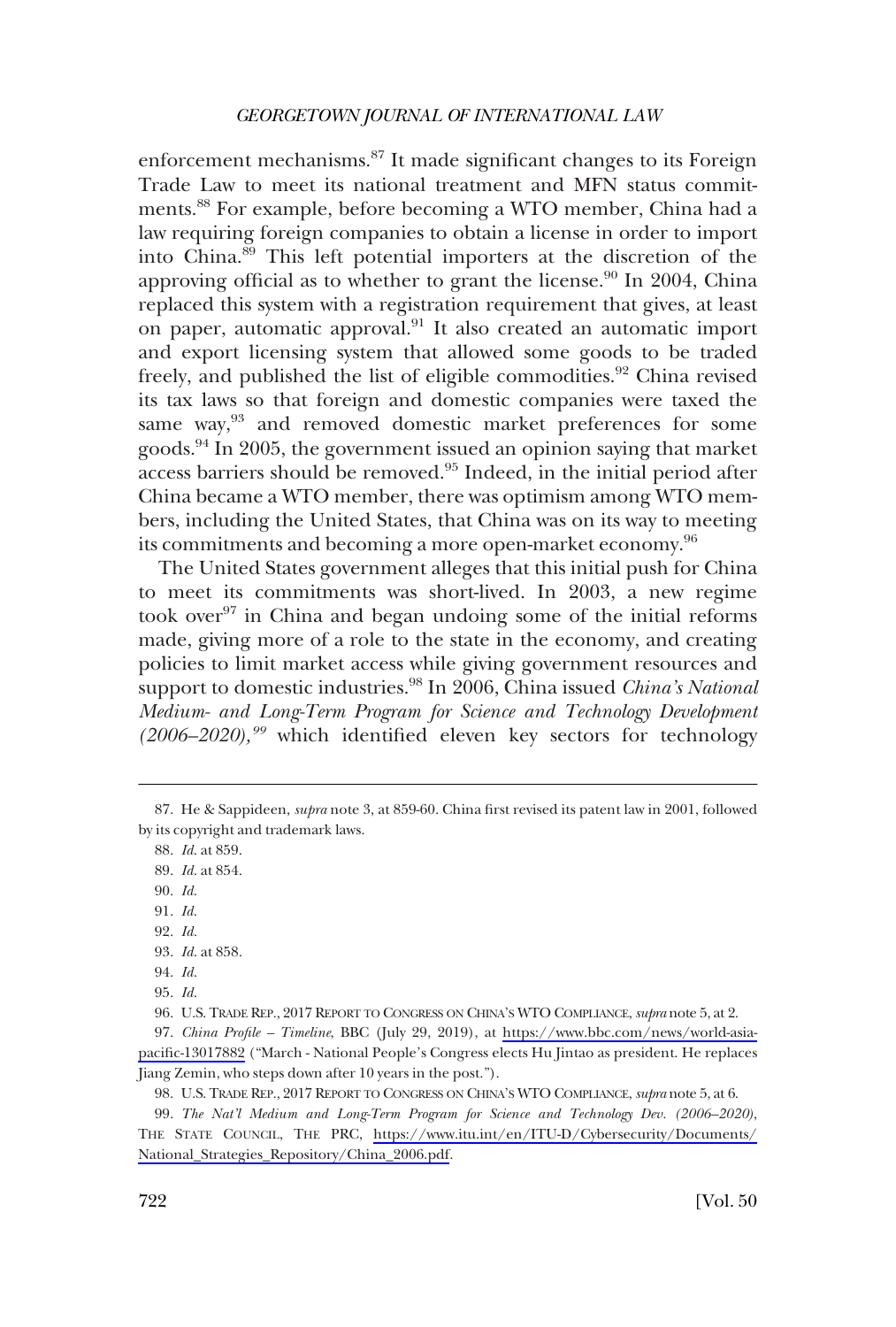enforcement mechanisms.87 It made significant changes to its Foreign Trade Law to meet its national treatment and MFN status commitments.88 For example, before becoming a WTO member, China had a law requiring foreign companies to obtain a license in order to import into China.89 This left potential importers at the discretion of the approving official as to whether to grant the license.<sup>90</sup> In 2004, China replaced this system with a registration requirement that gives, at least on paper, automatic approval.91 It also created an automatic import and export licensing system that allowed some goods to be traded freely, and published the list of eligible commodities.<sup>92</sup> China revised its tax laws so that foreign and domestic companies were taxed the same way,<sup>93</sup> and removed domestic market preferences for some goods.94 In 2005, the government issued an opinion saying that market access barriers should be removed.95 Indeed, in the initial period after China became a WTO member, there was optimism among WTO members, including the United States, that China was on its way to meeting its commitments and becoming a more open-market economy.<sup>96</sup>

The United States government alleges that this initial push for China to meet its commitments was short-lived. In 2003, a new regime took over<sup>97</sup> in China and began undoing some of the initial reforms made, giving more of a role to the state in the economy, and creating policies to limit market access while giving government resources and support to domestic industries.<sup>98</sup> In 2006, China issued *China's National Medium- and Long-Term Program for Science and Technology Development (2006–2020),<sup>99</sup>* which identified eleven key sectors for technology

- 90. *Id*.
- 91. *Id*.
- 92. *Id*.
- 93. *Id*. at 858.
- 94. *Id*.

*The Nat'l Medium and Long-Term Program for Science and Technology Dev. (2006–2020)*, 99. THE STATE COUNCIL, THE PRC, [https://www.itu.int/en/ITU-D/Cybersecurity/Documents/](https://www.itu.int/en/ITU-D/Cybersecurity/Documents/National_Strategies_Repository/China_2006.pdf)  [National\\_Strategies\\_Repository/China\\_2006.pdf.](https://www.itu.int/en/ITU-D/Cybersecurity/Documents/National_Strategies_Repository/China_2006.pdf)

<sup>87.</sup> He & Sappideen, *supra* note 3, at 859-60. China first revised its patent law in 2001, followed by its copyright and trademark laws.

<sup>88.</sup> *Id*. at 859.

<sup>89.</sup> *Id*. at 854.

<sup>95.</sup> *Id*.

<sup>96.</sup> U.S. TRADE REP., 2017 REPORT TO CONGRESS ON CHINA'S WTO COMPLIANCE, *supra* note 5, at 2.

<sup>97.</sup> China Profile – Timeline, BBC (July 29, 2019), at [https://www.bbc.com/news/world-asia](https://www.bbc.com/news/world-asia-pacific-13017882)[pacific-13017882](https://www.bbc.com/news/world-asia-pacific-13017882) ("March - National People's Congress elects Hu Jintao as president. He replaces Jiang Zemin, who steps down after 10 years in the post.").

<sup>98.</sup> U.S. TRADE REP., 2017 REPORT TO CONGRESS ON CHINA'S WTO COMPLIANCE, *supra* note 5, at 6.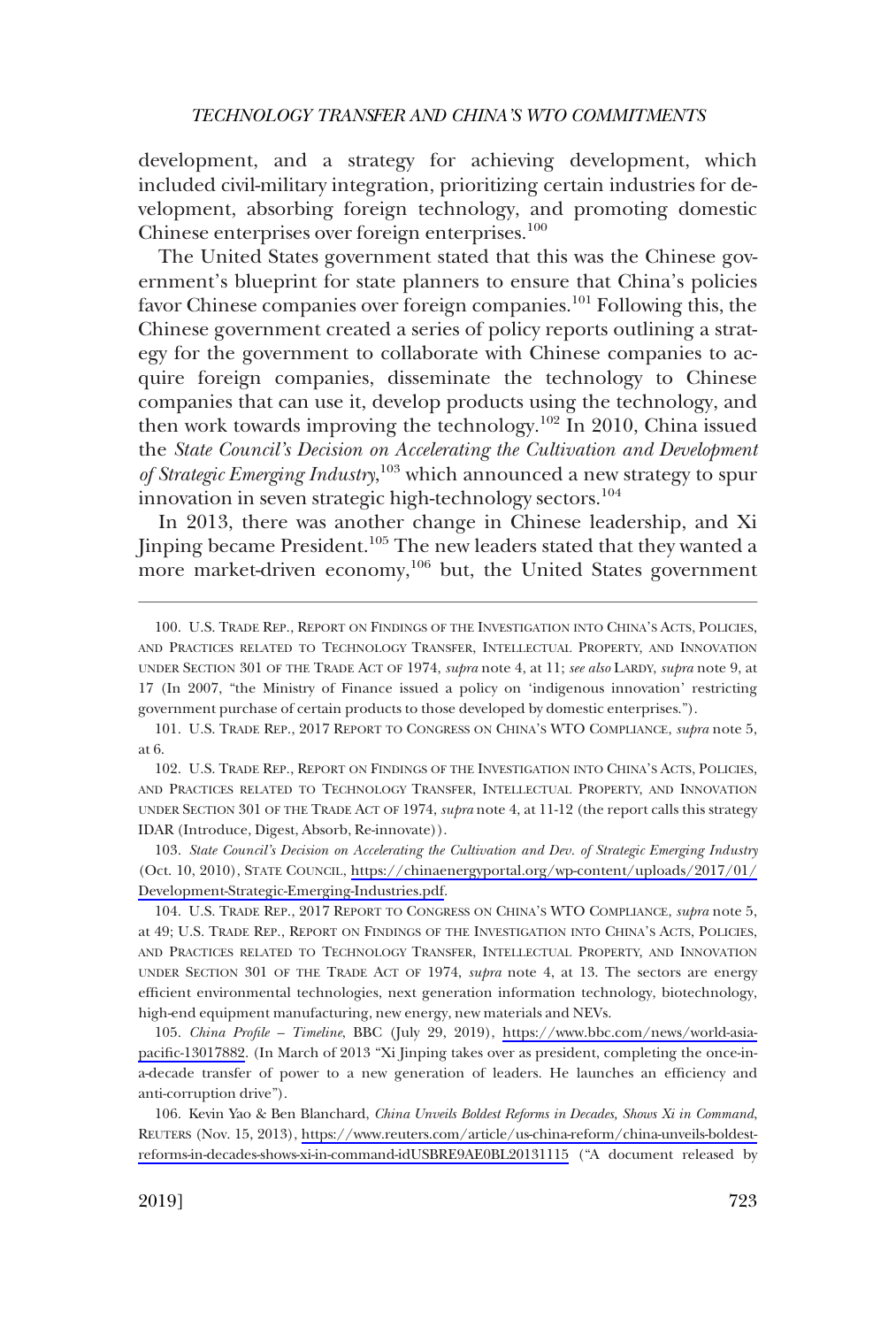development, and a strategy for achieving development, which included civil-military integration, prioritizing certain industries for development, absorbing foreign technology, and promoting domestic Chinese enterprises over foreign enterprises.<sup>100</sup>

The United States government stated that this was the Chinese government's blueprint for state planners to ensure that China's policies favor Chinese companies over foreign companies.101 Following this, the Chinese government created a series of policy reports outlining a strategy for the government to collaborate with Chinese companies to acquire foreign companies, disseminate the technology to Chinese companies that can use it, develop products using the technology, and then work towards improving the technology.<sup>102</sup> In 2010, China issued the *State Council's Decision on Accelerating the Cultivation and Development of Strategic Emerging Industry*, 103 which announced a new strategy to spur innovation in seven strategic high-technology sectors.<sup>104</sup>

In 2013, there was another change in Chinese leadership, and Xi Jinping became President.<sup>105</sup> The new leaders stated that they wanted a more market-driven economy,<sup>106</sup> but, the United States government

102. U.S. TRADE REP., REPORT ON FINDINGS OF THE INVESTIGATION INTO CHINA'S ACTS, POLICIES, AND PRACTICES RELATED TO TECHNOLOGY TRANSFER, INTELLECTUAL PROPERTY, AND INNOVATION UNDER SECTION 301 OF THE TRADE ACT OF 1974, *supra* note 4, at 11-12 (the report calls this strategy IDAR (Introduce, Digest, Absorb, Re-innovate)).

103. State Council's Decision on Accelerating the Cultivation and Dev. of Strategic Emerging Industry (Oct. 10, 2010), STATE COUNCIL, [https://chinaenergyportal.org/wp-content/uploads/2017/01/](https://chinaenergyportal.org/wp-content/uploads/2017/01/Development-Strategic-Emerging-Industries.pdf) [Development-Strategic-Emerging-Industries.pdf](https://chinaenergyportal.org/wp-content/uploads/2017/01/Development-Strategic-Emerging-Industries.pdf).

104. U.S. TRADE REP., 2017 REPORT TO CONGRESS ON CHINA'S WTO COMPLIANCE, *supra* note 5, at 49; U.S. TRADE REP., REPORT ON FINDINGS OF THE INVESTIGATION INTO CHINA'S ACTS, POLICIES, AND PRACTICES RELATED TO TECHNOLOGY TRANSFER, INTELLECTUAL PROPERTY, AND INNOVATION UNDER SECTION 301 OF THE TRADE ACT OF 1974, *supra* note 4, at 13. The sectors are energy efficient environmental technologies, next generation information technology, biotechnology, high-end equipment manufacturing, new energy, new materials and NEVs.

*China Profile – Timeline*, BBC (July 29, 2019), [https://www.bbc.com/news/world-asia-](https://www.bbc.com/news/world-asia-pacific-13017882)105. [pacific-13017882](https://www.bbc.com/news/world-asia-pacific-13017882). (In March of 2013 "Xi Jinping takes over as president, completing the once-ina-decade transfer of power to a new generation of leaders. He launches an efficiency and anti-corruption drive").

106. Kevin Yao & Ben Blanchard, *China Unveils Boldest Reforms in Decades, Shows Xi in Command*, REUTERS (Nov. 15, 2013), [https://www.reuters.com/article/us-china-reform/china-unveils-boldest](https://www.reuters.com/article/us-china-reform/china-unveils-boldest-reforms-in-decades-shows-xi-in-command-idUSBRE9AE0BL20131115)[reforms-in-decades-shows-xi-in-command-idUSBRE9AE0BL20131115](https://www.reuters.com/article/us-china-reform/china-unveils-boldest-reforms-in-decades-shows-xi-in-command-idUSBRE9AE0BL20131115) ("A document released by

<sup>100.</sup> U.S. TRADE REP., REPORT ON FINDINGS OF THE INVESTIGATION INTO CHINA'S ACTS, POLICIES, AND PRACTICES RELATED TO TECHNOLOGY TRANSFER, INTELLECTUAL PROPERTY, AND INNOVATION UNDER SECTION 301 OF THE TRADE ACT OF 1974, *supra* note 4, at 11; *see also* LARDY, *supra* note 9, at 17 (In 2007, "the Ministry of Finance issued a policy on 'indigenous innovation' restricting government purchase of certain products to those developed by domestic enterprises.").

<sup>101.</sup> U.S. TRADE REP., 2017 REPORT TO CONGRESS ON CHINA'S WTO COMPLIANCE, *supra* note 5, at 6.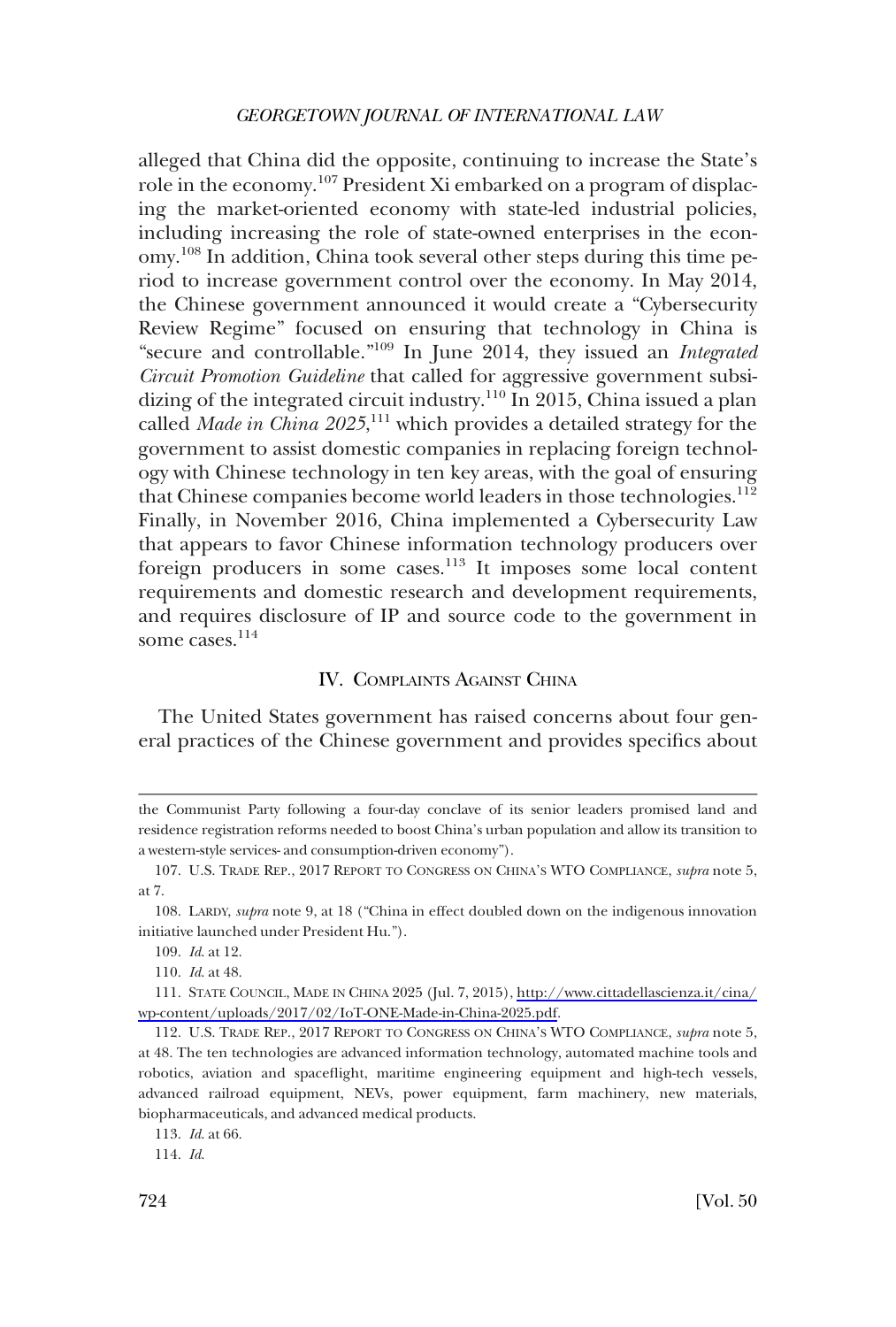<span id="page-15-0"></span>alleged that China did the opposite, continuing to increase the State's role in the economy.<sup>107</sup> President Xi embarked on a program of displacing the market-oriented economy with state-led industrial policies, including increasing the role of state-owned enterprises in the economy.108 In addition, China took several other steps during this time period to increase government control over the economy. In May 2014, the Chinese government announced it would create a "Cybersecurity Review Regime" focused on ensuring that technology in China is "secure and controllable."109 In June 2014, they issued an *Integrated Circuit Promotion Guideline* that called for aggressive government subsidizing of the integrated circuit industry.<sup>110</sup> In 2015, China issued a plan called *Made in China 2025*, 111 which provides a detailed strategy for the government to assist domestic companies in replacing foreign technology with Chinese technology in ten key areas, with the goal of ensuring that Chinese companies become world leaders in those technologies.<sup>112</sup> Finally, in November 2016, China implemented a Cybersecurity Law that appears to favor Chinese information technology producers over foreign producers in some cases.113 It imposes some local content requirements and domestic research and development requirements, and requires disclosure of IP and source code to the government in some cases.<sup>114</sup>

# IV. COMPLAINTS AGAINST CHINA

The United States government has raised concerns about four general practices of the Chinese government and provides specifics about

the Communist Party following a four-day conclave of its senior leaders promised land and residence registration reforms needed to boost China's urban population and allow its transition to a western-style services- and consumption-driven economy").

<sup>107.</sup> U.S. TRADE REP., 2017 REPORT TO CONGRESS ON CHINA'S WTO COMPLIANCE, *supra* note 5, at 7.

<sup>108.</sup> LARDY, *supra* note 9, at 18 ("China in effect doubled down on the indigenous innovation initiative launched under President Hu.").

<sup>109.</sup> *Id*. at 12.

<sup>110.</sup> *Id*. at 48.

STATE COUNCIL, MADE IN CHINA 2025 (Jul. 7, 2015), [http://www.cittadellascienza.it/cina/](http://www.cittadellascienza.it/cina/wp-content/uploads/2017/02/IoT-ONE-Made-in-China-2025.pdf)  111. [wp-content/uploads/2017/02/IoT-ONE-Made-in-China-2025.pdf](http://www.cittadellascienza.it/cina/wp-content/uploads/2017/02/IoT-ONE-Made-in-China-2025.pdf).

<sup>112.</sup> U.S. TRADE REP., 2017 REPORT TO CONGRESS ON CHINA'S WTO COMPLIANCE, *supra* note 5, at 48. The ten technologies are advanced information technology, automated machine tools and robotics, aviation and spaceflight, maritime engineering equipment and high-tech vessels, advanced railroad equipment, NEVs, power equipment, farm machinery, new materials, biopharmaceuticals, and advanced medical products.

<sup>113.</sup> *Id*. at 66.

<sup>114.</sup> *Id*.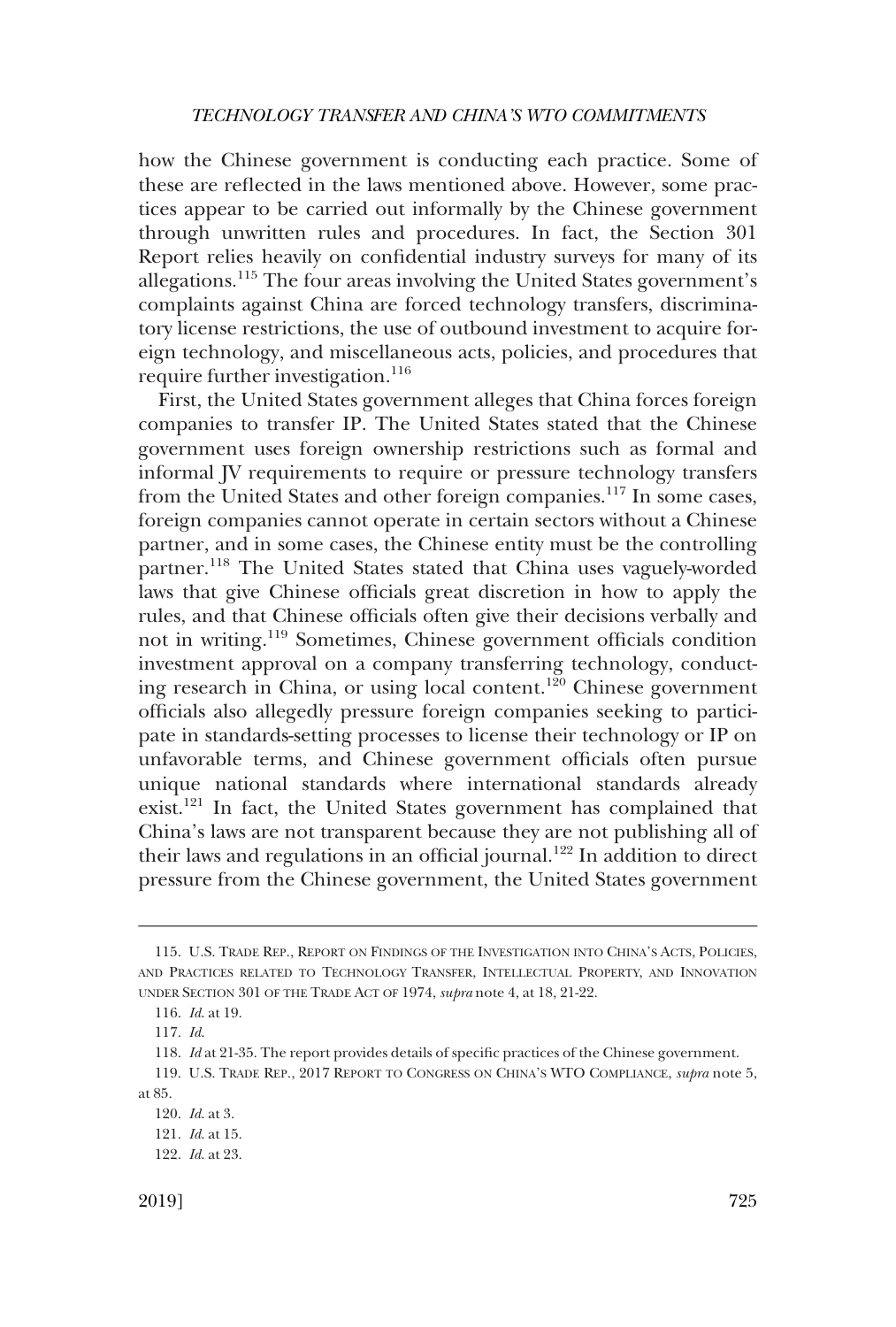how the Chinese government is conducting each practice. Some of these are reflected in the laws mentioned above. However, some practices appear to be carried out informally by the Chinese government through unwritten rules and procedures. In fact, the Section 301 Report relies heavily on confidential industry surveys for many of its allegations.115 The four areas involving the United States government's complaints against China are forced technology transfers, discriminatory license restrictions, the use of outbound investment to acquire foreign technology, and miscellaneous acts, policies, and procedures that require further investigation.<sup>116</sup>

First, the United States government alleges that China forces foreign companies to transfer IP. The United States stated that the Chinese government uses foreign ownership restrictions such as formal and informal JV requirements to require or pressure technology transfers from the United States and other foreign companies.<sup>117</sup> In some cases, foreign companies cannot operate in certain sectors without a Chinese partner, and in some cases, the Chinese entity must be the controlling partner.118 The United States stated that China uses vaguely-worded laws that give Chinese officials great discretion in how to apply the rules, and that Chinese officials often give their decisions verbally and not in writing.119 Sometimes, Chinese government officials condition investment approval on a company transferring technology, conducting research in China, or using local content.120 Chinese government officials also allegedly pressure foreign companies seeking to participate in standards-setting processes to license their technology or IP on unfavorable terms, and Chinese government officials often pursue unique national standards where international standards already exist.121 In fact, the United States government has complained that China's laws are not transparent because they are not publishing all of their laws and regulations in an official journal.<sup>122</sup> In addition to direct pressure from the Chinese government, the United States government

<sup>115.</sup> U.S. TRADE REP., REPORT ON FINDINGS OF THE INVESTIGATION INTO CHINA'S ACTS, POLICIES, AND PRACTICES RELATED TO TECHNOLOGY TRANSFER, INTELLECTUAL PROPERTY, AND INNOVATION UNDER SECTION 301 OF THE TRADE ACT OF 1974, *supra* note 4, at 18, 21-22.

<sup>116.</sup> *Id*. at 19.

<sup>117.</sup> *Id*.

<sup>118.</sup> *Id* at 21-35. The report provides details of specific practices of the Chinese government.

<sup>119.</sup> U.S. TRADE REP., 2017 REPORT TO CONGRESS ON CHINA'S WTO COMPLIANCE, *supra* note 5, at 85.

<sup>120.</sup> *Id*. at 3.

<sup>121.</sup> *Id*. at 15.

<sup>122.</sup> *Id*. at 23.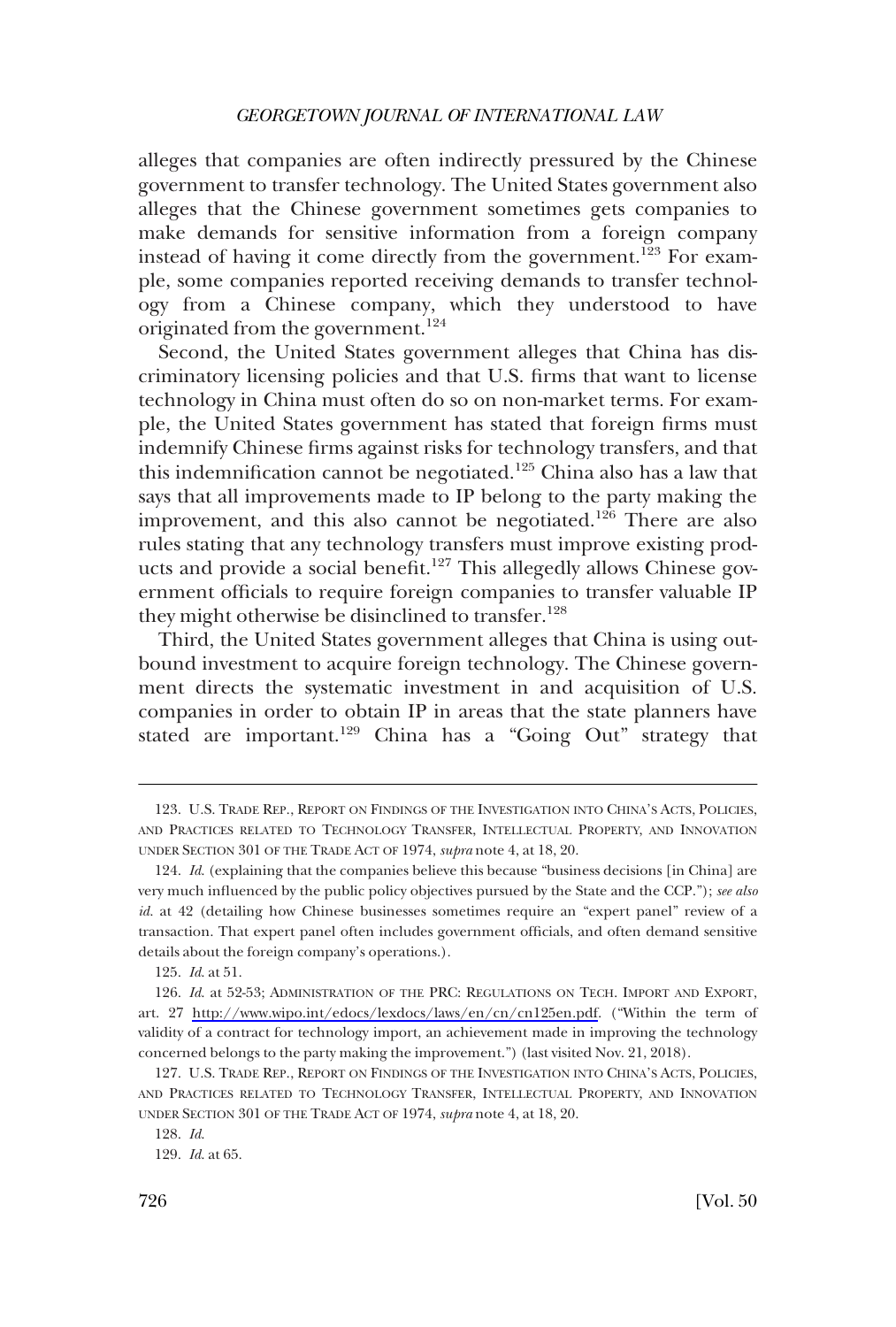alleges that companies are often indirectly pressured by the Chinese government to transfer technology. The United States government also alleges that the Chinese government sometimes gets companies to make demands for sensitive information from a foreign company instead of having it come directly from the government.<sup>123</sup> For example, some companies reported receiving demands to transfer technology from a Chinese company, which they understood to have originated from the government.<sup>124</sup>

Second, the United States government alleges that China has discriminatory licensing policies and that U.S. firms that want to license technology in China must often do so on non-market terms. For example, the United States government has stated that foreign firms must indemnify Chinese firms against risks for technology transfers, and that this indemnification cannot be negotiated.<sup>125</sup> China also has a law that says that all improvements made to IP belong to the party making the improvement, and this also cannot be negotiated.<sup>126</sup> There are also rules stating that any technology transfers must improve existing products and provide a social benefit.<sup>127</sup> This allegedly allows Chinese government officials to require foreign companies to transfer valuable IP they might otherwise be disinclined to transfer.<sup>128</sup>

Third, the United States government alleges that China is using outbound investment to acquire foreign technology. The Chinese government directs the systematic investment in and acquisition of U.S. companies in order to obtain IP in areas that the state planners have stated are important.<sup>129</sup> China has a "Going Out" strategy that

<sup>123.</sup> U.S. TRADE REP., REPORT ON FINDINGS OF THE INVESTIGATION INTO CHINA'S ACTS, POLICIES, AND PRACTICES RELATED TO TECHNOLOGY TRANSFER, INTELLECTUAL PROPERTY, AND INNOVATION UNDER SECTION 301 OF THE TRADE ACT OF 1974, *supra* note 4, at 18, 20.

<sup>124.</sup> *Id*. (explaining that the companies believe this because "business decisions [in China] are very much influenced by the public policy objectives pursued by the State and the CCP."); *see also id*. at 42 (detailing how Chinese businesses sometimes require an "expert panel" review of a transaction. That expert panel often includes government officials, and often demand sensitive details about the foreign company's operations.).

<sup>125.</sup> *Id*. at 51.

<sup>126.</sup> Id. at 52-53; ADMINISTRATION OF THE PRC: REGULATIONS ON TECH. IMPORT AND EXPORT, art. 27 [http://www.wipo.int/edocs/lexdocs/laws/en/cn/cn125en.pdf.](http://www.wipo.int/edocs/lexdocs/laws/en/cn/cn125en.pdf) ("Within the term of validity of a contract for technology import, an achievement made in improving the technology concerned belongs to the party making the improvement.") (last visited Nov. 21, 2018).

<sup>127.</sup> U.S. TRADE REP., REPORT ON FINDINGS OF THE INVESTIGATION INTO CHINA'S ACTS, POLICIES, AND PRACTICES RELATED TO TECHNOLOGY TRANSFER, INTELLECTUAL PROPERTY, AND INNOVATION UNDER SECTION 301 OF THE TRADE ACT OF 1974, *supra* note 4, at 18, 20.

<sup>128.</sup> *Id*.

<sup>129.</sup> *Id*. at 65.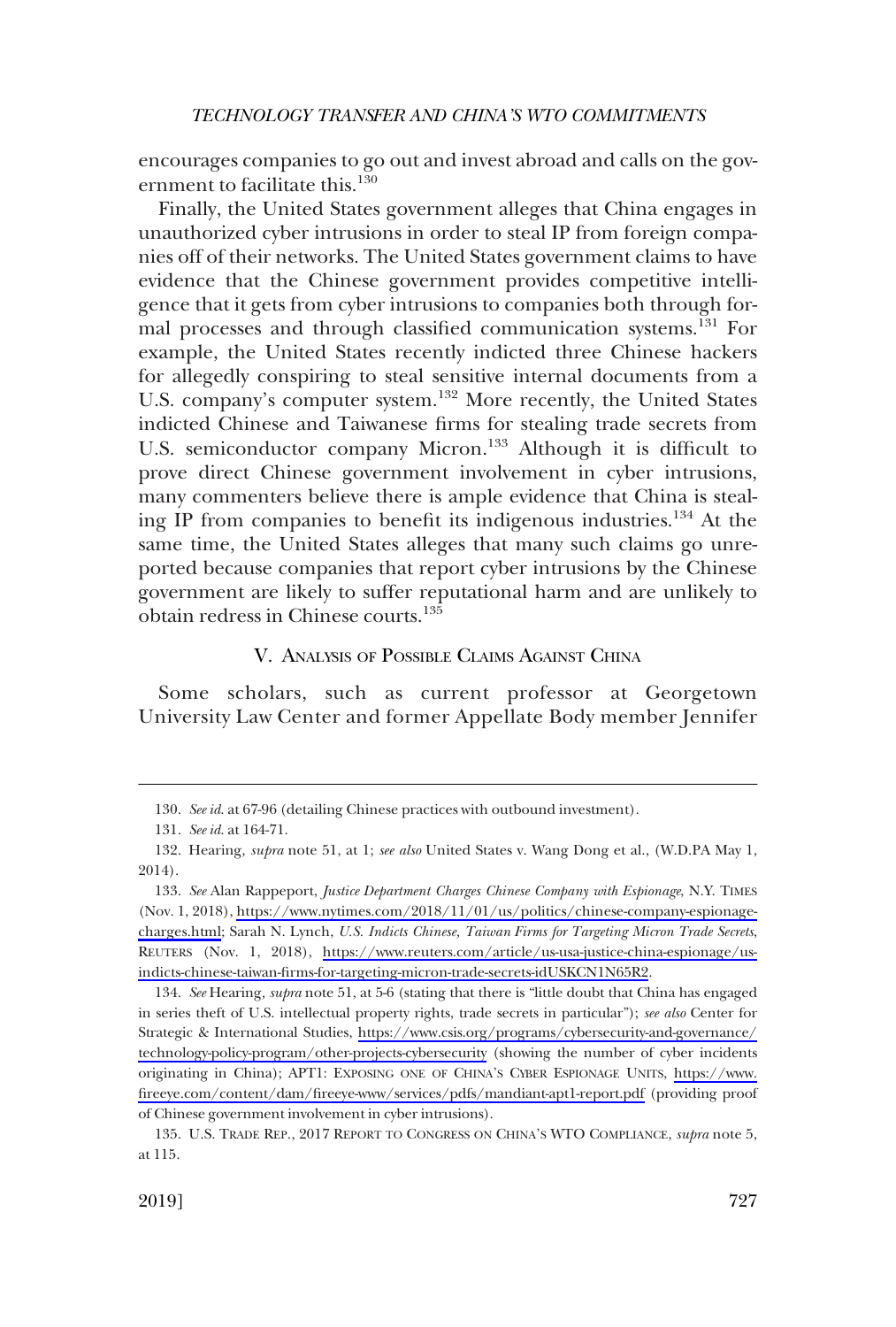<span id="page-18-0"></span>encourages companies to go out and invest abroad and calls on the government to facilitate this.<sup>130</sup>

Finally, the United States government alleges that China engages in unauthorized cyber intrusions in order to steal IP from foreign companies off of their networks. The United States government claims to have evidence that the Chinese government provides competitive intelligence that it gets from cyber intrusions to companies both through formal processes and through classified communication systems.<sup>131</sup> For example, the United States recently indicted three Chinese hackers for allegedly conspiring to steal sensitive internal documents from a U.S. company's computer system.<sup>132</sup> More recently, the United States indicted Chinese and Taiwanese firms for stealing trade secrets from U.S. semiconductor company Micron.<sup>133</sup> Although it is difficult to prove direct Chinese government involvement in cyber intrusions, many commenters believe there is ample evidence that China is stealing IP from companies to benefit its indigenous industries.<sup>134</sup> At the same time, the United States alleges that many such claims go unreported because companies that report cyber intrusions by the Chinese government are likely to suffer reputational harm and are unlikely to obtain redress in Chinese courts.<sup>135</sup>

### V. ANALYSIS OF POSSIBLE CLAIMS AGAINST CHINA

Some scholars, such as current professor at Georgetown University Law Center and former Appellate Body member Jennifer

<sup>130.</sup> *See id*. at 67-96 (detailing Chinese practices with outbound investment).

<sup>131.</sup> *See id*. at 164-71.

<sup>132.</sup> Hearing*, supra* note 51, at 1; *see also* United States v. Wang Dong et al., (W.D.PA May 1, 2014).

<sup>133.</sup> See Alan Rappeport, *Justice Department Charges Chinese Company with Espionage*, N.Y. TIMES (Nov. 1, 2018), [https://www.nytimes.com/2018/11/01/us/politics/chinese-company-espionage](https://www.nytimes.com/2018/11/01/us/politics/chinese-company-espionage-charges.html)[charges.html](https://www.nytimes.com/2018/11/01/us/politics/chinese-company-espionage-charges.html); Sarah N. Lynch, *U.S. Indicts Chinese, Taiwan Firms for Targeting Micron Trade Secrets*, REUTERS (Nov. 1, 2018), [https://www.reuters.com/article/us-usa-justice-china-espionage/us](https://www.reuters.com/article/us-usa-justice-china-espionage/us-indicts-chinese-taiwan-firms-for-targeting-micron-trade-secrets-idUSKCN1N65R2)[indicts-chinese-taiwan-firms-for-targeting-micron-trade-secrets-idUSKCN1N65R2](https://www.reuters.com/article/us-usa-justice-china-espionage/us-indicts-chinese-taiwan-firms-for-targeting-micron-trade-secrets-idUSKCN1N65R2).

<sup>134.</sup> See Hearing, *supra* note 51, at 5-6 (stating that there is "little doubt that China has engaged in series theft of U.S. intellectual property rights, trade secrets in particular"); *see also* Center for Strategic & International Studies, [https://www.csis.org/programs/cybersecurity-and-governance/](https://www.csis.org/programs/cybersecurity-and-governance/technology-policy-program/other-projects-cybersecurity)  [technology-policy-program/other-projects-cybersecurity](https://www.csis.org/programs/cybersecurity-and-governance/technology-policy-program/other-projects-cybersecurity) (showing the number of cyber incidents originating in China); APT1: EXPOSING ONE OF CHINA'S CYBER ESPIONAGE UNITS, [https://www.](https://www.fireeye.com/content/dam/fireeye-www/services/pdfs/mandiant-apt1-report.pdf)  [fireeye.com/content/dam/fireeye-www/services/pdfs/mandiant-apt1-report.pdf](https://www.fireeye.com/content/dam/fireeye-www/services/pdfs/mandiant-apt1-report.pdf) (providing proof of Chinese government involvement in cyber intrusions).

<sup>135.</sup> U.S. TRADE REP., 2017 REPORT TO CONGRESS ON CHINA'S WTO COMPLIANCE, *supra* note 5, at 115.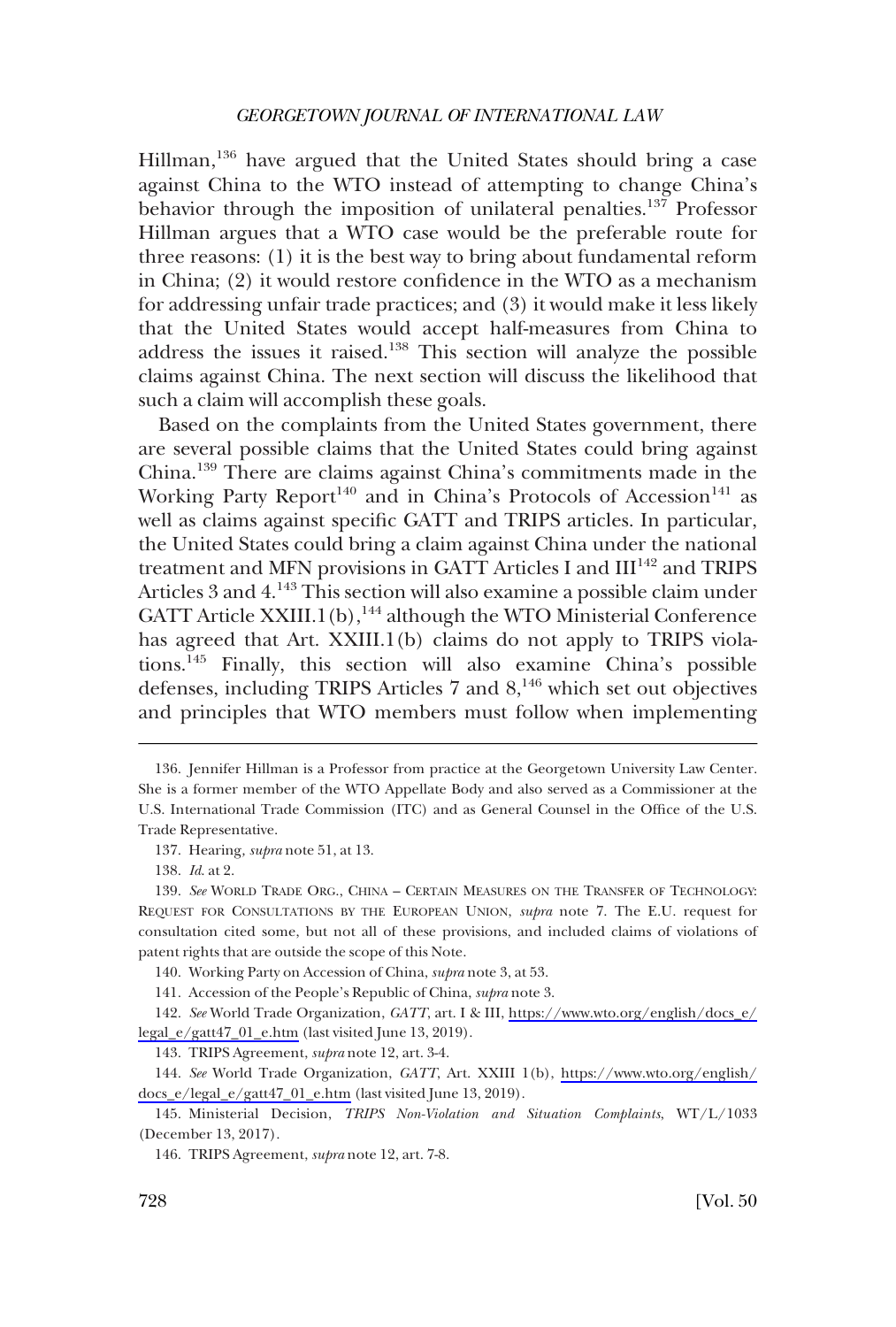Hillman,<sup>136</sup> have argued that the United States should bring a case against China to the WTO instead of attempting to change China's behavior through the imposition of unilateral penalties.<sup>137</sup> Professor Hillman argues that a WTO case would be the preferable route for three reasons: (1) it is the best way to bring about fundamental reform in China; (2) it would restore confidence in the WTO as a mechanism for addressing unfair trade practices; and (3) it would make it less likely that the United States would accept half-measures from China to address the issues it raised.138 This section will analyze the possible claims against China. The next section will discuss the likelihood that such a claim will accomplish these goals.

Based on the complaints from the United States government, there are several possible claims that the United States could bring against China.139 There are claims against China's commitments made in the Working Party Report<sup>140</sup> and in China's Protocols of Accession<sup>141</sup> as well as claims against specific GATT and TRIPS articles. In particular, the United States could bring a claim against China under the national treatment and MFN provisions in GATT Articles I and III<sup>142</sup> and TRIPS Articles 3 and 4.143 This section will also examine a possible claim under GATT Article XXIII.1(b),<sup>144</sup> although the WTO Ministerial Conference has agreed that Art. XXIII.1(b) claims do not apply to TRIPS violations.145 Finally, this section will also examine China's possible defenses, including TRIPS Articles 7 and 8,<sup>146</sup> which set out objectives and principles that WTO members must follow when implementing

<sup>136.</sup> Jennifer Hillman is a Professor from practice at the Georgetown University Law Center. She is a former member of the WTO Appellate Body and also served as a Commissioner at the U.S. International Trade Commission (ITC) and as General Counsel in the Office of the U.S. Trade Representative.

<sup>137.</sup> Hearing*, supra* note 51, at 13.

<sup>138.</sup> *Id*. at 2.

<sup>139.</sup> *See* WORLD TRADE ORG., CHINA – CERTAIN MEASURES ON THE TRANSFER OF TECHNOLOGY: REQUEST FOR CONSULTATIONS BY THE EUROPEAN UNION, *supra* note 7. The E.U. request for consultation cited some, but not all of these provisions, and included claims of violations of patent rights that are outside the scope of this Note.

<sup>140.</sup> Working Party on Accession of China, *supra* note 3, at 53.

<sup>141.</sup> Accession of the People's Republic of China, *supra* note 3.

*See* World Trade Organization, *GATT*, art. I & III, [https://www.wto.org/english/docs\\_e/](https://www.wto.org/english/docs_e/legal_e/gatt47_01_e.htm)  142. [legal\\_e/gatt47\\_01\\_e.htm](https://www.wto.org/english/docs_e/legal_e/gatt47_01_e.htm) (last visited June 13, 2019).

<sup>143.</sup> TRIPS Agreement, *supra* note 12, art. 3-4.

*See* World Trade Organization, *GATT*, Art. XXIII 1(b), [https://www.wto.org/english/](https://www.wto.org/english/docs_e/legal_e/gatt47_01_e.htm) 144. [docs\\_e/legal\\_e/gatt47\\_01\\_e.htm](https://www.wto.org/english/docs_e/legal_e/gatt47_01_e.htm) (last visited June 13, 2019).

<sup>145.</sup> Ministerial Decision, *TRIPS Non-Violation and Situation Complaints*, WT/L/1033 (December 13, 2017).

<sup>146.</sup> TRIPS Agreement, *supra* note 12, art. 7-8.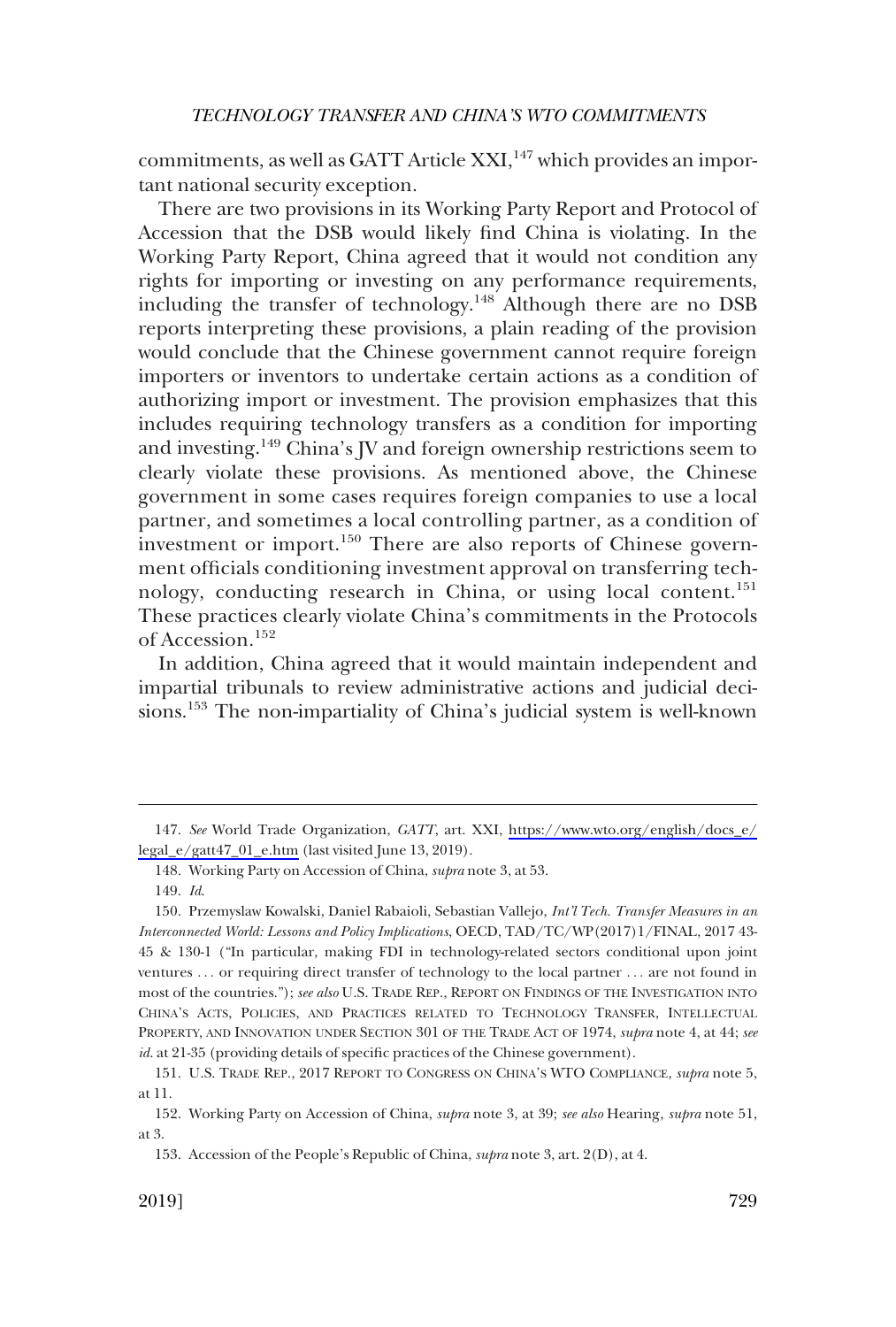commitments, as well as GATT Article XXI,<sup>147</sup> which provides an important national security exception.

There are two provisions in its Working Party Report and Protocol of Accession that the DSB would likely find China is violating. In the Working Party Report, China agreed that it would not condition any rights for importing or investing on any performance requirements, including the transfer of technology.148 Although there are no DSB reports interpreting these provisions, a plain reading of the provision would conclude that the Chinese government cannot require foreign importers or inventors to undertake certain actions as a condition of authorizing import or investment. The provision emphasizes that this includes requiring technology transfers as a condition for importing and investing.<sup>149</sup> China's JV and foreign ownership restrictions seem to clearly violate these provisions. As mentioned above, the Chinese government in some cases requires foreign companies to use a local partner, and sometimes a local controlling partner, as a condition of investment or import.<sup>150</sup> There are also reports of Chinese government officials conditioning investment approval on transferring technology, conducting research in China, or using local content.<sup>151</sup> These practices clearly violate China's commitments in the Protocols of Accession.<sup>152</sup>

In addition, China agreed that it would maintain independent and impartial tribunals to review administrative actions and judicial decisions.153 The non-impartiality of China's judicial system is well-known

*See* World Trade Organization, *GATT*, art. XXI, [https://www.wto.org/english/docs\\_e/](https://www.wto.org/english/docs_e/legal_e/gatt47_01_e.htm)  147. [legal\\_e/gatt47\\_01\\_e.htm](https://www.wto.org/english/docs_e/legal_e/gatt47_01_e.htm) (last visited June 13, 2019).

<sup>148.</sup> Working Party on Accession of China, *supra* note 3, at 53.

<sup>149.</sup> *Id*.

<sup>150.</sup> Przemyslaw Kowalski, Daniel Rabaioli, Sebastian Vallejo, *Int'l Tech. Transfer Measures in an Interconnected World: Lessons and Policy Implications*, OECD, TAD/TC/WP(2017)1/FINAL, 2017 43- 45 & 130-1 ("In particular, making FDI in technology-related sectors conditional upon joint ventures . . . or requiring direct transfer of technology to the local partner . . . are not found in most of the countries."); *see also* U.S. TRADE REP., REPORT ON FINDINGS OF THE INVESTIGATION INTO CHINA'S ACTS, POLICIES, AND PRACTICES RELATED TO TECHNOLOGY TRANSFER, INTELLECTUAL PROPERTY, AND INNOVATION UNDER SECTION 301 OF THE TRADE ACT OF 1974, *supra* note 4, at 44; *see id*. at 21-35 (providing details of specific practices of the Chinese government).

<sup>151.</sup> U.S. TRADE REP., 2017 REPORT TO CONGRESS ON CHINA'S WTO COMPLIANCE, *supra* note 5, at 11.

<sup>152.</sup> Working Party on Accession of China, *supra* note 3, at 39; *see also* Hearing*, supra* note 51, at 3.

<sup>153.</sup> Accession of the People's Republic of China, *supra* note 3, art. 2(D), at 4.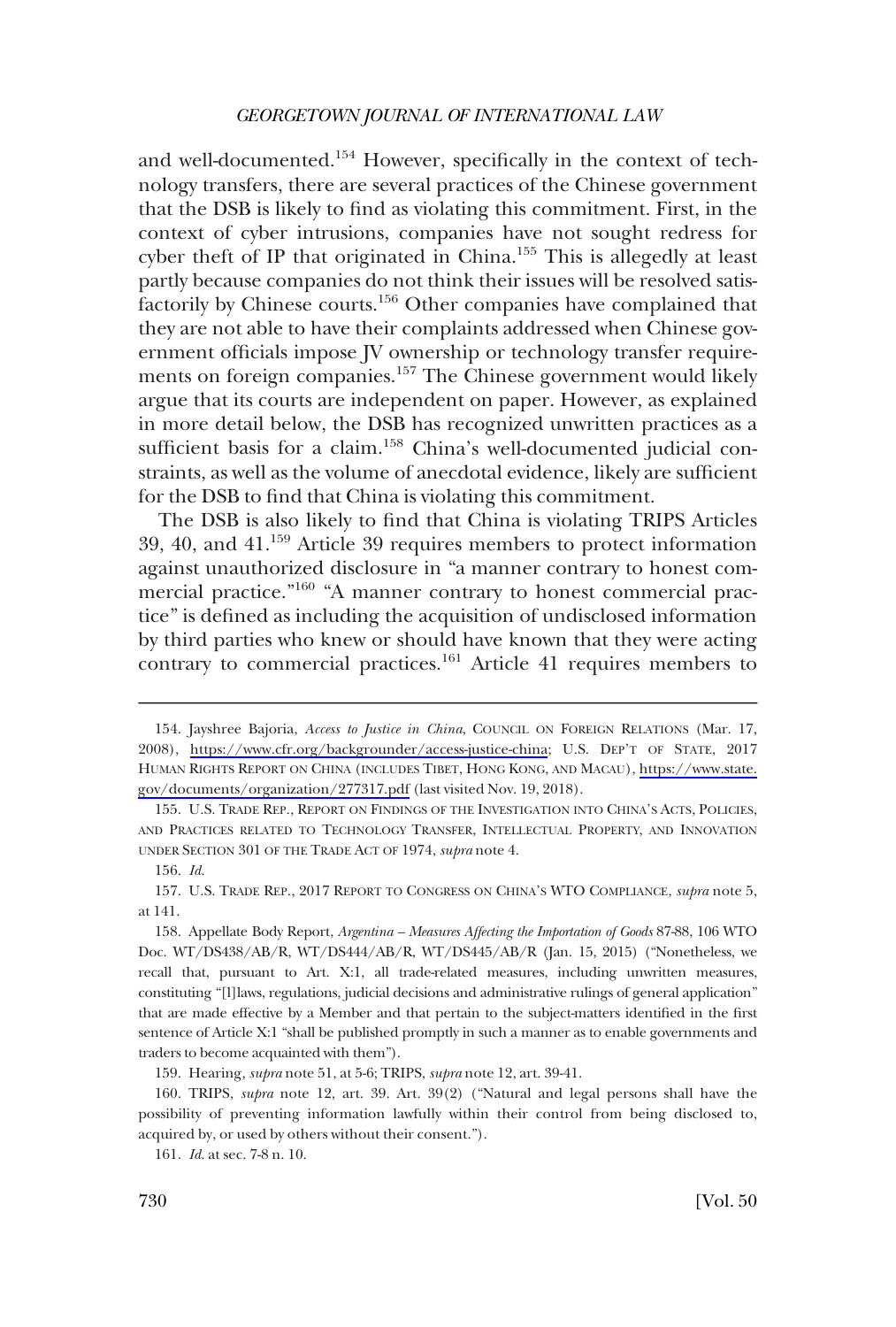and well-documented.<sup>154</sup> However, specifically in the context of technology transfers, there are several practices of the Chinese government that the DSB is likely to find as violating this commitment. First, in the context of cyber intrusions, companies have not sought redress for cyber theft of IP that originated in China.155 This is allegedly at least partly because companies do not think their issues will be resolved satisfactorily by Chinese courts.156 Other companies have complained that they are not able to have their complaints addressed when Chinese government officials impose JV ownership or technology transfer requirements on foreign companies.157 The Chinese government would likely argue that its courts are independent on paper. However, as explained in more detail below, the DSB has recognized unwritten practices as a sufficient basis for a claim.<sup>158</sup> China's well-documented judicial constraints, as well as the volume of anecdotal evidence, likely are sufficient for the DSB to find that China is violating this commitment.

The DSB is also likely to find that China is violating TRIPS Articles 39, 40, and 41.159 Article 39 requires members to protect information against unauthorized disclosure in "a manner contrary to honest commercial practice."160 "A manner contrary to honest commercial practice" is defined as including the acquisition of undisclosed information by third parties who knew or should have known that they were acting contrary to commercial practices.<sup>161</sup> Article 41 requires members to

159. Hearing*, supra* note 51, at 5-6; TRIPS, *supra* note 12, art. 39-41.

160. TRIPS, *supra* note 12, art. 39. Art. 39(2) ("Natural and legal persons shall have the possibility of preventing information lawfully within their control from being disclosed to, acquired by, or used by others without their consent.").

161. *Id*. at sec. 7-8 n. 10.

<sup>154.</sup> Jayshree Bajoria, *Access to Justice in China*, COUNCIL ON FOREIGN RELATIONS (Mar. 17, 2008), <https://www.cfr.org/backgrounder/access-justice-china>; U.S. DEP'T OF STATE, 2017 HUMAN RIGHTS REPORT ON CHINA (INCLUDES TIBET, HONG KONG, AND MACAU), [https://www.state.](https://www.state.gov/documents/organization/277317.pdf) [gov/documents/organization/277317.pdf](https://www.state.gov/documents/organization/277317.pdf) (last visited Nov. 19, 2018).

<sup>155.</sup> U.S. TRADE REP., REPORT ON FINDINGS OF THE INVESTIGATION INTO CHINA'S ACTS, POLICIES, AND PRACTICES RELATED TO TECHNOLOGY TRANSFER, INTELLECTUAL PROPERTY, AND INNOVATION UNDER SECTION 301 OF THE TRADE ACT OF 1974, *supra* note 4.

<sup>156.</sup> *Id*.

<sup>157.</sup> U.S. TRADE REP., 2017 REPORT TO CONGRESS ON CHINA'S WTO COMPLIANCE, *supra* note 5, at 141.

<sup>158.</sup> Appellate Body Report, *Argentina – Measures Affecting the Importation of Goods* 87-88, 106 WTO Doc. WT/DS438/AB/R, WT/DS444/AB/R, WT/DS445/AB/R (Jan. 15, 2015) ("Nonetheless, we recall that, pursuant to Art. X:1, all trade-related measures, including unwritten measures, constituting "[l]laws, regulations, judicial decisions and administrative rulings of general application" that are made effective by a Member and that pertain to the subject-matters identified in the first sentence of Article X:1 "shall be published promptly in such a manner as to enable governments and traders to become acquainted with them").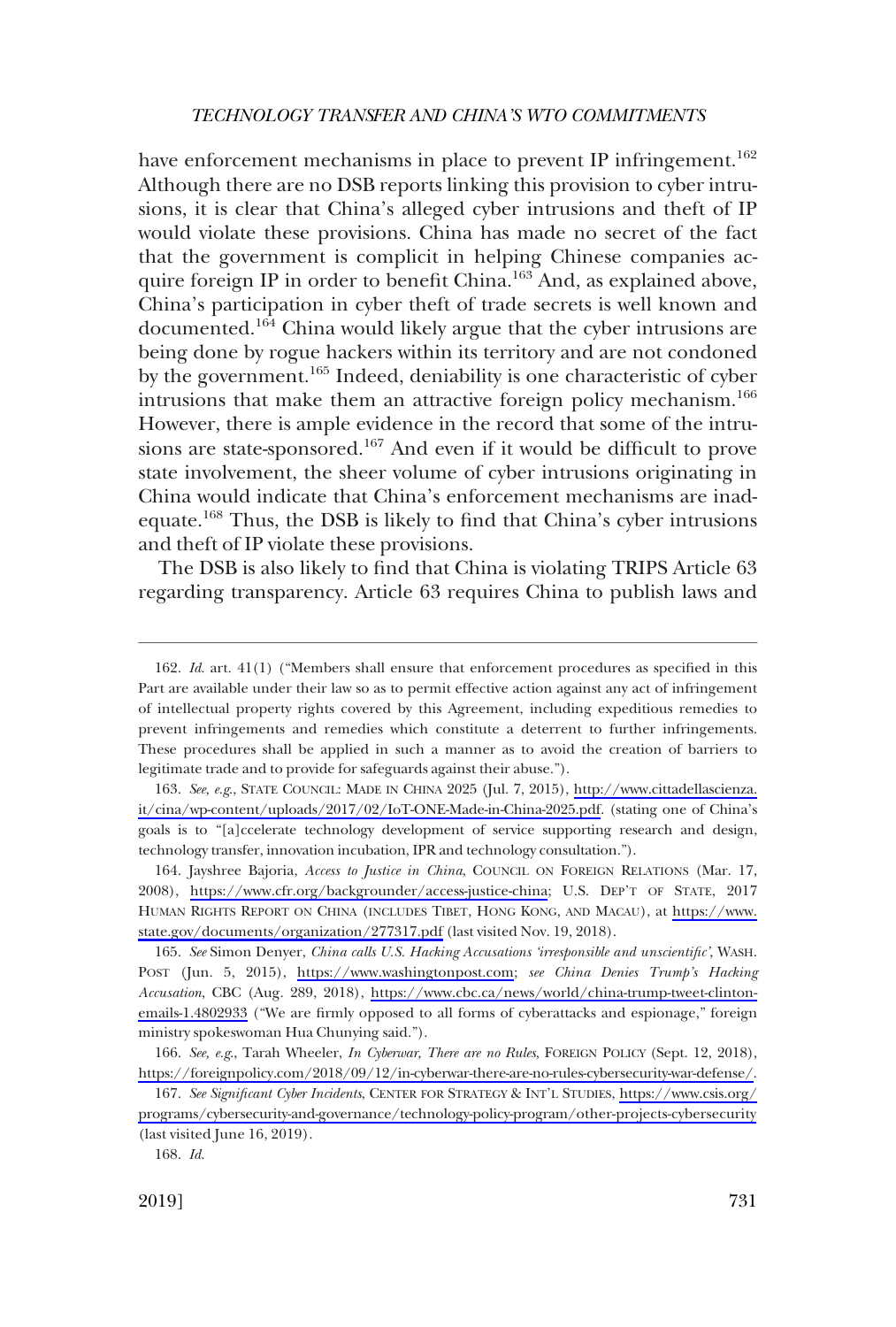have enforcement mechanisms in place to prevent IP infringement.<sup>162</sup> Although there are no DSB reports linking this provision to cyber intrusions, it is clear that China's alleged cyber intrusions and theft of IP would violate these provisions. China has made no secret of the fact that the government is complicit in helping Chinese companies acquire foreign IP in order to benefit China.<sup>163</sup> And, as explained above, China's participation in cyber theft of trade secrets is well known and documented.<sup>164</sup> China would likely argue that the cyber intrusions are being done by rogue hackers within its territory and are not condoned by the government.<sup>165</sup> Indeed, deniability is one characteristic of cyber intrusions that make them an attractive foreign policy mechanism.<sup>166</sup> However, there is ample evidence in the record that some of the intrusions are state-sponsored.<sup>167</sup> And even if it would be difficult to prove state involvement, the sheer volume of cyber intrusions originating in China would indicate that China's enforcement mechanisms are inadequate.168 Thus, the DSB is likely to find that China's cyber intrusions and theft of IP violate these provisions.

The DSB is also likely to find that China is violating TRIPS Article 63 regarding transparency. Article 63 requires China to publish laws and

163. See, e.g., STATE COUNCIL: MADE IN CHINA 2025 (Jul. 7, 2015), http://www.cittadellascienza. [it/cina/wp-content/uploads/2017/02/IoT-ONE-Made-in-China-2025.pdf.](http://www.cittadellascienza.it/cina/wp-content/uploads/2017/02/IoT-ONE-Made-in-China-2025.pdf) (stating one of China's goals is to "[a]ccelerate technology development of service supporting research and design, technology transfer, innovation incubation, IPR and technology consultation.").

<sup>162.</sup> *Id*. art. 41(1) ("Members shall ensure that enforcement procedures as specified in this Part are available under their law so as to permit effective action against any act of infringement of intellectual property rights covered by this Agreement, including expeditious remedies to prevent infringements and remedies which constitute a deterrent to further infringements. These procedures shall be applied in such a manner as to avoid the creation of barriers to legitimate trade and to provide for safeguards against their abuse.").

<sup>164.</sup> Jayshree Bajoria, *Access to Justice in China*, COUNCIL ON FOREIGN RELATIONS (Mar. 17, 2008), <https://www.cfr.org/backgrounder/access-justice-china>; U.S. DEP'T OF STATE, 2017 HUMAN RIGHTS REPORT ON CHINA (INCLUDES TIBET, HONG KONG, AND MACAU), at [https://www.](https://www.state.gov/documents/organization/277317.pdf) [state.gov/documents/organization/277317.pdf](https://www.state.gov/documents/organization/277317.pdf) (last visited Nov. 19, 2018).

*See* Simon Denyer, *China calls U.S. Hacking Accusations 'irresponsible and unscientific'*, WASH. 165. POST (Jun. 5, 2015), [https://www.washingtonpost.com;](https://www.washingtonpost.com) *see China Denies Trump's Hacking Accusation*, CBC (Aug. 289, 2018), [https://www.cbc.ca/news/world/china-trump-tweet-clinton](https://www.cbc.ca/news/world/china-trump-tweet-clinton-emails-1.4802933)[emails-1.4802933](https://www.cbc.ca/news/world/china-trump-tweet-clinton-emails-1.4802933) ("We are firmly opposed to all forms of cyberattacks and espionage," foreign ministry spokeswoman Hua Chunying said.").

<sup>166.</sup> See, e.g., Tarah Wheeler, *In Cyberwar, There are no Rules*, FOREIGN POLICY (Sept. 12, 2018), [https://foreignpolicy.com/2018/09/12/in-cyberwar-there-are-no-rules-cybersecurity-war-defense/.](https://foreignpolicy.com/2018/09/12/in-cyberwar-there-are-no-rules-cybersecurity-war-defense/)

*See Significant Cyber Incidents*, CENTER FOR STRATEGY & INT'L STUDIES, [https://www.csis.org/](https://www.csis.org/programs/cybersecurity-and-governance/technology-policy-program/other-projects-cybersecurity)  167. [programs/cybersecurity-and-governance/technology-policy-program/other-projects-cybersecurity](https://www.csis.org/programs/cybersecurity-and-governance/technology-policy-program/other-projects-cybersecurity) (last visited June 16, 2019).

<sup>168.</sup> *Id*.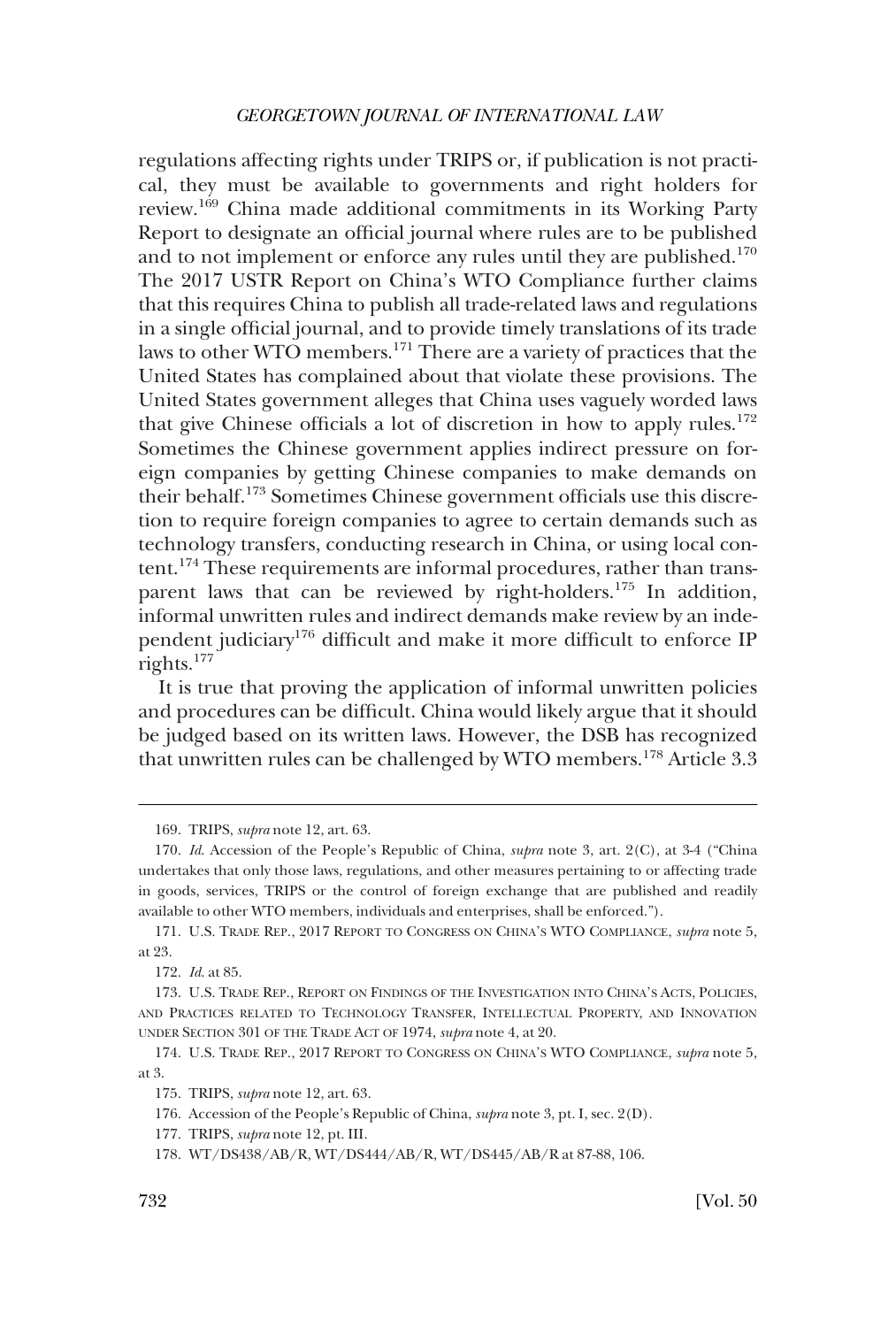regulations affecting rights under TRIPS or, if publication is not practical, they must be available to governments and right holders for review.169 China made additional commitments in its Working Party Report to designate an official journal where rules are to be published and to not implement or enforce any rules until they are published.<sup>170</sup> The 2017 USTR Report on China's WTO Compliance further claims that this requires China to publish all trade-related laws and regulations in a single official journal, and to provide timely translations of its trade laws to other WTO members.171 There are a variety of practices that the United States has complained about that violate these provisions. The United States government alleges that China uses vaguely worded laws that give Chinese officials a lot of discretion in how to apply rules.<sup>172</sup> Sometimes the Chinese government applies indirect pressure on foreign companies by getting Chinese companies to make demands on their behalf.173 Sometimes Chinese government officials use this discretion to require foreign companies to agree to certain demands such as technology transfers, conducting research in China, or using local content.174 These requirements are informal procedures, rather than transparent laws that can be reviewed by right-holders.<sup>175</sup> In addition, informal unwritten rules and indirect demands make review by an independent judiciary176 difficult and make it more difficult to enforce IP rights.177

It is true that proving the application of informal unwritten policies and procedures can be difficult. China would likely argue that it should be judged based on its written laws. However, the DSB has recognized that unwritten rules can be challenged by WTO members.<sup>178</sup> Article 3.3

<sup>169.</sup> TRIPS, *supra* note 12, art. 63.

<sup>170.</sup> *Id*. Accession of the People's Republic of China, *supra* note 3, art. 2(C), at 3-4 ("China undertakes that only those laws, regulations, and other measures pertaining to or affecting trade in goods, services, TRIPS or the control of foreign exchange that are published and readily available to other WTO members, individuals and enterprises, shall be enforced.").

<sup>171.</sup> U.S. TRADE REP., 2017 REPORT TO CONGRESS ON CHINA'S WTO COMPLIANCE, *supra* note 5, at 23.

<sup>172.</sup> *Id*. at 85.

<sup>173.</sup> U.S. TRADE REP., REPORT ON FINDINGS OF THE INVESTIGATION INTO CHINA'S ACTS, POLICIES, AND PRACTICES RELATED TO TECHNOLOGY TRANSFER, INTELLECTUAL PROPERTY, AND INNOVATION UNDER SECTION 301 OF THE TRADE ACT OF 1974, *supra* note 4, at 20.

<sup>174.</sup> U.S. TRADE REP., 2017 REPORT TO CONGRESS ON CHINA'S WTO COMPLIANCE, *supra* note 5, at 3.

<sup>175.</sup> TRIPS, *supra* note 12, art. 63.

<sup>176.</sup> Accession of the People's Republic of China, *supra* note 3, pt. I, sec. 2(D).

<sup>177.</sup> TRIPS, *supra* note 12, pt. III.

<sup>178.</sup> WT/DS438/AB/R, WT/DS444/AB/R, WT/DS445/AB/R at 87-88, 106.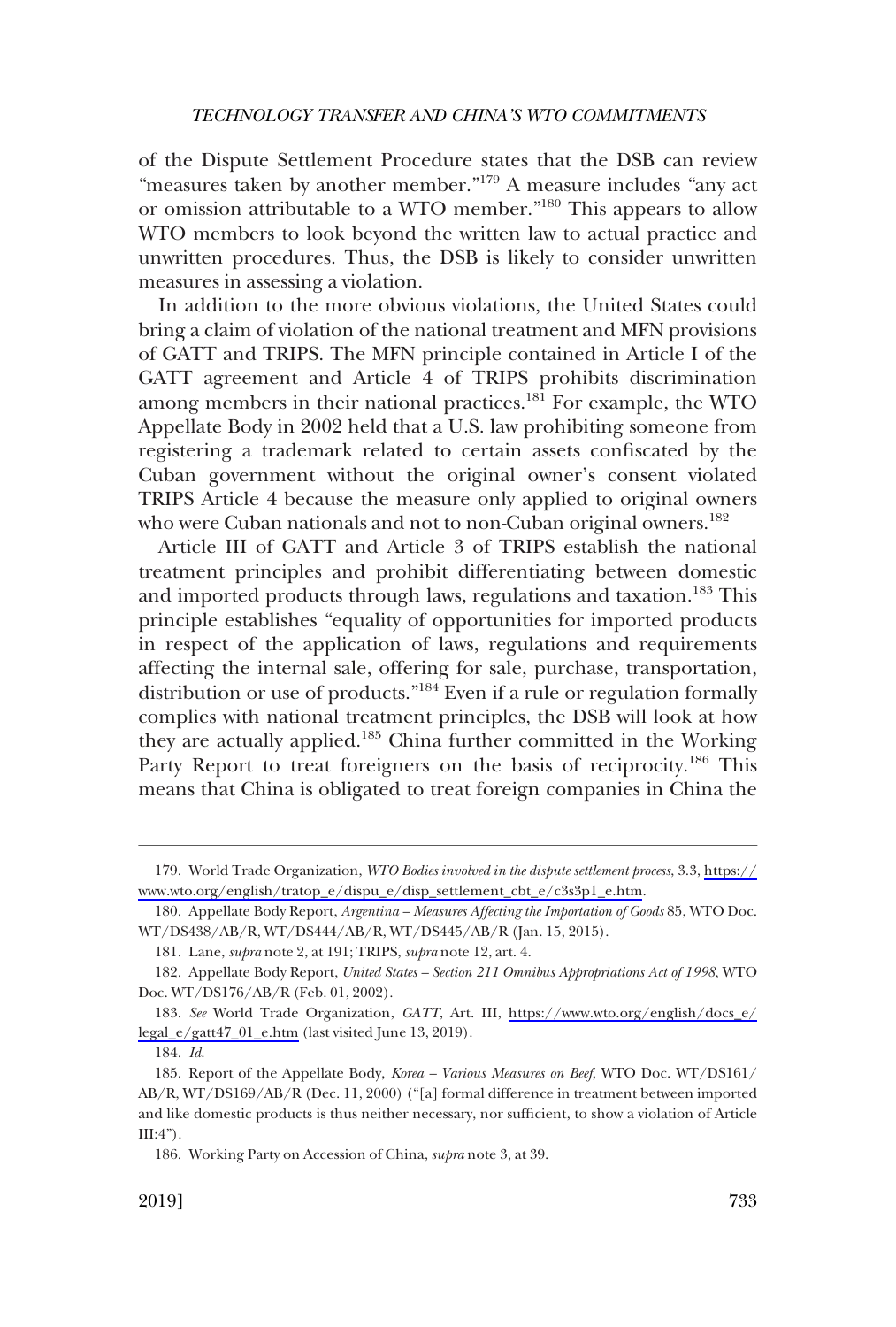of the Dispute Settlement Procedure states that the DSB can review "measures taken by another member."<sup>179</sup> A measure includes "any act or omission attributable to a WTO member."180 This appears to allow WTO members to look beyond the written law to actual practice and unwritten procedures. Thus, the DSB is likely to consider unwritten measures in assessing a violation.

In addition to the more obvious violations, the United States could bring a claim of violation of the national treatment and MFN provisions of GATT and TRIPS. The MFN principle contained in Article I of the GATT agreement and Article 4 of TRIPS prohibits discrimination among members in their national practices.<sup>181</sup> For example, the WTO Appellate Body in 2002 held that a U.S. law prohibiting someone from registering a trademark related to certain assets confiscated by the Cuban government without the original owner's consent violated TRIPS Article 4 because the measure only applied to original owners who were Cuban nationals and not to non-Cuban original owners.<sup>182</sup>

Article III of GATT and Article 3 of TRIPS establish the national treatment principles and prohibit differentiating between domestic and imported products through laws, regulations and taxation.<sup>183</sup> This principle establishes "equality of opportunities for imported products in respect of the application of laws, regulations and requirements affecting the internal sale, offering for sale, purchase, transportation, distribution or use of products."184 Even if a rule or regulation formally complies with national treatment principles, the DSB will look at how they are actually applied.<sup>185</sup> China further committed in the Working Party Report to treat foreigners on the basis of reciprocity.<sup>186</sup> This means that China is obligated to treat foreign companies in China the

World Trade Organization, *WTO Bodies involved in the dispute settlement process*, 3.3, [https://](https://www.wto.org/english/tratop_e/dispu_e/disp_settlement_cbt_e/c3s3p1_e.htm) 179. [www.wto.org/english/tratop\\_e/dispu\\_e/disp\\_settlement\\_cbt\\_e/c3s3p1\\_e.htm.](https://www.wto.org/english/tratop_e/dispu_e/disp_settlement_cbt_e/c3s3p1_e.htm)

<sup>180.</sup> Appellate Body Report, *Argentina – Measures Affecting the Importation of Goods* 85, WTO Doc. WT/DS438/AB/R, WT/DS444/AB/R, WT/DS445/AB/R (Jan. 15, 2015).

<sup>181.</sup> Lane, *supra* note 2, at 191; TRIPS, *supra* note 12, art. 4.

<sup>182.</sup> Appellate Body Report, *United States – Section 211 Omnibus Appropriations Act of 1998*, WTO Doc. WT/DS176/AB/R (Feb. 01, 2002).

*See* World Trade Organization, *GATT*, Art. III, [https://www.wto.org/english/docs\\_e/](https://www.wto.org/english/docs_e/legal_e/gatt47_01_e.htm)  183. [legal\\_e/gatt47\\_01\\_e.htm](https://www.wto.org/english/docs_e/legal_e/gatt47_01_e.htm) (last visited June 13, 2019).

<sup>184.</sup> *Id*.

<sup>185.</sup> Report of the Appellate Body, *Korea – Various Measures on Beef*, WTO Doc. WT/DS161/ AB/R, WT/DS169/AB/R (Dec. 11, 2000) ("[a] formal difference in treatment between imported and like domestic products is thus neither necessary, nor sufficient, to show a violation of Article  $III:4"$ ).

<sup>186.</sup> Working Party on Accession of China, *supra* note 3, at 39.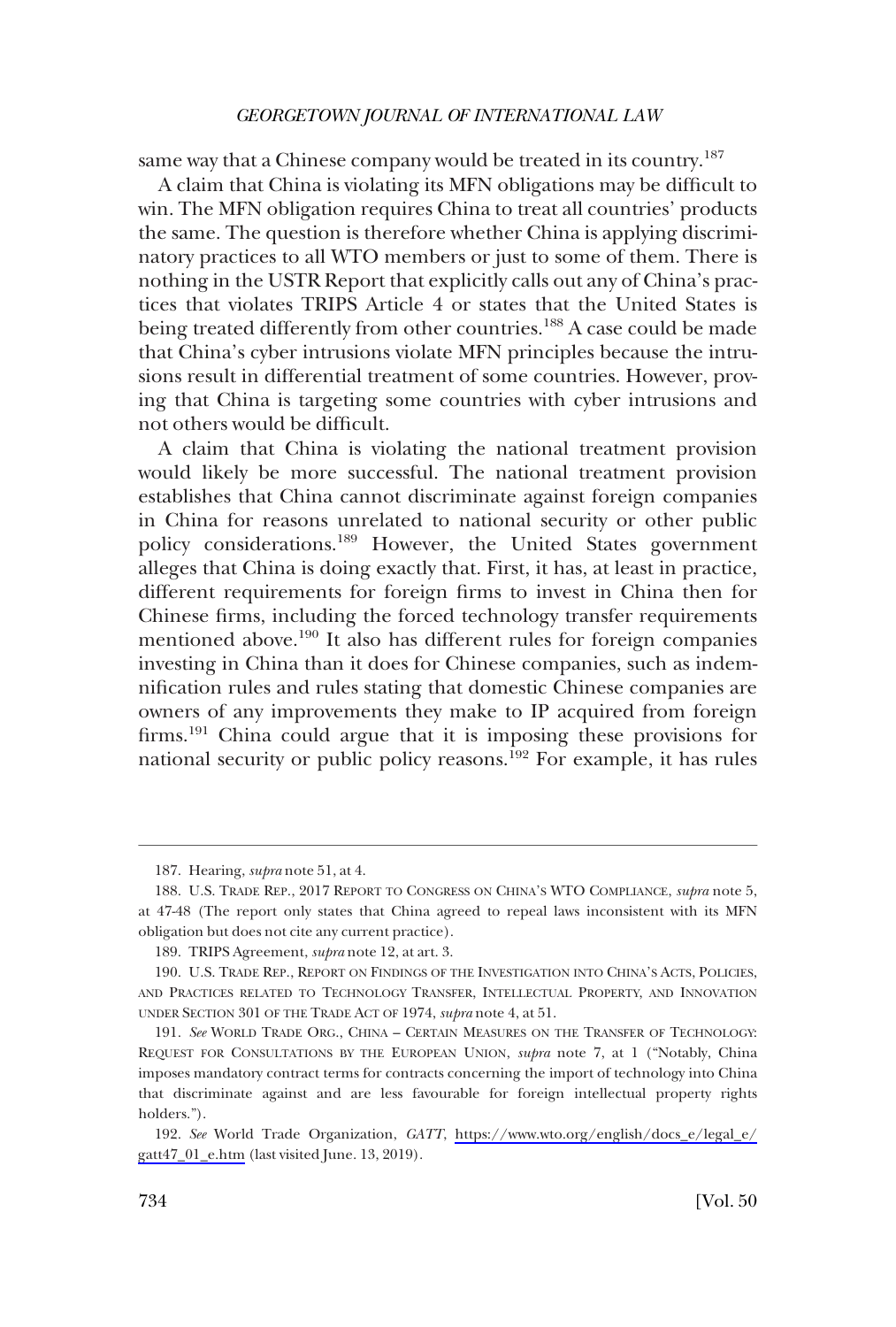same way that a Chinese company would be treated in its country.<sup>187</sup>

A claim that China is violating its MFN obligations may be difficult to win. The MFN obligation requires China to treat all countries' products the same. The question is therefore whether China is applying discriminatory practices to all WTO members or just to some of them. There is nothing in the USTR Report that explicitly calls out any of China's practices that violates TRIPS Article 4 or states that the United States is being treated differently from other countries.<sup>188</sup> A case could be made that China's cyber intrusions violate MFN principles because the intrusions result in differential treatment of some countries. However, proving that China is targeting some countries with cyber intrusions and not others would be difficult.

A claim that China is violating the national treatment provision would likely be more successful. The national treatment provision establishes that China cannot discriminate against foreign companies in China for reasons unrelated to national security or other public policy considerations.189 However, the United States government alleges that China is doing exactly that. First, it has, at least in practice, different requirements for foreign firms to invest in China then for Chinese firms, including the forced technology transfer requirements mentioned above.190 It also has different rules for foreign companies investing in China than it does for Chinese companies, such as indemnification rules and rules stating that domestic Chinese companies are owners of any improvements they make to IP acquired from foreign firms.191 China could argue that it is imposing these provisions for national security or public policy reasons.<sup>192</sup> For example, it has rules

<sup>187.</sup> Hearing, *supra* note 51, at 4.

<sup>188.</sup> U.S. TRADE REP., 2017 REPORT TO CONGRESS ON CHINA'S WTO COMPLIANCE, *supra* note 5, at 47-48 (The report only states that China agreed to repeal laws inconsistent with its MFN obligation but does not cite any current practice).

<sup>189.</sup> TRIPS Agreement, *supra* note 12, at art. 3.

<sup>190.</sup> U.S. TRADE REP., REPORT ON FINDINGS OF THE INVESTIGATION INTO CHINA'S ACTS, POLICIES, AND PRACTICES RELATED TO TECHNOLOGY TRANSFER, INTELLECTUAL PROPERTY, AND INNOVATION UNDER SECTION 301 OF THE TRADE ACT OF 1974, *supra* note 4, at 51.

<sup>191.</sup> *See* WORLD TRADE ORG., CHINA – CERTAIN MEASURES ON THE TRANSFER OF TECHNOLOGY: REQUEST FOR CONSULTATIONS BY THE EUROPEAN UNION, *supra* note 7, at 1 ("Notably, China imposes mandatory contract terms for contracts concerning the import of technology into China that discriminate against and are less favourable for foreign intellectual property rights holders.").

*See* World Trade Organization, *GATT*, [https://www.wto.org/english/docs\\_e/legal\\_e/](https://www.wto.org/english/docs_e/legal_e/gatt47_01_e.htm) 192. [gatt47\\_01\\_e.htm](https://www.wto.org/english/docs_e/legal_e/gatt47_01_e.htm) (last visited June. 13, 2019).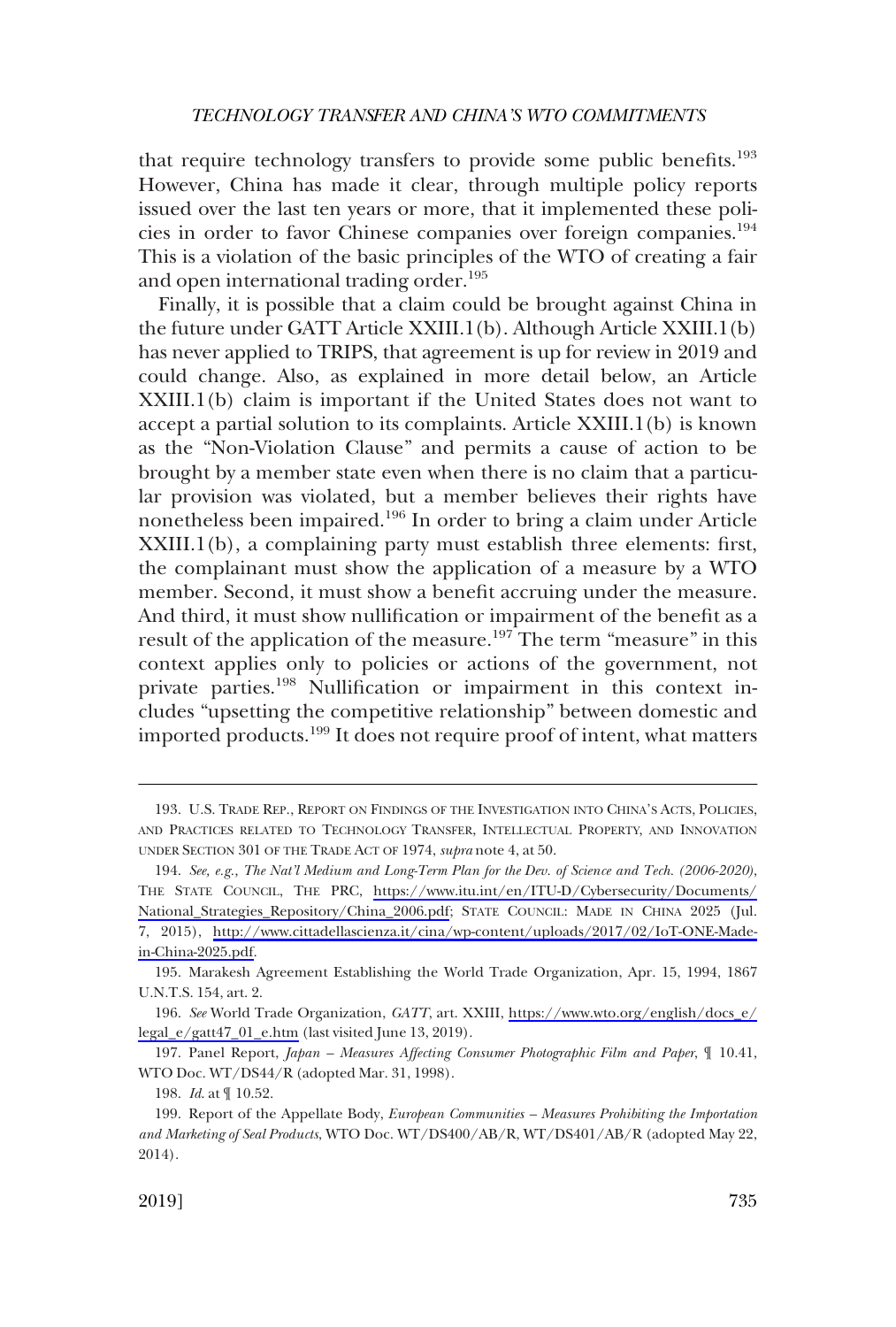that require technology transfers to provide some public benefits.<sup>193</sup> However, China has made it clear, through multiple policy reports issued over the last ten years or more, that it implemented these policies in order to favor Chinese companies over foreign companies.194 This is a violation of the basic principles of the WTO of creating a fair and open international trading order.<sup>195</sup>

Finally, it is possible that a claim could be brought against China in the future under GATT Article XXIII.1(b). Although Article XXIII.1(b) has never applied to TRIPS, that agreement is up for review in 2019 and could change. Also, as explained in more detail below, an Article XXIII.1(b) claim is important if the United States does not want to accept a partial solution to its complaints. Article XXIII.1(b) is known as the "Non-Violation Clause" and permits a cause of action to be brought by a member state even when there is no claim that a particular provision was violated, but a member believes their rights have nonetheless been impaired.<sup>196</sup> In order to bring a claim under Article XXIII.1(b), a complaining party must establish three elements: first, the complainant must show the application of a measure by a WTO member. Second, it must show a benefit accruing under the measure. And third, it must show nullification or impairment of the benefit as a result of the application of the measure.<sup>197</sup> The term "measure" in this context applies only to policies or actions of the government, not private parties.198 Nullification or impairment in this context includes "upsetting the competitive relationship" between domestic and imported products.199 It does not require proof of intent, what matters

<sup>193.</sup> U.S. TRADE REP., REPORT ON FINDINGS OF THE INVESTIGATION INTO CHINA'S ACTS, POLICIES, AND PRACTICES RELATED TO TECHNOLOGY TRANSFER, INTELLECTUAL PROPERTY, AND INNOVATION UNDER SECTION 301 OF THE TRADE ACT OF 1974, *supra* note 4, at 50.

*See, e.g., The Nat'l Medium and Long-Term Plan for the Dev. of Science and Tech. (2006-2020)*, 194. THE STATE COUNCIL, THE PRC, [https://www.itu.int/en/ITU-D/Cybersecurity/Documents/](https://www.itu.int/en/ITU-D/Cybersecurity/Documents/National_Strategies_Repository/China_2006.pdf)  [National\\_Strategies\\_Repository/China\\_2006.pdf;](https://www.itu.int/en/ITU-D/Cybersecurity/Documents/National_Strategies_Repository/China_2006.pdf) STATE COUNCIL: MADE IN CHINA 2025 (Jul. 7, 2015), [http://www.cittadellascienza.it/cina/wp-content/uploads/2017/02/IoT-ONE-Made](http://www.cittadellascienza.it/cina/wp-content/uploads/2017/02/IoT-ONE-Made-in-China-2025.pdf)[in-China-2025.pdf.](http://www.cittadellascienza.it/cina/wp-content/uploads/2017/02/IoT-ONE-Made-in-China-2025.pdf)

<sup>195.</sup> Marakesh Agreement Establishing the World Trade Organization, Apr. 15, 1994, 1867 U.N.T.S. 154, art. 2.

*See* World Trade Organization, *GATT*, art. XXIII, [https://www.wto.org/english/docs\\_e/](https://www.wto.org/english/docs_e/legal_e/gatt47_01_e.htm) 196. [legal\\_e/gatt47\\_01\\_e.htm](https://www.wto.org/english/docs_e/legal_e/gatt47_01_e.htm) (last visited June 13, 2019).

<sup>197.</sup> Panel Report, *Japan – Measures Affecting Consumer Photographic Film and Paper*, ¶ 10.41, WTO Doc. WT/DS44/R (adopted Mar. 31, 1998).

<sup>198.</sup> *Id*. at ¶ 10.52.

<sup>199.</sup> Report of the Appellate Body, *European Communities – Measures Prohibiting the Importation and Marketing of Seal Products*, WTO Doc. WT/DS400/AB/R, WT/DS401/AB/R (adopted May 22, 2014).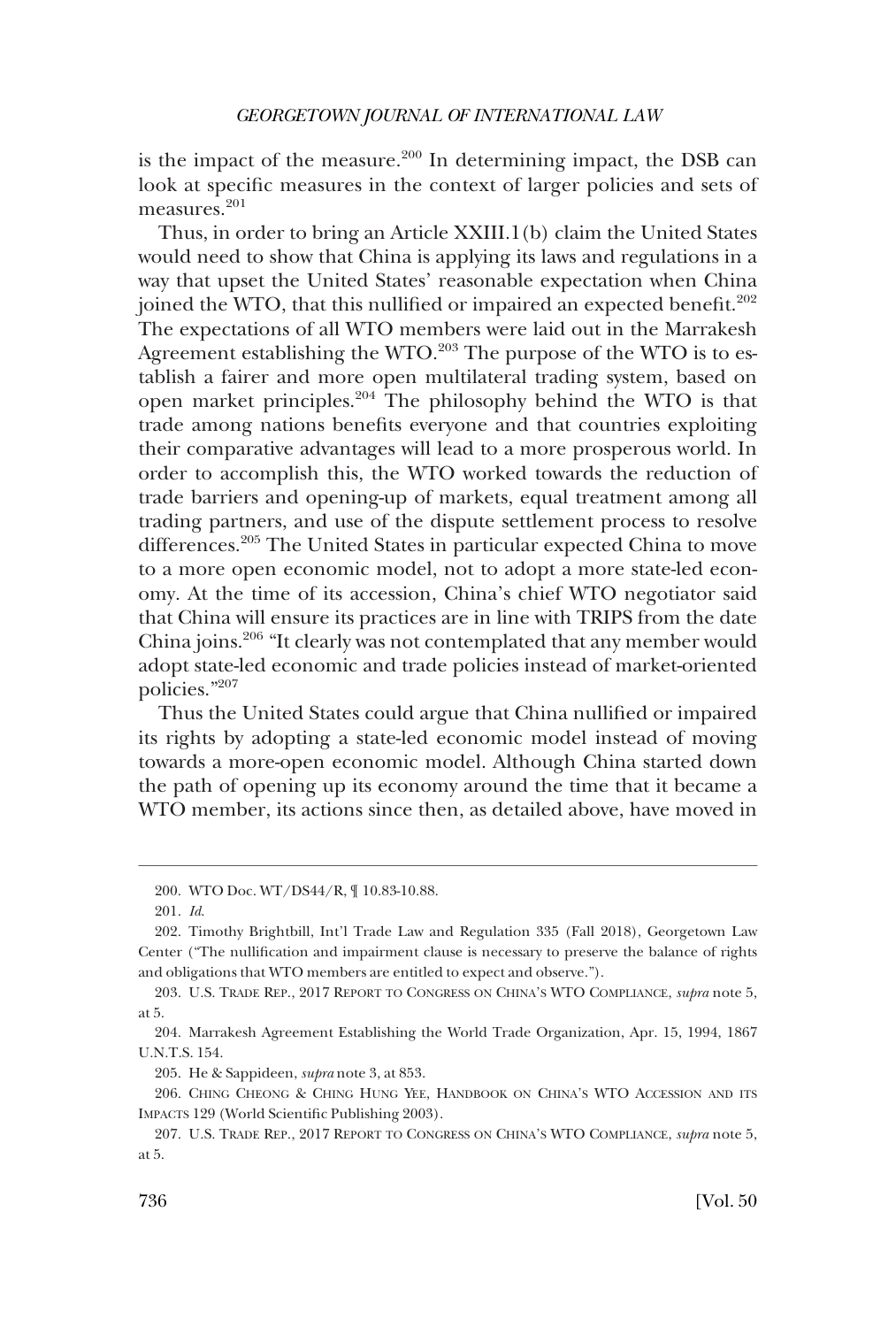is the impact of the measure. $200$  In determining impact, the DSB can look at specific measures in the context of larger policies and sets of measures.<sup>201</sup>

Thus, in order to bring an Article XXIII.1(b) claim the United States would need to show that China is applying its laws and regulations in a way that upset the United States' reasonable expectation when China joined the WTO, that this nullified or impaired an expected benefit. $202$ The expectations of all WTO members were laid out in the Marrakesh Agreement establishing the WTO.<sup>203</sup> The purpose of the WTO is to establish a fairer and more open multilateral trading system, based on open market principles.204 The philosophy behind the WTO is that trade among nations benefits everyone and that countries exploiting their comparative advantages will lead to a more prosperous world. In order to accomplish this, the WTO worked towards the reduction of trade barriers and opening-up of markets, equal treatment among all trading partners, and use of the dispute settlement process to resolve differences.205 The United States in particular expected China to move to a more open economic model, not to adopt a more state-led economy. At the time of its accession, China's chief WTO negotiator said that China will ensure its practices are in line with TRIPS from the date China joins.206 "It clearly was not contemplated that any member would adopt state-led economic and trade policies instead of market-oriented policies."207

Thus the United States could argue that China nullified or impaired its rights by adopting a state-led economic model instead of moving towards a more-open economic model. Although China started down the path of opening up its economy around the time that it became a WTO member, its actions since then, as detailed above, have moved in

203. U.S. TRADE REP., 2017 REPORT TO CONGRESS ON CHINA'S WTO COMPLIANCE, *supra* note 5, at 5.

205. He & Sappideen, *supra* note 3, at 853.

206. CHING CHEONG & CHING HUNG YEE, HANDBOOK ON CHINA'S WTO ACCESSION AND ITS IMPACTS 129 (World Scientific Publishing 2003).

<sup>200.</sup> WTO Doc. WT/DS44/R, ¶ 10.83-10.88.

<sup>201.</sup> *Id*.

<sup>202.</sup> Timothy Brightbill, Int'l Trade Law and Regulation 335 (Fall 2018), Georgetown Law Center ("The nullification and impairment clause is necessary to preserve the balance of rights and obligations that WTO members are entitled to expect and observe.").

<sup>204.</sup> Marrakesh Agreement Establishing the World Trade Organization, Apr. 15, 1994, 1867 U.N.T.S. 154.

<sup>207.</sup> U.S. TRADE REP., 2017 REPORT TO CONGRESS ON CHINA'S WTO COMPLIANCE, *supra* note 5, at 5.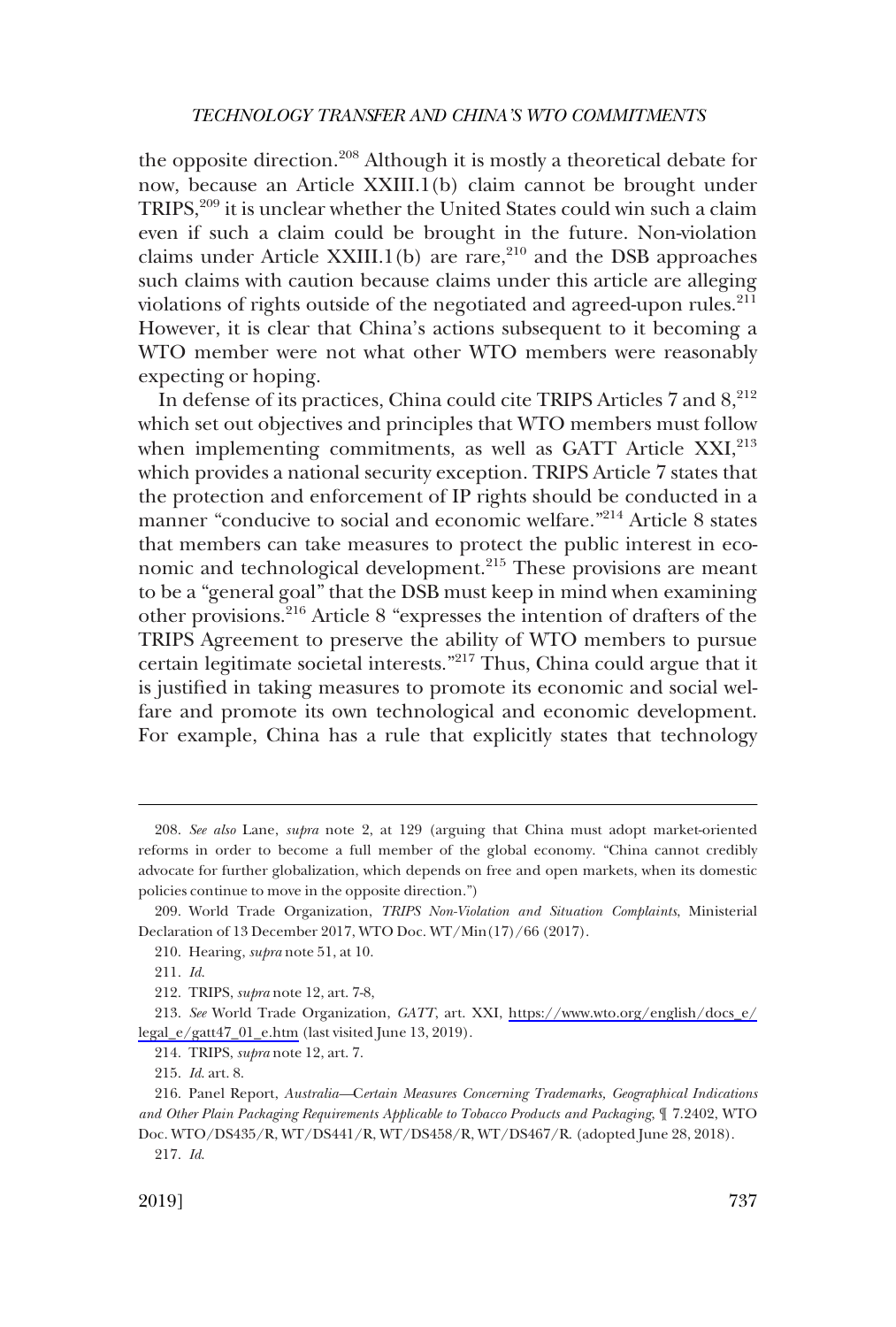the opposite direction.<sup>208</sup> Although it is mostly a theoretical debate for now, because an Article XXIII.1(b) claim cannot be brought under TRIPS,<sup>209</sup> it is unclear whether the United States could win such a claim even if such a claim could be brought in the future. Non-violation claims under Article XXIII.1(b) are rare, $210$  and the DSB approaches such claims with caution because claims under this article are alleging violations of rights outside of the negotiated and agreed-upon rules.<sup>211</sup> However, it is clear that China's actions subsequent to it becoming a WTO member were not what other WTO members were reasonably expecting or hoping.

In defense of its practices, China could cite TRIPS Articles 7 and  $8,^{212}$ which set out objectives and principles that WTO members must follow when implementing commitments, as well as GATT Article  $XXI<sub>1</sub><sup>213</sup>$ which provides a national security exception. TRIPS Article 7 states that the protection and enforcement of IP rights should be conducted in a manner "conducive to social and economic welfare."214 Article 8 states that members can take measures to protect the public interest in economic and technological development.<sup>215</sup> These provisions are meant to be a "general goal" that the DSB must keep in mind when examining other provisions.216 Article 8 "expresses the intention of drafters of the TRIPS Agreement to preserve the ability of WTO members to pursue certain legitimate societal interests."217 Thus, China could argue that it is justified in taking measures to promote its economic and social welfare and promote its own technological and economic development. For example, China has a rule that explicitly states that technology

<sup>208.</sup> *See also* Lane, *supra* note 2, at 129 (arguing that China must adopt market-oriented reforms in order to become a full member of the global economy. "China cannot credibly advocate for further globalization, which depends on free and open markets, when its domestic policies continue to move in the opposite direction.")

<sup>209.</sup> World Trade Organization, *TRIPS Non-Violation and Situation Complaints*, Ministerial Declaration of 13 December 2017, WTO Doc. WT/Min(17)/66 (2017).

<sup>210.</sup> Hearing, *supra* note 51, at 10.

<sup>211.</sup> *Id*.

<sup>212.</sup> TRIPS, *supra* note 12, art. 7-8,

*See* World Trade Organization, *GATT*, art. XXI, [https://www.wto.org/english/docs\\_e/](https://www.wto.org/english/docs_e/legal_e/gatt47_01_e.htm)  213. [legal\\_e/gatt47\\_01\\_e.htm](https://www.wto.org/english/docs_e/legal_e/gatt47_01_e.htm) (last visited June 13, 2019).

<sup>214.</sup> TRIPS, *supra* note 12, art. 7.

<sup>215.</sup> *Id*. art. 8.

<sup>216.</sup> Panel Report, *Australia—*C*ertain Measures Concerning Trademarks, Geographical Indications and Other Plain Packaging Requirements Applicable to Tobacco Products and Packaging*, ¶ 7.2402, WTO Doc. WTO/DS435/R, WT/DS441/R, WT/DS458/R, WT/DS467/R. (adopted June 28, 2018).

<sup>217.</sup> *Id*.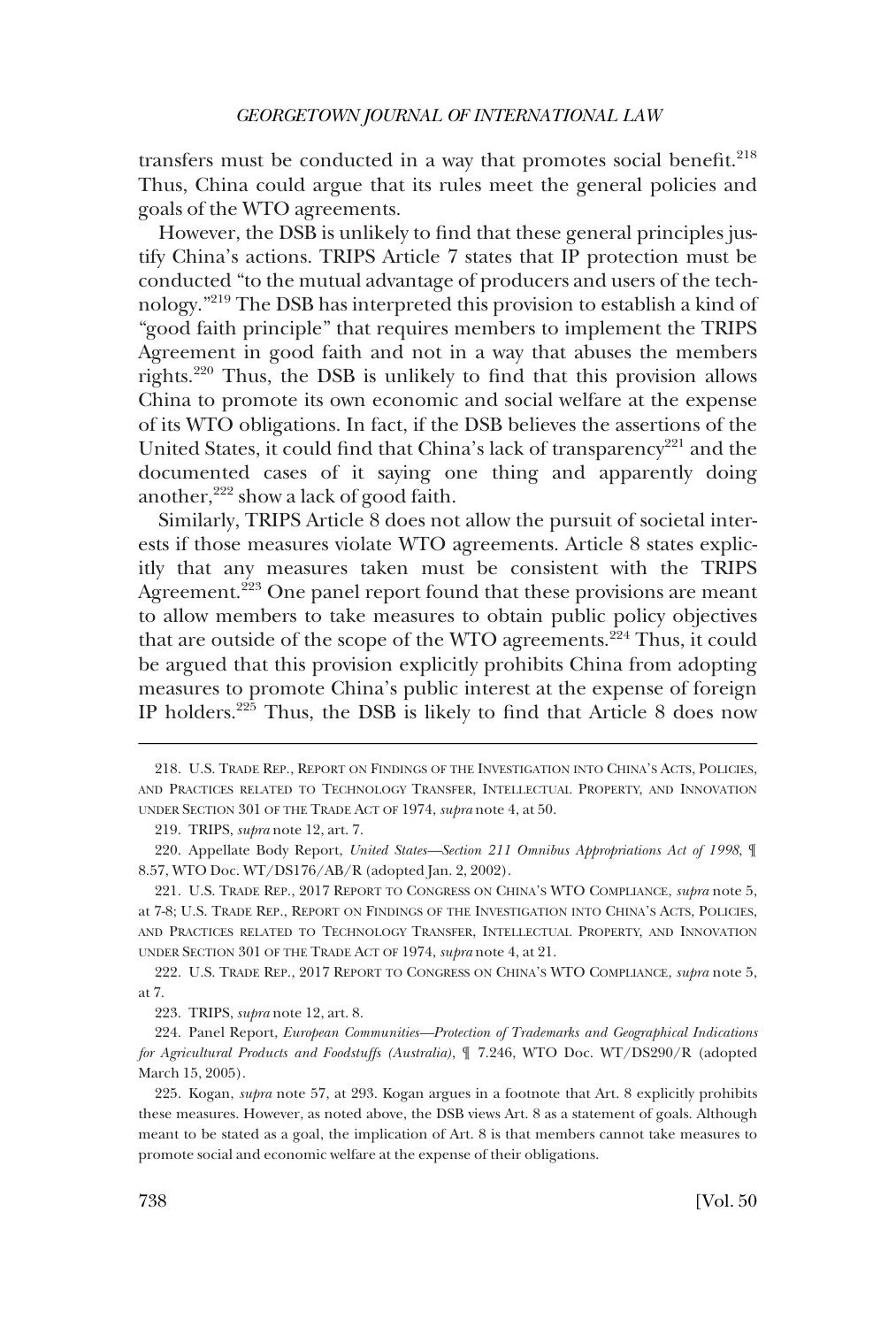transfers must be conducted in a way that promotes social benefit.<sup>218</sup> Thus, China could argue that its rules meet the general policies and goals of the WTO agreements.

However, the DSB is unlikely to find that these general principles justify China's actions. TRIPS Article 7 states that IP protection must be conducted "to the mutual advantage of producers and users of the technology."219 The DSB has interpreted this provision to establish a kind of "good faith principle" that requires members to implement the TRIPS Agreement in good faith and not in a way that abuses the members rights.220 Thus, the DSB is unlikely to find that this provision allows China to promote its own economic and social welfare at the expense of its WTO obligations. In fact, if the DSB believes the assertions of the United States, it could find that China's lack of transparency<sup>221</sup> and the documented cases of it saying one thing and apparently doing another,<sup>222</sup> show a lack of good faith.

Similarly, TRIPS Article 8 does not allow the pursuit of societal interests if those measures violate WTO agreements. Article 8 states explicitly that any measures taken must be consistent with the TRIPS Agreement.<sup>223</sup> One panel report found that these provisions are meant to allow members to take measures to obtain public policy objectives that are outside of the scope of the WTO agreements.<sup>224</sup> Thus, it could be argued that this provision explicitly prohibits China from adopting measures to promote China's public interest at the expense of foreign IP holders.<sup>225</sup> Thus, the DSB is likely to find that Article 8 does now

222. U.S. TRADE REP., 2017 REPORT TO CONGRESS ON CHINA'S WTO COMPLIANCE, *supra* note 5, at 7.

223. TRIPS, *supra* note 12, art. 8.

224. Panel Report, *European Communities—Protection of Trademarks and Geographical Indications for Agricultural Products and Foodstuffs (Australia)*, ¶ 7.246, WTO Doc. WT/DS290/R (adopted March 15, 2005).

225. Kogan, *supra* note 57, at 293. Kogan argues in a footnote that Art. 8 explicitly prohibits these measures. However, as noted above, the DSB views Art. 8 as a statement of goals. Although meant to be stated as a goal, the implication of Art. 8 is that members cannot take measures to promote social and economic welfare at the expense of their obligations.

<sup>218.</sup> U.S. TRADE REP., REPORT ON FINDINGS OF THE INVESTIGATION INTO CHINA'S ACTS, POLICIES, AND PRACTICES RELATED TO TECHNOLOGY TRANSFER, INTELLECTUAL PROPERTY, AND INNOVATION UNDER SECTION 301 OF THE TRADE ACT OF 1974, *supra* note 4, at 50.

<sup>219.</sup> TRIPS, *supra* note 12, art. 7.

<sup>220.</sup> Appellate Body Report, *United States—Section 211 Omnibus Appropriations Act of 1998*, ¶ 8.57, WTO Doc. WT/DS176/AB/R (adopted Jan. 2, 2002).

<sup>221.</sup> U.S. TRADE REP., 2017 REPORT TO CONGRESS ON CHINA'S WTO COMPLIANCE, *supra* note 5, at 7-8; U.S. TRADE REP., REPORT ON FINDINGS OF THE INVESTIGATION INTO CHINA'S ACTS, POLICIES, AND PRACTICES RELATED TO TECHNOLOGY TRANSFER, INTELLECTUAL PROPERTY, AND INNOVATION UNDER SECTION 301 OF THE TRADE ACT OF 1974, *supra* note 4, at 21.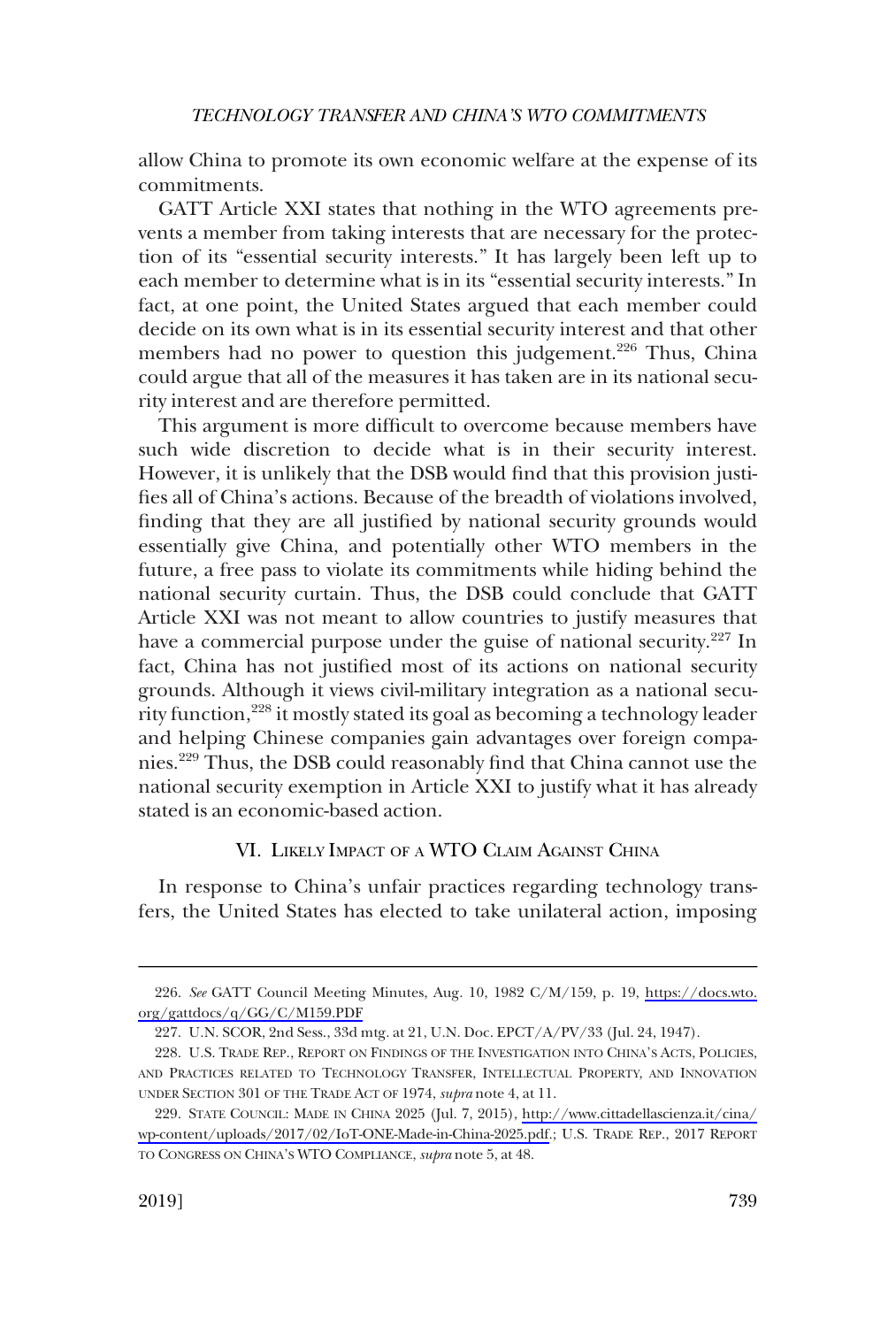<span id="page-30-0"></span>allow China to promote its own economic welfare at the expense of its commitments.

GATT Article XXI states that nothing in the WTO agreements prevents a member from taking interests that are necessary for the protection of its "essential security interests." It has largely been left up to each member to determine what is in its "essential security interests." In fact, at one point, the United States argued that each member could decide on its own what is in its essential security interest and that other members had no power to question this judgement.<sup>226</sup> Thus, China could argue that all of the measures it has taken are in its national security interest and are therefore permitted.

This argument is more difficult to overcome because members have such wide discretion to decide what is in their security interest. However, it is unlikely that the DSB would find that this provision justifies all of China's actions. Because of the breadth of violations involved, finding that they are all justified by national security grounds would essentially give China, and potentially other WTO members in the future, a free pass to violate its commitments while hiding behind the national security curtain. Thus, the DSB could conclude that GATT Article XXI was not meant to allow countries to justify measures that have a commercial purpose under the guise of national security.<sup>227</sup> In fact, China has not justified most of its actions on national security grounds. Although it views civil-military integration as a national security function,228 it mostly stated its goal as becoming a technology leader and helping Chinese companies gain advantages over foreign companies.229 Thus, the DSB could reasonably find that China cannot use the national security exemption in Article XXI to justify what it has already stated is an economic-based action.

# VI. LIKELY IMPACT OF A WTO CLAIM AGAINST CHINA

In response to China's unfair practices regarding technology transfers, the United States has elected to take unilateral action, imposing

*See* GATT Council Meeting Minutes, Aug. 10, 1982 C/M/159, p. 19, [https://docs.wto.](https://docs.wto.org/gattdocs/q/GG/C/M159.PDF) 226. [org/gattdocs/q/GG/C/M159.PDF](https://docs.wto.org/gattdocs/q/GG/C/M159.PDF)

<sup>227.</sup> U.N. SCOR, 2nd Sess., 33d mtg. at 21, U.N. Doc. EPCT/A/PV/33 (Jul. 24, 1947).

<sup>228.</sup> U.S. TRADE REP., REPORT ON FINDINGS OF THE INVESTIGATION INTO CHINA'S ACTS, POLICIES, AND PRACTICES RELATED TO TECHNOLOGY TRANSFER, INTELLECTUAL PROPERTY, AND INNOVATION UNDER SECTION 301 OF THE TRADE ACT OF 1974, *supra* note 4, at 11.

<sup>229.</sup> STATE COUNCIL: MADE IN CHINA 2025 (Jul. 7, 2015), http://www.cittadellascienza.it/cina/ [wp-content/uploads/2017/02/IoT-ONE-Made-in-China-2025.pdf.](http://www.cittadellascienza.it/cina/wp-content/uploads/2017/02/IoT-ONE-Made-in-China-2025.pdf); U.S. TRADE REP., 2017 REPORT TO CONGRESS ON CHINA'S WTO COMPLIANCE, *supra* note 5, at 48.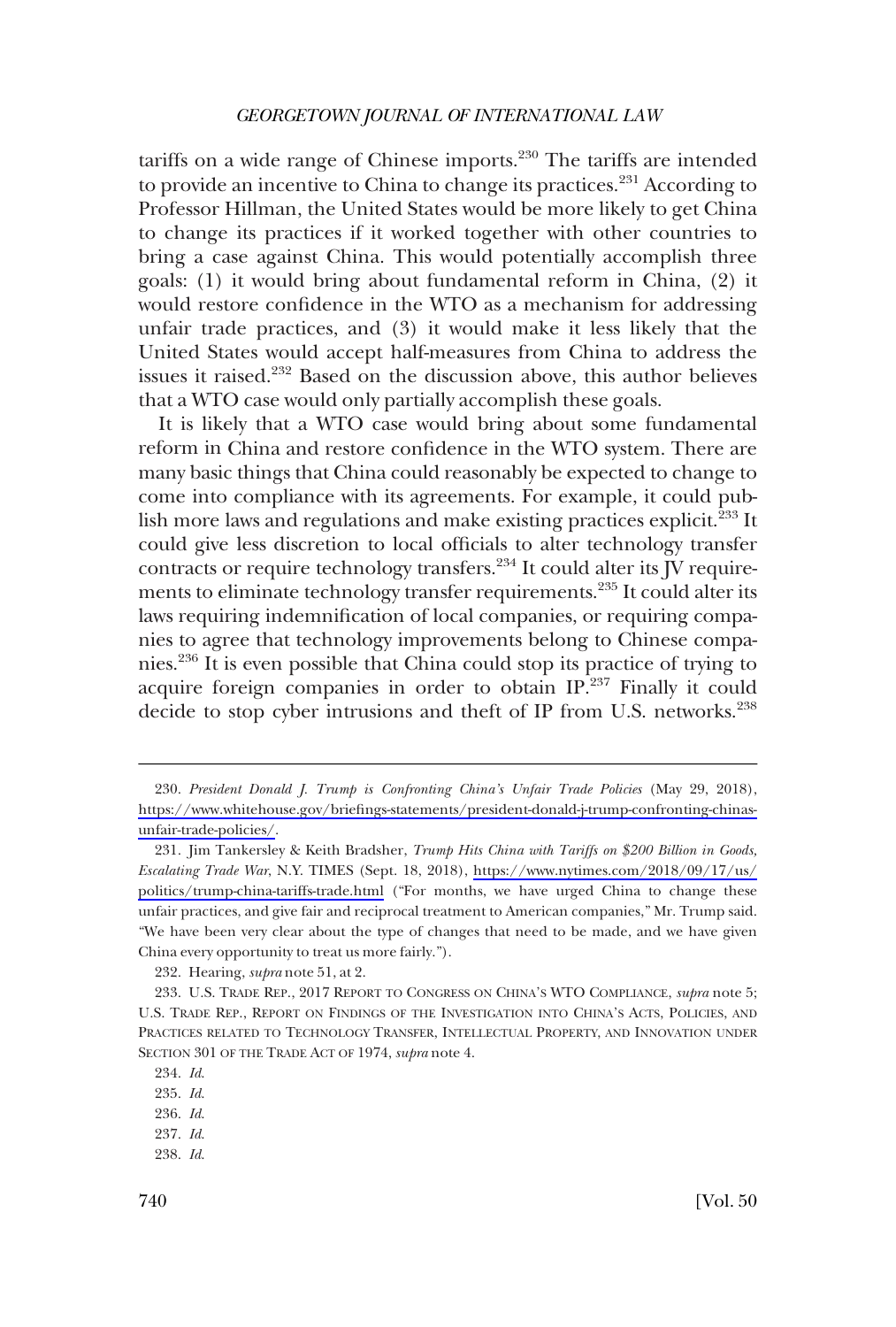tariffs on a wide range of Chinese imports. $230$  The tariffs are intended to provide an incentive to China to change its practices.<sup>231</sup> According to Professor Hillman, the United States would be more likely to get China to change its practices if it worked together with other countries to bring a case against China. This would potentially accomplish three goals: (1) it would bring about fundamental reform in China, (2) it would restore confidence in the WTO as a mechanism for addressing unfair trade practices, and (3) it would make it less likely that the United States would accept half-measures from China to address the issues it raised.232 Based on the discussion above, this author believes that a WTO case would only partially accomplish these goals.

It is likely that a WTO case would bring about some fundamental reform in China and restore confidence in the WTO system. There are many basic things that China could reasonably be expected to change to come into compliance with its agreements. For example, it could publish more laws and regulations and make existing practices explicit.<sup>233</sup> It could give less discretion to local officials to alter technology transfer contracts or require technology transfers.<sup>234</sup> It could alter its  $\overline{J}V$  requirements to eliminate technology transfer requirements.235 It could alter its laws requiring indemnification of local companies, or requiring companies to agree that technology improvements belong to Chinese companies.236 It is even possible that China could stop its practice of trying to acquire foreign companies in order to obtain IP.237 Finally it could decide to stop cyber intrusions and theft of IP from U.S. networks.<sup>238</sup>

237. *Id*.

*President Donald J. Trump is Confronting China's Unfair Trade Policies* (May 29, 2018), 230. [https://www.whitehouse.gov/briefings-statements/president-donald-j-trump-confronting-chinas](https://www.whitehouse.gov/briefings-statements/president-donald-j-trump-confronting-chinas-unfair-trade-policies/)[unfair-trade-policies/](https://www.whitehouse.gov/briefings-statements/president-donald-j-trump-confronting-chinas-unfair-trade-policies/).

<sup>231.</sup> Jim Tankersley & Keith Bradsher, *Trump Hits China with Tariffs on \$200 Billion in Goods*, *Escalating Trade War*, N.Y. TIMES (Sept. 18, 2018), [https://www.nytimes.com/2018/09/17/us/](https://www.nytimes.com/2018/09/17/us/politics/trump-china-tariffs-trade.html) [politics/trump-china-tariffs-trade.html](https://www.nytimes.com/2018/09/17/us/politics/trump-china-tariffs-trade.html) ("For months, we have urged China to change these unfair practices, and give fair and reciprocal treatment to American companies," Mr. Trump said. "We have been very clear about the type of changes that need to be made, and we have given China every opportunity to treat us more fairly.").

<sup>232.</sup> Hearing, *supra* note 51, at 2.

<sup>233.</sup> U.S. TRADE REP., 2017 REPORT TO CONGRESS ON CHINA'S WTO COMPLIANCE, *supra* note 5; U.S. TRADE REP., REPORT ON FINDINGS OF THE INVESTIGATION INTO CHINA'S ACTS, POLICIES, AND PRACTICES RELATED TO TECHNOLOGY TRANSFER, INTELLECTUAL PROPERTY, AND INNOVATION UNDER SECTION 301 OF THE TRADE ACT OF 1974, *supra* note 4.

<sup>234.</sup> *Id*.

<sup>235.</sup> *Id*.

<sup>236.</sup> *Id*.

<sup>238.</sup> *Id*.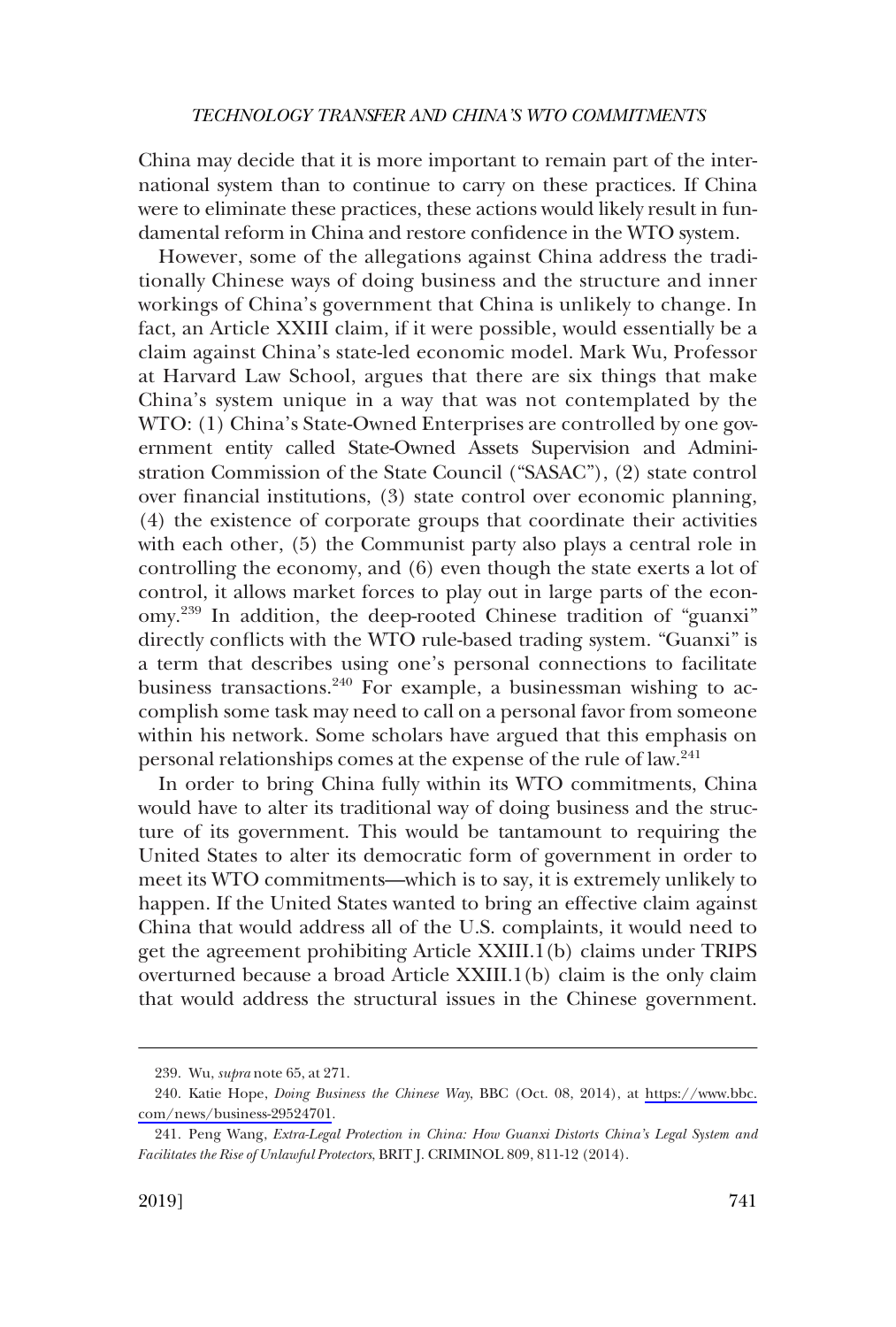China may decide that it is more important to remain part of the international system than to continue to carry on these practices. If China were to eliminate these practices, these actions would likely result in fundamental reform in China and restore confidence in the WTO system.

However, some of the allegations against China address the traditionally Chinese ways of doing business and the structure and inner workings of China's government that China is unlikely to change. In fact, an Article XXIII claim, if it were possible, would essentially be a claim against China's state-led economic model. Mark Wu, Professor at Harvard Law School, argues that there are six things that make China's system unique in a way that was not contemplated by the WTO: (1) China's State-Owned Enterprises are controlled by one government entity called State-Owned Assets Supervision and Administration Commission of the State Council ("SASAC"), (2) state control over financial institutions, (3) state control over economic planning, (4) the existence of corporate groups that coordinate their activities with each other,  $(5)$  the Communist party also plays a central role in controlling the economy, and (6) even though the state exerts a lot of control, it allows market forces to play out in large parts of the economy.239 In addition, the deep-rooted Chinese tradition of "guanxi" directly conflicts with the WTO rule-based trading system. "Guanxi" is a term that describes using one's personal connections to facilitate business transactions.<sup>240</sup> For example, a businessman wishing to accomplish some task may need to call on a personal favor from someone within his network. Some scholars have argued that this emphasis on personal relationships comes at the expense of the rule of law.241

In order to bring China fully within its WTO commitments, China would have to alter its traditional way of doing business and the structure of its government. This would be tantamount to requiring the United States to alter its democratic form of government in order to meet its WTO commitments—which is to say, it is extremely unlikely to happen. If the United States wanted to bring an effective claim against China that would address all of the U.S. complaints, it would need to get the agreement prohibiting Article XXIII.1(b) claims under TRIPS overturned because a broad Article XXIII.1(b) claim is the only claim that would address the structural issues in the Chinese government.

<sup>239.</sup> Wu, *supra* note 65, at 271.

<sup>240.</sup> Katie Hope, *Doing Business the Chinese Way*, BBC (Oct. 08, 2014), at [https://www.bbc.](https://www.bbc.com/news/business-29524701) [com/news/business-29524701](https://www.bbc.com/news/business-29524701).

<sup>241.</sup> Peng Wang, *Extra-Legal Protection in China: How Guanxi Distorts China's Legal System and Facilitates the Rise of Unlawful Protectors*, BRIT J. CRIMINOL 809, 811-12 (2014).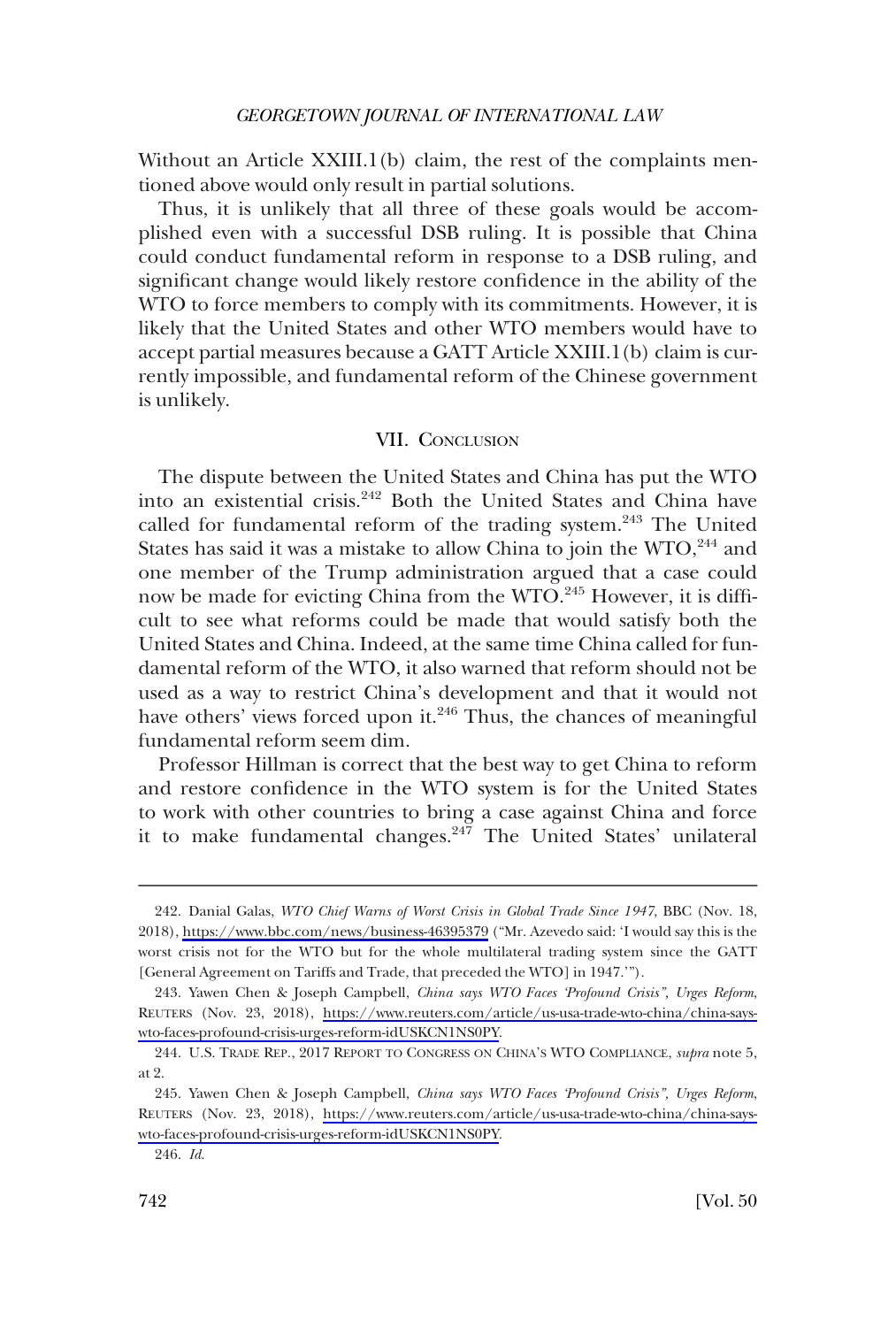<span id="page-33-0"></span>Without an Article XXIII.1(b) claim, the rest of the complaints mentioned above would only result in partial solutions.

Thus, it is unlikely that all three of these goals would be accomplished even with a successful DSB ruling. It is possible that China could conduct fundamental reform in response to a DSB ruling, and significant change would likely restore confidence in the ability of the WTO to force members to comply with its commitments. However, it is likely that the United States and other WTO members would have to accept partial measures because a GATT Article XXIII.1(b) claim is currently impossible, and fundamental reform of the Chinese government is unlikely.

### VII. CONCLUSION

The dispute between the United States and China has put the WTO into an existential crisis.<sup>242</sup> Both the United States and China have called for fundamental reform of the trading system.<sup>243</sup> The United States has said it was a mistake to allow China to join the WTO,<sup>244</sup> and one member of the Trump administration argued that a case could now be made for evicting China from the WTO.<sup>245</sup> However, it is difficult to see what reforms could be made that would satisfy both the United States and China. Indeed, at the same time China called for fundamental reform of the WTO, it also warned that reform should not be used as a way to restrict China's development and that it would not have others' views forced upon it.<sup>246</sup> Thus, the chances of meaningful fundamental reform seem dim.

Professor Hillman is correct that the best way to get China to reform and restore confidence in the WTO system is for the United States to work with other countries to bring a case against China and force it to make fundamental changes. $247$  The United States' unilateral

<sup>242.</sup> Danial Galas, *WTO Chief Warns of Worst Crisis in Global Trade Since 1947*, BBC (Nov. 18, 2018),<https://www.bbc.com/news/business-46395379> ("Mr. Azevedo said: 'I would say this is the worst crisis not for the WTO but for the whole multilateral trading system since the GATT [General Agreement on Tariffs and Trade, that preceded the WTO] in 1947.'").

Yawen Chen & Joseph Campbell, *China says WTO Faces 'Profound Crisis", Urges Reform*, 243. REUTERS (Nov. 23, 2018), [https://www.reuters.com/article/us-usa-trade-wto-china/china-says](https://www.reuters.com/article/us-usa-trade-wto-china/china-says-wto-faces-profound-crisis-urges-reform-idUSKCN1NS0PY)[wto-faces-profound-crisis-urges-reform-idUSKCN1NS0PY.](https://www.reuters.com/article/us-usa-trade-wto-china/china-says-wto-faces-profound-crisis-urges-reform-idUSKCN1NS0PY)

<sup>244.</sup> U.S. TRADE REP., 2017 REPORT TO CONGRESS ON CHINA'S WTO COMPLIANCE, *supra* note 5, at 2.

Yawen Chen & Joseph Campbell, *China says WTO Faces 'Profound Crisis", Urges Reform*, 245. REUTERS (Nov. 23, 2018), [https://www.reuters.com/article/us-usa-trade-wto-china/china-says](https://www.reuters.com/article/us-usa-trade-wto-china/china-says-wto-faces-profound-crisis-urges-reform-idUSKCN1NS0PY)[wto-faces-profound-crisis-urges-reform-idUSKCN1NS0PY.](https://www.reuters.com/article/us-usa-trade-wto-china/china-says-wto-faces-profound-crisis-urges-reform-idUSKCN1NS0PY)

<sup>246.</sup> *Id*.